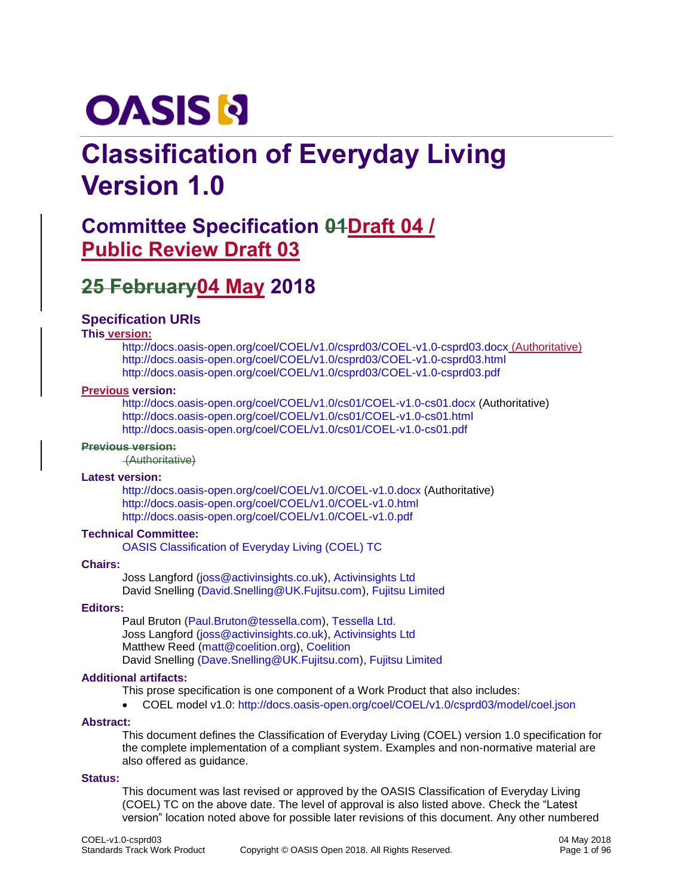# **OASIS N**

# **Classification of Everyday Living Version 1.0**

# **Committee Specification 04Draft 04/ Public Review Draft 03**

# **25 February04 May 2018**

#### **Specification URIs**

#### **This version:**

<http://docs.oasis-open.org/coel/COEL/v1.0/csprd03/COEL-v1.0-csprd03.docx> (Authoritative) <http://docs.oasis-open.org/coel/COEL/v1.0/csprd03/COEL-v1.0-csprd03.html> <http://docs.oasis-open.org/coel/COEL/v1.0/csprd03/COEL-v1.0-csprd03.pdf>

#### **Previous version:**

<http://docs.oasis-open.org/coel/COEL/v1.0/cs01/COEL-v1.0-cs01.docx> (Authoritative) <http://docs.oasis-open.org/coel/COEL/v1.0/cs01/COEL-v1.0-cs01.html> <http://docs.oasis-open.org/coel/COEL/v1.0/cs01/COEL-v1.0-cs01.pdf>

#### **Previous version:**

(Authoritative)

#### **Latest version:**

<http://docs.oasis-open.org/coel/COEL/v1.0/COEL-v1.0.docx> (Authoritative) <http://docs.oasis-open.org/coel/COEL/v1.0/COEL-v1.0.html> <http://docs.oasis-open.org/coel/COEL/v1.0/COEL-v1.0.pdf>

#### **Technical Committee:**

[OASIS Classification of Everyday Living \(COEL\) TC](https://www.oasis-open.org/committees/coel/)

#### **Chairs:**

Joss Langford [\(joss@activinsights.co.uk\)](mailto:joss@activinsights.co.uk), [Activinsights Ltd](http://www.activinsights.com/) David Snelling [\(David.Snelling@UK.Fujitsu.com\)](mailto:David.Snelling@UK.Fujitsu.com), [Fujitsu Limited](http://www.fujitsu.com/)

#### **Editors:**

Paul Bruton [\(Paul.Bruton@tessella.com\)](mailto:Paul.Bruton@tessella.com), [Tessella Ltd.](http://tessella.com/) Joss Langford [\(joss@activinsights.co.uk\)](mailto:joss@activinsights.co.uk), [Activinsights Ltd](http://www.activinsights.com/) Matthew Reed [\(matt@coelition.org\)](mailto:matt@coelition.org), [Coelition](http://www.coelition.org/) David Snelling [\(Dave.Snelling@UK.Fujitsu.com\)](mailto:Dave.Snelling@UK.Fujitsu.com), [Fujitsu Limited](http://www.fujitsu.com/)

#### **Additional artifacts:**

This prose specification is one component of a Work Product that also includes:

• COEL model v1.0: <http://docs.oasis-open.org/coel/COEL/v1.0/csprd03/model/coel.json>

#### **Abstract:**

This document defines the Classification of Everyday Living (COEL) version 1.0 specification for the complete implementation of a compliant system. Examples and non-normative material are also offered as guidance.

#### **Status:**

This document was last revised or approved by the OASIS Classification of Everyday Living (COEL) TC on the above date. The level of approval is also listed above. Check the "Latest version" location noted above for possible later revisions of this document. Any other numbered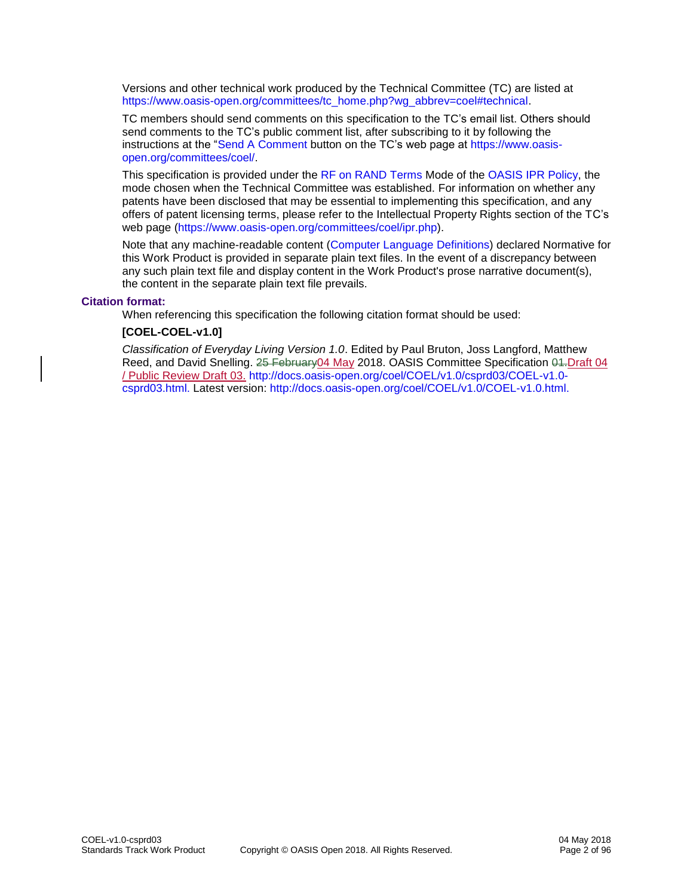Versions and other technical work produced by the Technical Committee (TC) are listed at [https://www.oasis-open.org/committees/tc\\_home.php?wg\\_abbrev=coel#technical.](https://www.oasis-open.org/committees/tc_home.php?wg_abbrev=coel#technical)

TC members should send comments on this specification to the TC's email list. Others should send comments to the TC's public comment list, after subscribing to it by following the instructions at the ["Send A Comment](https://www.oasis-open.org/committees/comments/index.php?wg_abbrev=coel) button on the TC's web page at [https://www.oasis](https://www.oasis-open.org/committees/coel/)[open.org/committees/coel/.](https://www.oasis-open.org/committees/coel/)

This specification is provided under the [RF on RAND Terms](https://www.oasis-open.org/policies-guidelines/ipr#RF-on-RAND-Mode) Mode of the [OASIS IPR Policy,](https://www.oasis-open.org/policies-guidelines/ipr) the mode chosen when the Technical Committee was established. For information on whether any patents have been disclosed that may be essential to implementing this specification, and any offers of patent licensing terms, please refer to the Intellectual Property Rights section of the TC's web page [\(https://www.oasis-open.org/committees/coel/ipr.php\)](https://www.oasis-open.org/committees/coel/ipr.php).

Note that any machine-readable content [\(Computer Language Definitions\)](https://www.oasis-open.org/policies-guidelines/tc-process#wpComponentsCompLang) declared Normative for this Work Product is provided in separate plain text files. In the event of a discrepancy between any such plain text file and display content in the Work Product's prose narrative document(s), the content in the separate plain text file prevails.

#### **Citation format:**

When referencing this specification the following citation format should be used:

#### **[COEL-COEL-v1.0]**

*Classification of Everyday Living Version 1.0*. Edited by Paul Bruton, Joss Langford, Matthew Reed, and David Snelling. 25 February04 May 2018. OASIS Committee Specification 04-Draft 04 / Public Review Draft 03. [http://docs.oasis-open.org/coel/COEL/v1.0/csprd03/COEL-v1.0](http://docs.oasis-open.org/coel/COEL/v1.0/csprd03/COEL-v1.0-csprd03.html) [csprd03.html.](http://docs.oasis-open.org/coel/COEL/v1.0/csprd03/COEL-v1.0-csprd03.html) Latest version: [http://docs.oasis-open.org/coel/COEL/v1.0/COEL-v1.0.html.](http://docs.oasis-open.org/coel/COEL/v1.0/COEL-v1.0.html)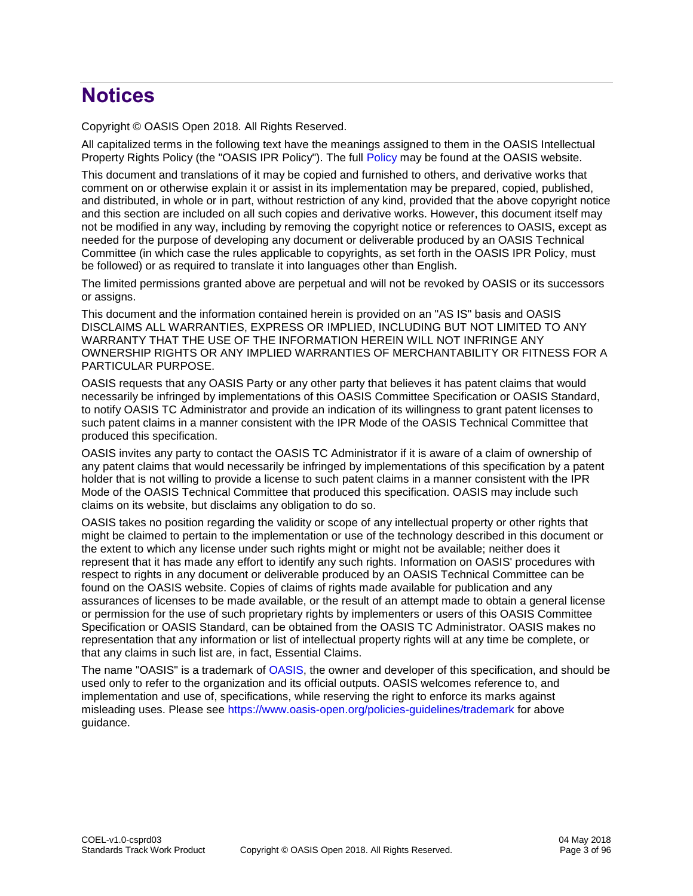# **Notices**

Copyright © OASIS Open 2018. All Rights Reserved.

All capitalized terms in the following text have the meanings assigned to them in the OASIS Intellectual Property Rights Policy (the "OASIS IPR Policy"). The full [Policy](https://www.oasis-open.org/policies-guidelines/ipr) may be found at the OASIS website.

This document and translations of it may be copied and furnished to others, and derivative works that comment on or otherwise explain it or assist in its implementation may be prepared, copied, published, and distributed, in whole or in part, without restriction of any kind, provided that the above copyright notice and this section are included on all such copies and derivative works. However, this document itself may not be modified in any way, including by removing the copyright notice or references to OASIS, except as needed for the purpose of developing any document or deliverable produced by an OASIS Technical Committee (in which case the rules applicable to copyrights, as set forth in the OASIS IPR Policy, must be followed) or as required to translate it into languages other than English.

The limited permissions granted above are perpetual and will not be revoked by OASIS or its successors or assigns.

This document and the information contained herein is provided on an "AS IS" basis and OASIS DISCLAIMS ALL WARRANTIES, EXPRESS OR IMPLIED, INCLUDING BUT NOT LIMITED TO ANY WARRANTY THAT THE USE OF THE INFORMATION HEREIN WILL NOT INFRINGE ANY OWNERSHIP RIGHTS OR ANY IMPLIED WARRANTIES OF MERCHANTABILITY OR FITNESS FOR A PARTICULAR PURPOSE.

OASIS requests that any OASIS Party or any other party that believes it has patent claims that would necessarily be infringed by implementations of this OASIS Committee Specification or OASIS Standard, to notify OASIS TC Administrator and provide an indication of its willingness to grant patent licenses to such patent claims in a manner consistent with the IPR Mode of the OASIS Technical Committee that produced this specification.

OASIS invites any party to contact the OASIS TC Administrator if it is aware of a claim of ownership of any patent claims that would necessarily be infringed by implementations of this specification by a patent holder that is not willing to provide a license to such patent claims in a manner consistent with the IPR Mode of the OASIS Technical Committee that produced this specification. OASIS may include such claims on its website, but disclaims any obligation to do so.

OASIS takes no position regarding the validity or scope of any intellectual property or other rights that might be claimed to pertain to the implementation or use of the technology described in this document or the extent to which any license under such rights might or might not be available; neither does it represent that it has made any effort to identify any such rights. Information on OASIS' procedures with respect to rights in any document or deliverable produced by an OASIS Technical Committee can be found on the OASIS website. Copies of claims of rights made available for publication and any assurances of licenses to be made available, or the result of an attempt made to obtain a general license or permission for the use of such proprietary rights by implementers or users of this OASIS Committee Specification or OASIS Standard, can be obtained from the OASIS TC Administrator. OASIS makes no representation that any information or list of intellectual property rights will at any time be complete, or that any claims in such list are, in fact, Essential Claims.

The name "OASIS" is a trademark of [OASIS,](https://www.oasis-open.org/) the owner and developer of this specification, and should be used only to refer to the organization and its official outputs. OASIS welcomes reference to, and implementation and use of, specifications, while reserving the right to enforce its marks against misleading uses. Please see<https://www.oasis-open.org/policies-guidelines/trademark> for above guidance.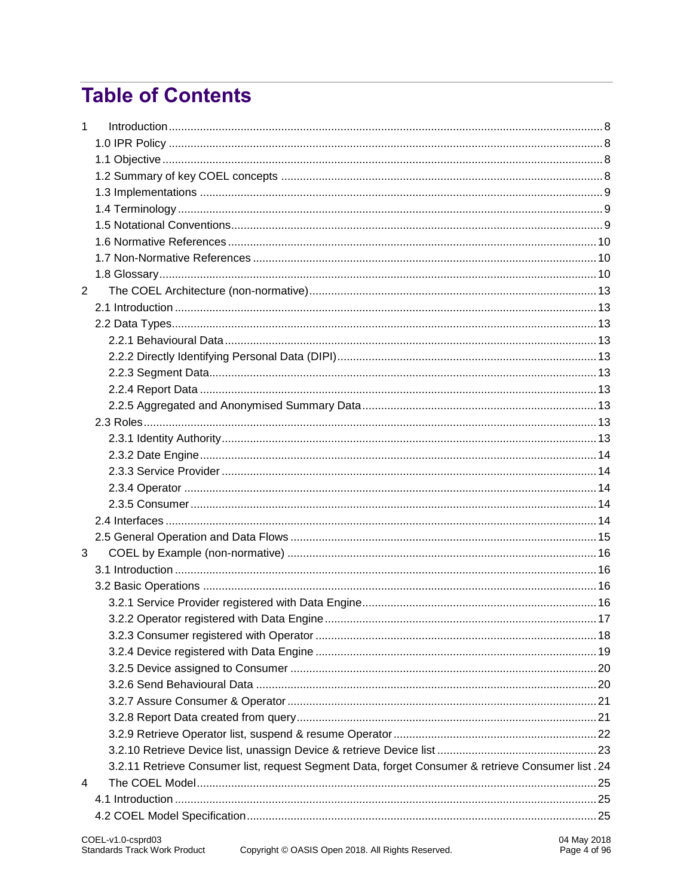# **Table of Contents**

| $\mathbf{1}$ |                                                                                                   |  |
|--------------|---------------------------------------------------------------------------------------------------|--|
|              |                                                                                                   |  |
|              |                                                                                                   |  |
|              |                                                                                                   |  |
|              |                                                                                                   |  |
|              |                                                                                                   |  |
|              |                                                                                                   |  |
|              |                                                                                                   |  |
|              |                                                                                                   |  |
|              |                                                                                                   |  |
| 2            |                                                                                                   |  |
|              |                                                                                                   |  |
|              |                                                                                                   |  |
|              |                                                                                                   |  |
|              |                                                                                                   |  |
|              |                                                                                                   |  |
|              |                                                                                                   |  |
|              |                                                                                                   |  |
|              |                                                                                                   |  |
|              |                                                                                                   |  |
|              |                                                                                                   |  |
|              |                                                                                                   |  |
|              |                                                                                                   |  |
|              |                                                                                                   |  |
|              |                                                                                                   |  |
|              |                                                                                                   |  |
| 3            |                                                                                                   |  |
|              |                                                                                                   |  |
|              |                                                                                                   |  |
|              |                                                                                                   |  |
|              |                                                                                                   |  |
|              |                                                                                                   |  |
|              |                                                                                                   |  |
|              |                                                                                                   |  |
|              |                                                                                                   |  |
|              |                                                                                                   |  |
|              |                                                                                                   |  |
|              |                                                                                                   |  |
|              |                                                                                                   |  |
|              | 3.2.11 Retrieve Consumer list, request Segment Data, forget Consumer & retrieve Consumer list .24 |  |
| 4            |                                                                                                   |  |
|              |                                                                                                   |  |
|              |                                                                                                   |  |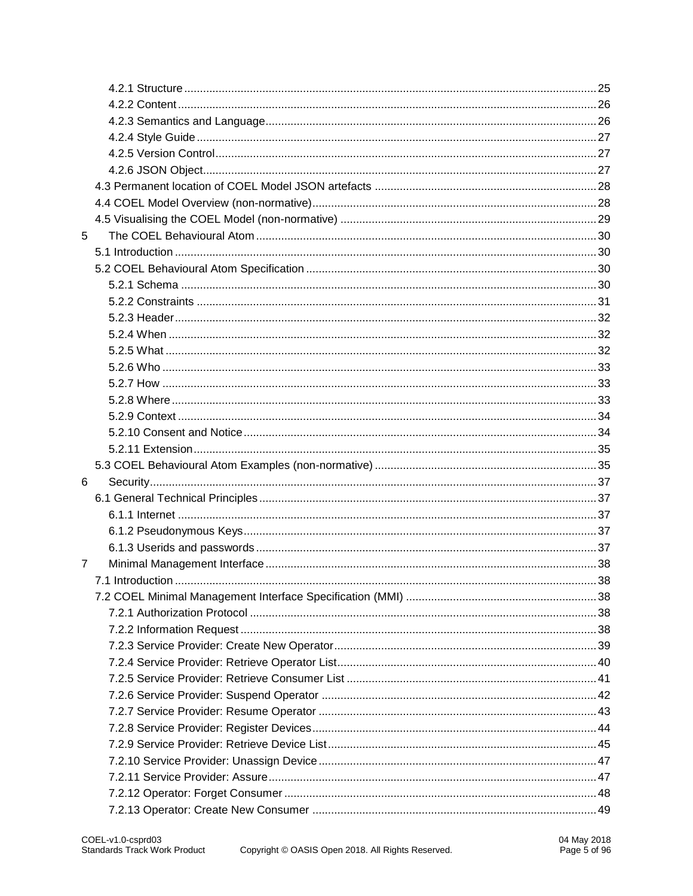| 5 |  |
|---|--|
|   |  |
|   |  |
|   |  |
|   |  |
|   |  |
|   |  |
|   |  |
|   |  |
|   |  |
|   |  |
|   |  |
|   |  |
|   |  |
|   |  |
| 6 |  |
|   |  |
|   |  |
|   |  |
|   |  |
| 7 |  |
|   |  |
|   |  |
|   |  |
|   |  |
|   |  |
|   |  |
|   |  |
|   |  |
|   |  |
|   |  |
|   |  |
|   |  |
|   |  |
|   |  |
|   |  |
|   |  |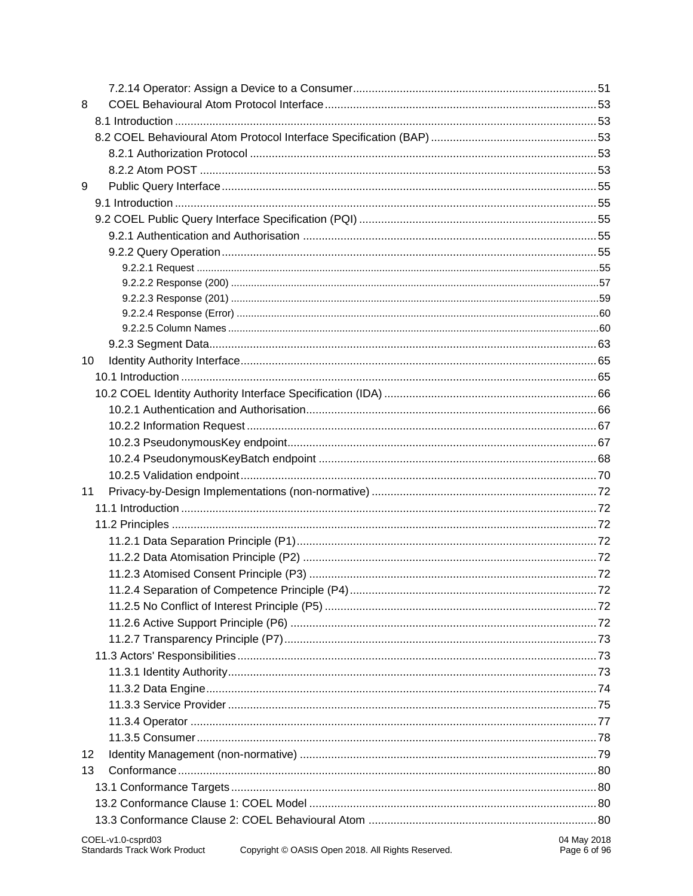| 8  |                   |             |
|----|-------------------|-------------|
|    |                   |             |
|    |                   |             |
|    |                   |             |
|    |                   |             |
| 9  |                   |             |
|    |                   |             |
|    |                   |             |
|    |                   |             |
|    |                   |             |
|    |                   |             |
|    |                   |             |
|    |                   |             |
|    |                   |             |
|    |                   |             |
|    |                   |             |
| 10 |                   |             |
|    |                   |             |
|    |                   |             |
|    |                   |             |
|    |                   |             |
|    |                   |             |
|    |                   |             |
|    |                   |             |
| 11 |                   |             |
|    |                   |             |
|    |                   |             |
|    |                   |             |
|    |                   |             |
|    |                   |             |
|    |                   |             |
|    |                   |             |
|    |                   |             |
|    |                   |             |
|    |                   |             |
|    |                   |             |
|    |                   |             |
|    |                   |             |
|    |                   |             |
|    |                   |             |
| 12 |                   |             |
| 13 |                   |             |
|    |                   |             |
|    |                   |             |
|    |                   |             |
|    | COEL-v1.0-csprd03 | 04 May 2018 |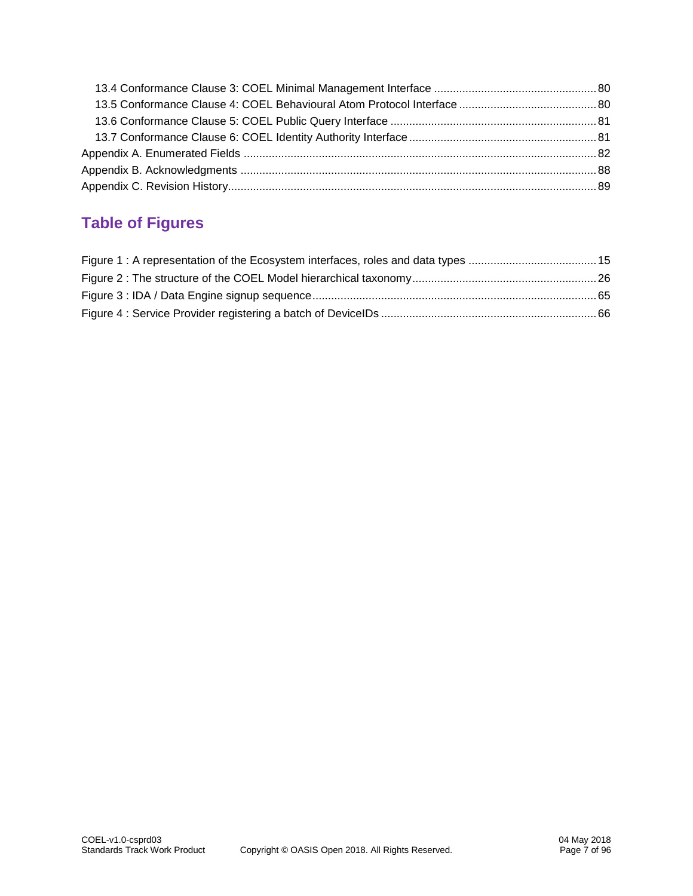# **Table of Figures**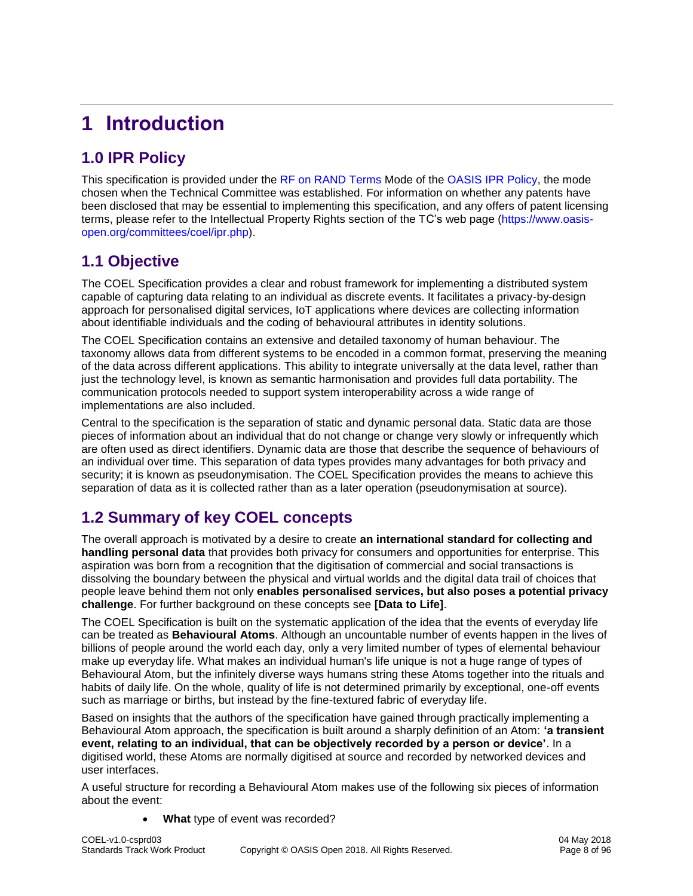# <span id="page-7-0"></span>**1 Introduction**

# <span id="page-7-1"></span>**1.0 IPR Policy**

This specification is provided under the [RF on RAND Terms](https://www.oasis-open.org/policies-guidelines/ipr#RF-on-RAND-Mode) Mode of the [OASIS IPR Policy,](https://www.oasis-open.org/policies-guidelines/ipr) the mode chosen when the Technical Committee was established. For information on whether any patents have been disclosed that may be essential to implementing this specification, and any offers of patent licensing terms, please refer to the Intellectual Property Rights section of the TC's web page [\(https://www.oasis](https://www.oasis-open.org/committees/coel/ipr.php)[open.org/committees/coel/ipr.php\)](https://www.oasis-open.org/committees/coel/ipr.php).

# <span id="page-7-2"></span>**1.1 Objective**

The COEL Specification provides a clear and robust framework for implementing a distributed system capable of capturing data relating to an individual as discrete events. It facilitates a privacy-by-design approach for personalised digital services, IoT applications where devices are collecting information about identifiable individuals and the coding of behavioural attributes in identity solutions.

The COEL Specification contains an extensive and detailed taxonomy of human behaviour. The taxonomy allows data from different systems to be encoded in a common format, preserving the meaning of the data across different applications. This ability to integrate universally at the data level, rather than just the technology level, is known as semantic harmonisation and provides full data portability. The communication protocols needed to support system interoperability across a wide range of implementations are also included.

Central to the specification is the separation of static and dynamic personal data. Static data are those pieces of information about an individual that do not change or change very slowly or infrequently which are often used as direct identifiers. Dynamic data are those that describe the sequence of behaviours of an individual over time. This separation of data types provides many advantages for both privacy and security; it is known as pseudonymisation. The COEL Specification provides the means to achieve this separation of data as it is collected rather than as a later operation (pseudonymisation at source).

# <span id="page-7-3"></span>**1.2 Summary of key COEL concepts**

The overall approach is motivated by a desire to create **an international standard for collecting and handling personal data** that provides both privacy for consumers and opportunities for enterprise. This aspiration was born from a recognition that the digitisation of commercial and social transactions is dissolving the boundary between the physical and virtual worlds and the digital data trail of choices that people leave behind them not only **enables personalised services, but also poses a potential privacy challenge**. For further background on these concepts see **[Data to Life]**.

The COEL Specification is built on the systematic application of the idea that the events of everyday life can be treated as **Behavioural Atoms**. Although an uncountable number of events happen in the lives of billions of people around the world each day, only a very limited number of types of elemental behaviour make up everyday life. What makes an individual human's life unique is not a huge range of types of Behavioural Atom, but the infinitely diverse ways humans string these Atoms together into the rituals and habits of daily life. On the whole, quality of life is not determined primarily by exceptional, one-off events such as marriage or births, but instead by the fine-textured fabric of everyday life.

Based on insights that the authors of the specification have gained through practically implementing a Behavioural Atom approach, the specification is built around a sharply definition of an Atom: **'a transient event, relating to an individual, that can be objectively recorded by a person or device'**. In a digitised world, these Atoms are normally digitised at source and recorded by networked devices and user interfaces.

A useful structure for recording a Behavioural Atom makes use of the following six pieces of information about the event:

• **What** type of event was recorded?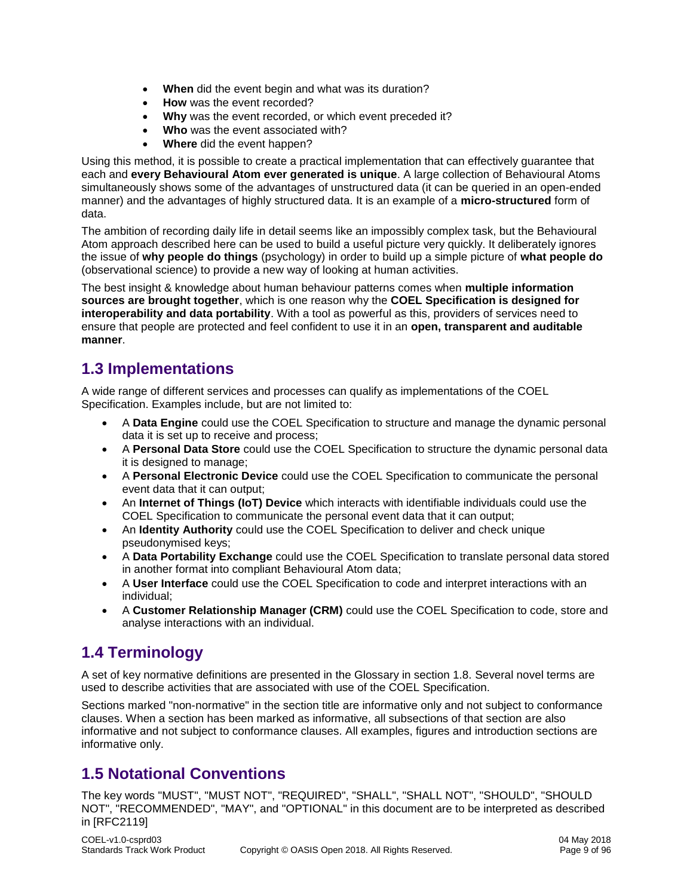- **When** did the event begin and what was its duration?
- **How** was the event recorded?
- **Why** was the event recorded, or which event preceded it?
- **Who** was the event associated with?
- **Where** did the event happen?

Using this method, it is possible to create a practical implementation that can effectively guarantee that each and **every Behavioural Atom ever generated is unique**. A large collection of Behavioural Atoms simultaneously shows some of the advantages of unstructured data (it can be queried in an open-ended manner) and the advantages of highly structured data. It is an example of a **micro-structured** form of data.

The ambition of recording daily life in detail seems like an impossibly complex task, but the Behavioural Atom approach described here can be used to build a useful picture very quickly. It deliberately ignores the issue of **why people do things** (psychology) in order to build up a simple picture of **what people do** (observational science) to provide a new way of looking at human activities.

The best insight & knowledge about human behaviour patterns comes when **multiple information sources are brought together**, which is one reason why the **COEL Specification is designed for interoperability and data portability**. With a tool as powerful as this, providers of services need to ensure that people are protected and feel confident to use it in an **open, transparent and auditable manner**.

# <span id="page-8-0"></span>**1.3 Implementations**

A wide range of different services and processes can qualify as implementations of the COEL Specification. Examples include, but are not limited to:

- A **Data Engine** could use the COEL Specification to structure and manage the dynamic personal data it is set up to receive and process;
- A **Personal Data Store** could use the COEL Specification to structure the dynamic personal data it is designed to manage;
- A **Personal Electronic Device** could use the COEL Specification to communicate the personal event data that it can output;
- An **Internet of Things (IoT) Device** which interacts with identifiable individuals could use the COEL Specification to communicate the personal event data that it can output;
- An **Identity Authority** could use the COEL Specification to deliver and check unique pseudonymised keys;
- A **Data Portability Exchange** could use the COEL Specification to translate personal data stored in another format into compliant Behavioural Atom data;
- A **User Interface** could use the COEL Specification to code and interpret interactions with an individual;
- A **Customer Relationship Manager (CRM)** could use the COEL Specification to code, store and analyse interactions with an individual.

# <span id="page-8-1"></span>**1.4 Terminology**

A set of key normative definitions are presented in the Glossary in section 1.8. Several novel terms are used to describe activities that are associated with use of the COEL Specification.

Sections marked "non-normative" in the section title are informative only and not subject to conformance clauses. When a section has been marked as informative, all subsections of that section are also informative and not subject to conformance clauses. All examples, figures and introduction sections are informative only.

# <span id="page-8-2"></span>**1.5 Notational Conventions**

The key words "MUST", "MUST NOT", "REQUIRED", "SHALL", "SHALL NOT", "SHOULD", "SHOULD NOT", "RECOMMENDED", "MAY", and "OPTIONAL" in this document are to be interpreted as described in [RFC2119]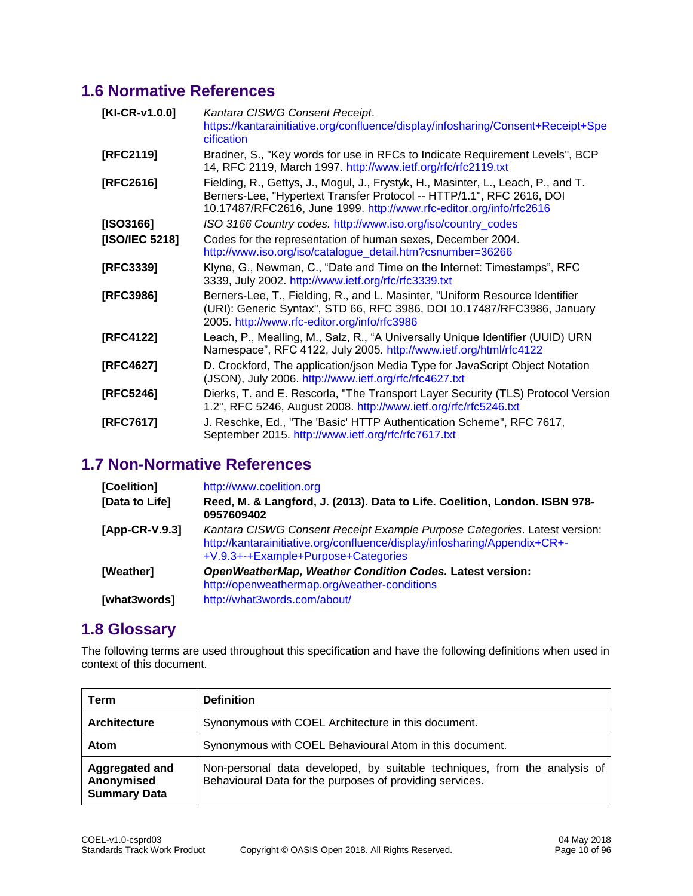# <span id="page-9-0"></span>**1.6 Normative References**

| [KI-CR-v1.0.0] | Kantara CISWG Consent Receipt.<br>https://kantarainitiative.org/confluence/display/infosharing/Consent+Receipt+Spe<br>cification                                                                                                  |
|----------------|-----------------------------------------------------------------------------------------------------------------------------------------------------------------------------------------------------------------------------------|
| [RFC2119]      | Bradner, S., "Key words for use in RFCs to Indicate Requirement Levels", BCP<br>14, RFC 2119, March 1997. http://www.ietf.org/rfc/rfc2119.txt                                                                                     |
| [RFC2616]      | Fielding, R., Gettys, J., Mogul, J., Frystyk, H., Masinter, L., Leach, P., and T.<br>Berners-Lee, "Hypertext Transfer Protocol -- HTTP/1.1", RFC 2616, DOI<br>10.17487/RFC2616, June 1999. http://www.rfc-editor.org/info/rfc2616 |
| [ISO3166]      | ISO 3166 Country codes. http://www.iso.org/iso/country_codes                                                                                                                                                                      |
| [ISO/IEC 5218] | Codes for the representation of human sexes, December 2004.<br>http://www.iso.org/iso/catalogue_detail.htm?csnumber=36266                                                                                                         |
| [RFC3339]      | Klyne, G., Newman, C., "Date and Time on the Internet: Timestamps", RFC<br>3339, July 2002. http://www.ietf.org/rfc/rfc3339.txt                                                                                                   |
| [RFC3986]      | Berners-Lee, T., Fielding, R., and L. Masinter, "Uniform Resource Identifier<br>(URI): Generic Syntax", STD 66, RFC 3986, DOI 10.17487/RFC3986, January<br>2005. http://www.rfc-editor.org/info/rfc3986                           |
| [RFC4122]      | Leach, P., Mealling, M., Salz, R., "A Universally Unique Identifier (UUID) URN<br>Namespace", RFC 4122, July 2005. http://www.ietf.org/html/rfc4122                                                                               |
| [RFC4627]      | D. Crockford, The application/json Media Type for JavaScript Object Notation<br>(JSON), July 2006. http://www.ietf.org/rfc/rfc4627.txt                                                                                            |
| [RFC5246]      | Dierks, T. and E. Rescorla, "The Transport Layer Security (TLS) Protocol Version<br>1.2", RFC 5246, August 2008. http://www.ietf.org/rfc/rfc5246.txt                                                                              |
| [RFC7617]      | J. Reschke, Ed., "The 'Basic' HTTP Authentication Scheme", RFC 7617,<br>September 2015. http://www.ietf.org/rfc/rfc7617.txt                                                                                                       |

# <span id="page-9-1"></span>**1.7 Non-Normative References**

| [Coelition]    | http://www.coelition.org                                                                                                                                                                      |
|----------------|-----------------------------------------------------------------------------------------------------------------------------------------------------------------------------------------------|
| [Data to Life] | Reed, M. & Langford, J. (2013). Data to Life. Coelition, London. ISBN 978-<br>0957609402                                                                                                      |
| [App-CR-V.9.3] | Kantara CISWG Consent Receipt Example Purpose Categories. Latest version:<br>http://kantarainitiative.org/confluence/display/infosharing/Appendix+CR+-<br>+V.9.3+-+Example+Purpose+Categories |
| [Weather]      | OpenWeatherMap, Weather Condition Codes. Latest version:<br>http://openweathermap.org/weather-conditions                                                                                      |
| [what3words]   | http://what3words.com/about/                                                                                                                                                                  |

# <span id="page-9-2"></span>**1.8 Glossary**

The following terms are used throughout this specification and have the following definitions when used in context of this document.

| Term                                                | <b>Definition</b>                                                                                                                     |
|-----------------------------------------------------|---------------------------------------------------------------------------------------------------------------------------------------|
| <b>Architecture</b>                                 | Synonymous with COEL Architecture in this document.                                                                                   |
| Atom                                                | Synonymous with COEL Behavioural Atom in this document.                                                                               |
| Aggregated and<br>Anonymised<br><b>Summary Data</b> | Non-personal data developed, by suitable techniques, from the analysis of<br>Behavioural Data for the purposes of providing services. |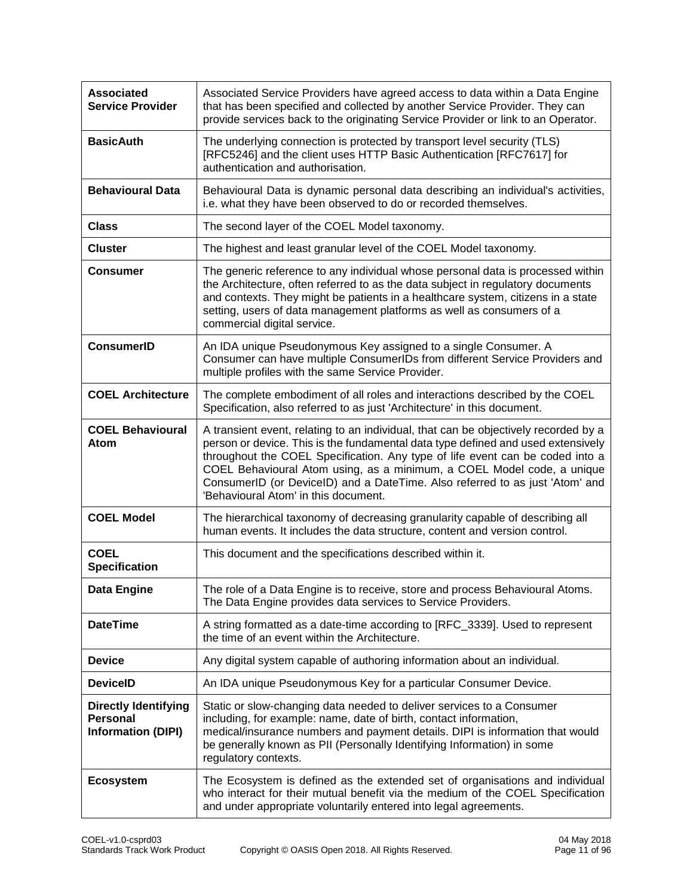| <b>Associated</b><br><b>Service Provider</b>                                | Associated Service Providers have agreed access to data within a Data Engine<br>that has been specified and collected by another Service Provider. They can<br>provide services back to the originating Service Provider or link to an Operator.                                                                                                                                                                                                           |  |  |
|-----------------------------------------------------------------------------|------------------------------------------------------------------------------------------------------------------------------------------------------------------------------------------------------------------------------------------------------------------------------------------------------------------------------------------------------------------------------------------------------------------------------------------------------------|--|--|
| <b>BasicAuth</b>                                                            | The underlying connection is protected by transport level security (TLS)<br>[RFC5246] and the client uses HTTP Basic Authentication [RFC7617] for<br>authentication and authorisation.                                                                                                                                                                                                                                                                     |  |  |
| <b>Behavioural Data</b>                                                     | Behavioural Data is dynamic personal data describing an individual's activities,<br>i.e. what they have been observed to do or recorded themselves.                                                                                                                                                                                                                                                                                                        |  |  |
| <b>Class</b>                                                                | The second layer of the COEL Model taxonomy.                                                                                                                                                                                                                                                                                                                                                                                                               |  |  |
| <b>Cluster</b>                                                              | The highest and least granular level of the COEL Model taxonomy.                                                                                                                                                                                                                                                                                                                                                                                           |  |  |
| <b>Consumer</b>                                                             | The generic reference to any individual whose personal data is processed within<br>the Architecture, often referred to as the data subject in regulatory documents<br>and contexts. They might be patients in a healthcare system, citizens in a state<br>setting, users of data management platforms as well as consumers of a<br>commercial digital service.                                                                                             |  |  |
| <b>ConsumerID</b>                                                           | An IDA unique Pseudonymous Key assigned to a single Consumer. A<br>Consumer can have multiple ConsumerIDs from different Service Providers and<br>multiple profiles with the same Service Provider.                                                                                                                                                                                                                                                        |  |  |
| <b>COEL Architecture</b>                                                    | The complete embodiment of all roles and interactions described by the COEL<br>Specification, also referred to as just 'Architecture' in this document.                                                                                                                                                                                                                                                                                                    |  |  |
| <b>COEL Behavioural</b><br>Atom                                             | A transient event, relating to an individual, that can be objectively recorded by a<br>person or device. This is the fundamental data type defined and used extensively<br>throughout the COEL Specification. Any type of life event can be coded into a<br>COEL Behavioural Atom using, as a minimum, a COEL Model code, a unique<br>ConsumerID (or DeviceID) and a DateTime. Also referred to as just 'Atom' and<br>'Behavioural Atom' in this document. |  |  |
| <b>COEL Model</b>                                                           | The hierarchical taxonomy of decreasing granularity capable of describing all<br>human events. It includes the data structure, content and version control.                                                                                                                                                                                                                                                                                                |  |  |
| <b>COEL</b><br><b>Specification</b>                                         | This document and the specifications described within it.                                                                                                                                                                                                                                                                                                                                                                                                  |  |  |
| <b>Data Engine</b>                                                          | The role of a Data Engine is to receive, store and process Behavioural Atoms.<br>The Data Engine provides data services to Service Providers.                                                                                                                                                                                                                                                                                                              |  |  |
| <b>DateTime</b>                                                             | A string formatted as a date-time according to [RFC_3339]. Used to represent<br>the time of an event within the Architecture.                                                                                                                                                                                                                                                                                                                              |  |  |
| <b>Device</b>                                                               | Any digital system capable of authoring information about an individual.                                                                                                                                                                                                                                                                                                                                                                                   |  |  |
| <b>DeviceID</b>                                                             | An IDA unique Pseudonymous Key for a particular Consumer Device.                                                                                                                                                                                                                                                                                                                                                                                           |  |  |
| <b>Directly Identifying</b><br><b>Personal</b><br><b>Information (DIPI)</b> | Static or slow-changing data needed to deliver services to a Consumer<br>including, for example: name, date of birth, contact information,<br>medical/insurance numbers and payment details. DIPI is information that would<br>be generally known as PII (Personally Identifying Information) in some<br>regulatory contexts.                                                                                                                              |  |  |
| <b>Ecosystem</b>                                                            | The Ecosystem is defined as the extended set of organisations and individual<br>who interact for their mutual benefit via the medium of the COEL Specification<br>and under appropriate voluntarily entered into legal agreements.                                                                                                                                                                                                                         |  |  |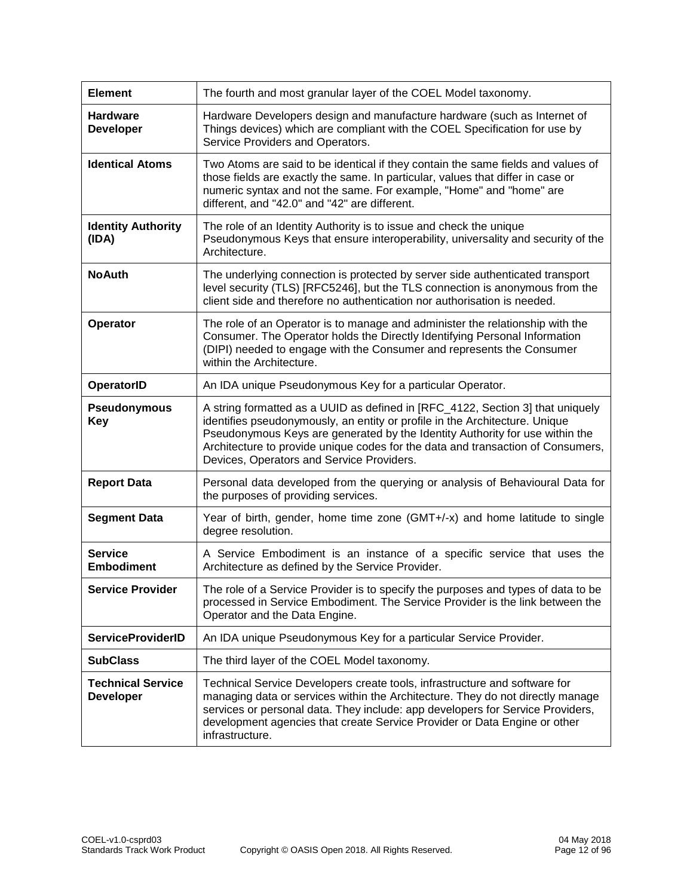| <b>Element</b>                               | The fourth and most granular layer of the COEL Model taxonomy.                                                                                                                                                                                                                                                                                                                |  |
|----------------------------------------------|-------------------------------------------------------------------------------------------------------------------------------------------------------------------------------------------------------------------------------------------------------------------------------------------------------------------------------------------------------------------------------|--|
| <b>Hardware</b><br><b>Developer</b>          | Hardware Developers design and manufacture hardware (such as Internet of<br>Things devices) which are compliant with the COEL Specification for use by<br>Service Providers and Operators.                                                                                                                                                                                    |  |
| <b>Identical Atoms</b>                       | Two Atoms are said to be identical if they contain the same fields and values of<br>those fields are exactly the same. In particular, values that differ in case or<br>numeric syntax and not the same. For example, "Home" and "home" are<br>different, and "42.0" and "42" are different.                                                                                   |  |
| <b>Identity Authority</b><br>(IDA)           | The role of an Identity Authority is to issue and check the unique<br>Pseudonymous Keys that ensure interoperability, universality and security of the<br>Architecture.                                                                                                                                                                                                       |  |
| <b>No Auth</b>                               | The underlying connection is protected by server side authenticated transport<br>level security (TLS) [RFC5246], but the TLS connection is anonymous from the<br>client side and therefore no authentication nor authorisation is needed.                                                                                                                                     |  |
| Operator                                     | The role of an Operator is to manage and administer the relationship with the<br>Consumer. The Operator holds the Directly Identifying Personal Information<br>(DIPI) needed to engage with the Consumer and represents the Consumer<br>within the Architecture.                                                                                                              |  |
| OperatorID                                   | An IDA unique Pseudonymous Key for a particular Operator.                                                                                                                                                                                                                                                                                                                     |  |
| <b>Pseudonymous</b><br><b>Key</b>            | A string formatted as a UUID as defined in [RFC_4122, Section 3] that uniquely<br>identifies pseudonymously, an entity or profile in the Architecture. Unique<br>Pseudonymous Keys are generated by the Identity Authority for use within the<br>Architecture to provide unique codes for the data and transaction of Consumers,<br>Devices, Operators and Service Providers. |  |
| <b>Report Data</b>                           | Personal data developed from the querying or analysis of Behavioural Data for<br>the purposes of providing services.                                                                                                                                                                                                                                                          |  |
| <b>Segment Data</b>                          | Year of birth, gender, home time zone (GMT+/-x) and home latitude to single<br>degree resolution.                                                                                                                                                                                                                                                                             |  |
| <b>Service</b><br><b>Embodiment</b>          | A Service Embodiment is an instance of a specific service that uses the<br>Architecture as defined by the Service Provider.                                                                                                                                                                                                                                                   |  |
| <b>Service Provider</b>                      | The role of a Service Provider is to specify the purposes and types of data to be<br>processed in Service Embodiment. The Service Provider is the link between the<br>Operator and the Data Engine.                                                                                                                                                                           |  |
| <b>ServiceProviderID</b>                     | An IDA unique Pseudonymous Key for a particular Service Provider.                                                                                                                                                                                                                                                                                                             |  |
| <b>SubClass</b>                              | The third layer of the COEL Model taxonomy.                                                                                                                                                                                                                                                                                                                                   |  |
| <b>Technical Service</b><br><b>Developer</b> | Technical Service Developers create tools, infrastructure and software for<br>managing data or services within the Architecture. They do not directly manage<br>services or personal data. They include: app developers for Service Providers,<br>development agencies that create Service Provider or Data Engine or other<br>infrastructure.                                |  |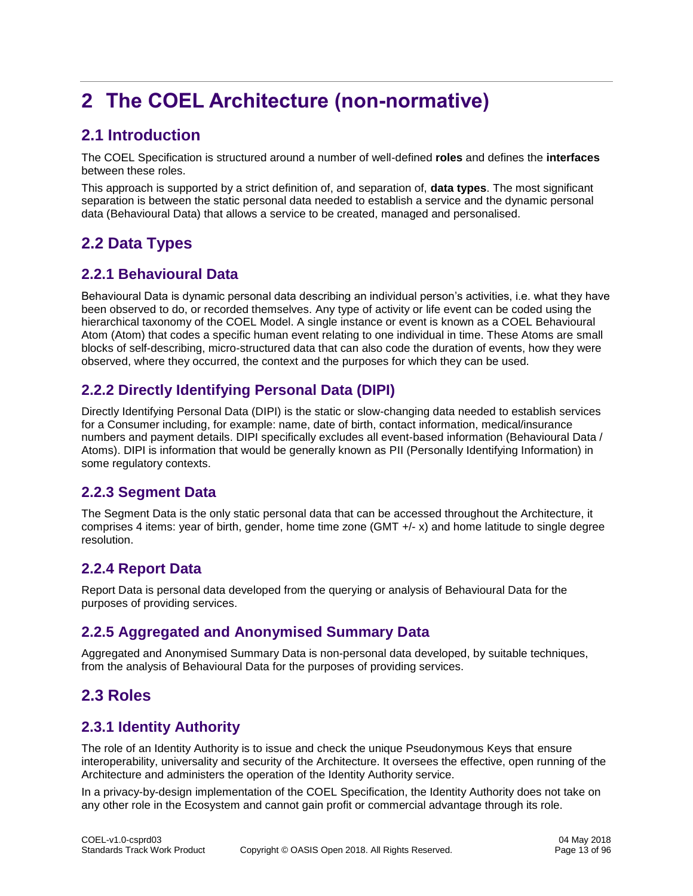# <span id="page-12-0"></span>**2 The COEL Architecture (non-normative)**

# <span id="page-12-1"></span>**2.1 Introduction**

The COEL Specification is structured around a number of well-defined **roles** and defines the **interfaces** between these roles.

This approach is supported by a strict definition of, and separation of, **data types**. The most significant separation is between the static personal data needed to establish a service and the dynamic personal data (Behavioural Data) that allows a service to be created, managed and personalised.

# <span id="page-12-2"></span>**2.2 Data Types**

# <span id="page-12-3"></span>**2.2.1 Behavioural Data**

Behavioural Data is dynamic personal data describing an individual person's activities, i.e. what they have been observed to do, or recorded themselves. Any type of activity or life event can be coded using the hierarchical taxonomy of the COEL Model. A single instance or event is known as a COEL Behavioural Atom (Atom) that codes a specific human event relating to one individual in time. These Atoms are small blocks of self-describing, micro-structured data that can also code the duration of events, how they were observed, where they occurred, the context and the purposes for which they can be used.

# <span id="page-12-4"></span>**2.2.2 Directly Identifying Personal Data (DIPI)**

Directly Identifying Personal Data (DIPI) is the static or slow-changing data needed to establish services for a Consumer including, for example: name, date of birth, contact information, medical/insurance numbers and payment details. DIPI specifically excludes all event-based information (Behavioural Data / Atoms). DIPI is information that would be generally known as PII (Personally Identifying Information) in some regulatory contexts.

# <span id="page-12-5"></span>**2.2.3 Segment Data**

The Segment Data is the only static personal data that can be accessed throughout the Architecture, it comprises 4 items: year of birth, gender, home time zone (GMT +/- x) and home latitude to single degree resolution.

# <span id="page-12-6"></span>**2.2.4 Report Data**

Report Data is personal data developed from the querying or analysis of Behavioural Data for the purposes of providing services.

# <span id="page-12-7"></span>**2.2.5 Aggregated and Anonymised Summary Data**

Aggregated and Anonymised Summary Data is non-personal data developed, by suitable techniques, from the analysis of Behavioural Data for the purposes of providing services.

# <span id="page-12-8"></span>**2.3 Roles**

# <span id="page-12-9"></span>**2.3.1 Identity Authority**

The role of an Identity Authority is to issue and check the unique Pseudonymous Keys that ensure interoperability, universality and security of the Architecture. It oversees the effective, open running of the Architecture and administers the operation of the Identity Authority service.

In a privacy-by-design implementation of the COEL Specification, the Identity Authority does not take on any other role in the Ecosystem and cannot gain profit or commercial advantage through its role.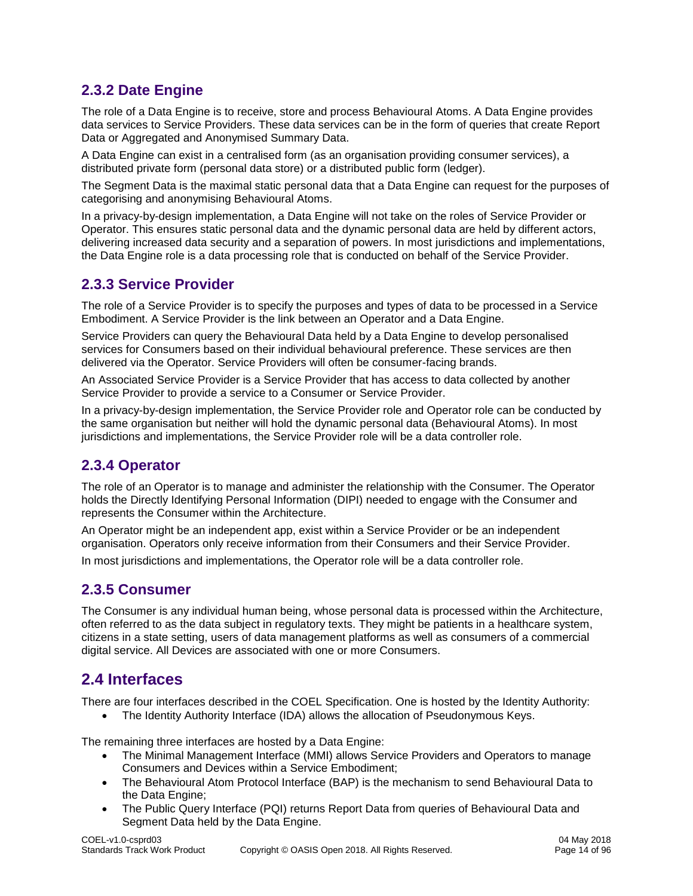# <span id="page-13-0"></span>**2.3.2 Date Engine**

The role of a Data Engine is to receive, store and process Behavioural Atoms. A Data Engine provides data services to Service Providers. These data services can be in the form of queries that create Report Data or Aggregated and Anonymised Summary Data.

A Data Engine can exist in a centralised form (as an organisation providing consumer services), a distributed private form (personal data store) or a distributed public form (ledger).

The Segment Data is the maximal static personal data that a Data Engine can request for the purposes of categorising and anonymising Behavioural Atoms.

In a privacy-by-design implementation, a Data Engine will not take on the roles of Service Provider or Operator. This ensures static personal data and the dynamic personal data are held by different actors, delivering increased data security and a separation of powers. In most jurisdictions and implementations, the Data Engine role is a data processing role that is conducted on behalf of the Service Provider.

## <span id="page-13-1"></span>**2.3.3 Service Provider**

The role of a Service Provider is to specify the purposes and types of data to be processed in a Service Embodiment. A Service Provider is the link between an Operator and a Data Engine.

Service Providers can query the Behavioural Data held by a Data Engine to develop personalised services for Consumers based on their individual behavioural preference. These services are then delivered via the Operator. Service Providers will often be consumer-facing brands.

An Associated Service Provider is a Service Provider that has access to data collected by another Service Provider to provide a service to a Consumer or Service Provider.

In a privacy-by-design implementation, the Service Provider role and Operator role can be conducted by the same organisation but neither will hold the dynamic personal data (Behavioural Atoms). In most jurisdictions and implementations, the Service Provider role will be a data controller role.

## <span id="page-13-2"></span>**2.3.4 Operator**

The role of an Operator is to manage and administer the relationship with the Consumer. The Operator holds the Directly Identifying Personal Information (DIPI) needed to engage with the Consumer and represents the Consumer within the Architecture.

An Operator might be an independent app, exist within a Service Provider or be an independent organisation. Operators only receive information from their Consumers and their Service Provider.

In most jurisdictions and implementations, the Operator role will be a data controller role.

## <span id="page-13-3"></span>**2.3.5 Consumer**

The Consumer is any individual human being, whose personal data is processed within the Architecture, often referred to as the data subject in regulatory texts. They might be patients in a healthcare system, citizens in a state setting, users of data management platforms as well as consumers of a commercial digital service. All Devices are associated with one or more Consumers.

# <span id="page-13-4"></span>**2.4 Interfaces**

There are four interfaces described in the COEL Specification. One is hosted by the Identity Authority:

• The Identity Authority Interface (IDA) allows the allocation of Pseudonymous Keys.

The remaining three interfaces are hosted by a Data Engine:

- The Minimal Management Interface (MMI) allows Service Providers and Operators to manage Consumers and Devices within a Service Embodiment;
- The Behavioural Atom Protocol Interface (BAP) is the mechanism to send Behavioural Data to the Data Engine;
- The Public Query Interface (PQI) returns Report Data from queries of Behavioural Data and Segment Data held by the Data Engine.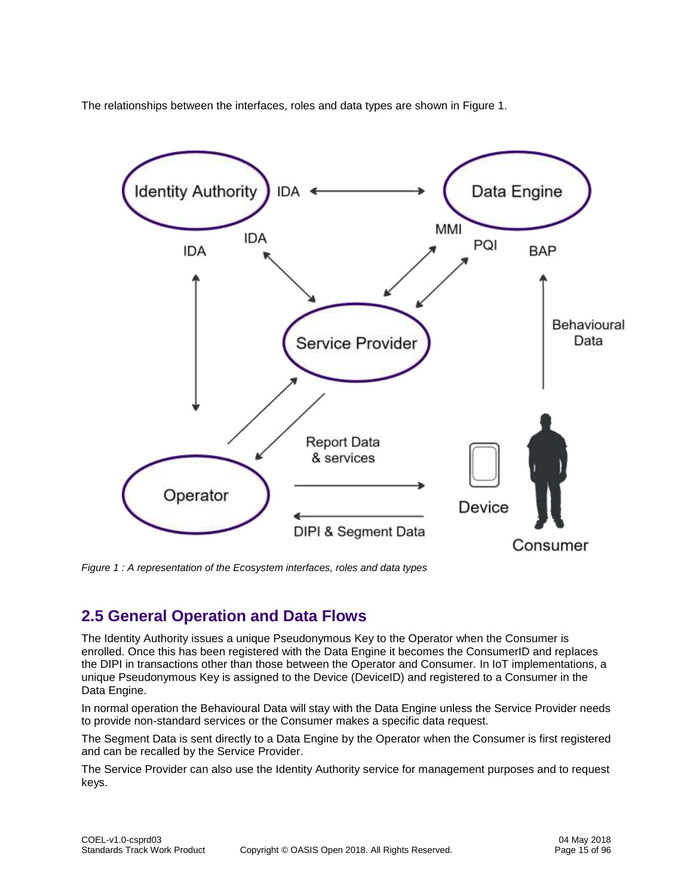The relationships between the interfaces, roles and data types are shown in Figure 1.



<span id="page-14-1"></span>*Figure 1 : A representation of the Ecosystem interfaces, roles and data types*

# <span id="page-14-0"></span>**2.5 General Operation and Data Flows**

The Identity Authority issues a unique Pseudonymous Key to the Operator when the Consumer is enrolled. Once this has been registered with the Data Engine it becomes the ConsumerID and replaces the DIPI in transactions other than those between the Operator and Consumer. In IoT implementations, a unique Pseudonymous Key is assigned to the Device (DeviceID) and registered to a Consumer in the Data Engine.

In normal operation the Behavioural Data will stay with the Data Engine unless the Service Provider needs to provide non-standard services or the Consumer makes a specific data request.

The Segment Data is sent directly to a Data Engine by the Operator when the Consumer is first registered and can be recalled by the Service Provider.

The Service Provider can also use the Identity Authority service for management purposes and to request keys.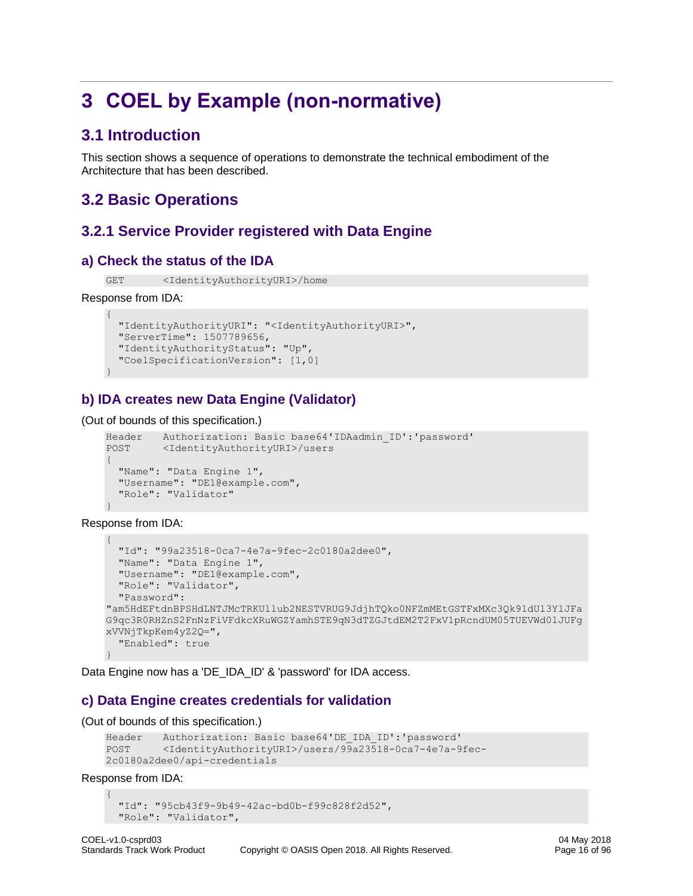# <span id="page-15-0"></span>**3 COEL by Example (non-normative)**

# <span id="page-15-1"></span>**3.1 Introduction**

This section shows a sequence of operations to demonstrate the technical embodiment of the Architecture that has been described.

# <span id="page-15-2"></span>**3.2 Basic Operations**

# <span id="page-15-3"></span>**3.2.1 Service Provider registered with Data Engine**

#### **a) Check the status of the IDA**

GET <IdentityAuthorityURI>/home

#### Response from IDA:

```
{
  "IdentityAuthorityURI": "<IdentityAuthorityURI>",
  "ServerTime": 1507789656,
  "IdentityAuthorityStatus": "Up",
  "CoelSpecificationVersion": [1,0]
}
```
#### **b) IDA creates new Data Engine (Validator)**

(Out of bounds of this specification.)

```
Header Authorization: Basic base64'IDAadmin_ID':'password'
POST <IdentityAuthorityURI>/users
{
  "Name": "Data Engine 1",
   "Username": "DE1@example.com",
  "Role": "Validator"
}
```
Response from IDA:

```
{
   "Id": "99a23518-0ca7-4e7a-9fec-2c0180a2dee0",
   "Name": "Data Engine 1",
   "Username": "DE1@example.com",
   "Role": "Validator",
   "Password": 
"am5HdEFtdnBPSHdLNTJMcTRKUllub2NESTVRUG9JdjhTQko0NFZmMEtGSTFxMXc3Qk91dUl3YlJFa
G9qc3R0RHZnS2FnNzFiVFdkcXRuWGZYamhSTE9qN3dTZGJtdEM2T2FxV1pRcndUM05TUEVWd0lJUFg
xVVNjTkpKem4yZ2Q=",
   "Enabled": true
}
```
Data Engine now has a 'DE\_IDA\_ID' & 'password' for IDA access.

## **c) Data Engine creates credentials for validation**

(Out of bounds of this specification.)

```
Header Authorization: Basic base64'DE_IDA_ID':'password'
POST <IdentityAuthorityURI>/users/99a23518-0ca7-4e7a-9fec-
2c0180a2dee0/api-credentials
```
Response from IDA:

```
{
  "Id": "95cb43f9-9b49-42ac-bd0b-f99c828f2d52",
  "Role": "Validator",
```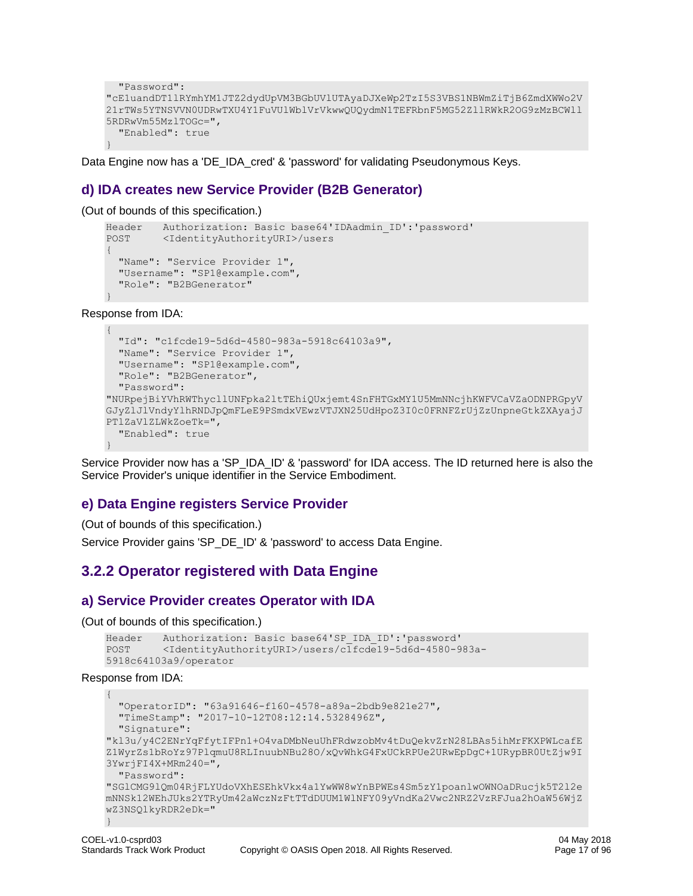```
 "Password": 
"cE1uandDT1lRYmhYM1JTZ2dydUpVM3BGbUVlUTAyaDJXeWp2TzI5S3VBS1NBWmZiTjB6ZmdXWWo2V
21rTWs5YTNSVVN0UDRwTXU4Y1FuVUlWblVrVkwwQUQydmN1TEFRbnF5MG52ZllRWkR2OG9zMzBCWll
5RDRwVm55MzlTOGc=",
   "Enabled": true
}
```
Data Engine now has a 'DE\_IDA\_cred' & 'password' for validating Pseudonymous Keys.

#### **d) IDA creates new Service Provider (B2B Generator)**

(Out of bounds of this specification.)

```
Header Authorization: Basic base64'IDAadmin_ID':'password'
POST <IdentityAuthorityURI>/users
{
   "Name": "Service Provider 1",
   "Username": "SP1@example.com",
   "Role": "B2BGenerator"
}
```
Response from IDA:

```
{
   "Id": "c1fcde19-5d6d-4580-983a-5918c64103a9",
   "Name": "Service Provider 1",
   "Username": "SP1@example.com",
   "Role": "B2BGenerator",
   "Password": 
"NURpejBiYVhRWThycllUNFpka2ltTEhiQUxjemt4SnFHTGxMY1U5MmNNcjhKWFVCaVZaODNPRGpyV
GJyZlJlVndyYlhRNDJpQmFLeE9PSmdxVEwzVTJXN25UdHpoZ3I0c0FRNFZrUjZzUnpneGtkZXAyajJ
PTlZaVlZLWkZoeTk=",
   "Enabled": true
}
```
Service Provider now has a 'SP\_IDA\_ID' & 'password' for IDA access. The ID returned here is also the Service Provider's unique identifier in the Service Embodiment.

#### **e) Data Engine registers Service Provider**

(Out of bounds of this specification.)

Service Provider gains 'SP\_DE\_ID' & 'password' to access Data Engine.

# <span id="page-16-0"></span>**3.2.2 Operator registered with Data Engine**

#### **a) Service Provider creates Operator with IDA**

(Out of bounds of this specification.)

```
Header Authorization: Basic base64'SP_IDA_ID':'password'
POST <IdentityAuthorityURI>/users/c1fcde19-5d6d-4580-983a-
5918c64103a9/operator
```
#### Response from IDA:

```
{
   "OperatorID": "63a91646-f160-4578-a89a-2bdb9e821e27",
   "TimeStamp": "2017-10-12T08:12:14.5328496Z",
   "Signature": 
"kl3u/y4C2ENrYqFfytIFPn1+O4vaDMbNeuUhFRdwzobMv4tDuQekvZrN28LBAs5ihMrFKXPWLcafE
Z1WyrZs1bRoYz97PlqmuU8RLInuubNBu28O/xQvWhkG4FxUCkRPUe2URwEpDgC+1URypBR0UtZjw9I
3YwrjFI4X+MRm240=",
  "Password": 
"SGlCMG9lQm04RjFLYUdoVXhESEhkVkx4a1YwWW8wYnBPWEs4Sm5zY1poanlwOWNOaDRucjk5T2l2e
mNNSk12WEhJUks2YTRyUm42aWczNzFtTTdDUUM1WlNFY09yVndKa2Vwc2NRZ2VzRFJua2hOaW56WjZ
wZ3NSQlkyRDR2eDk="
}
```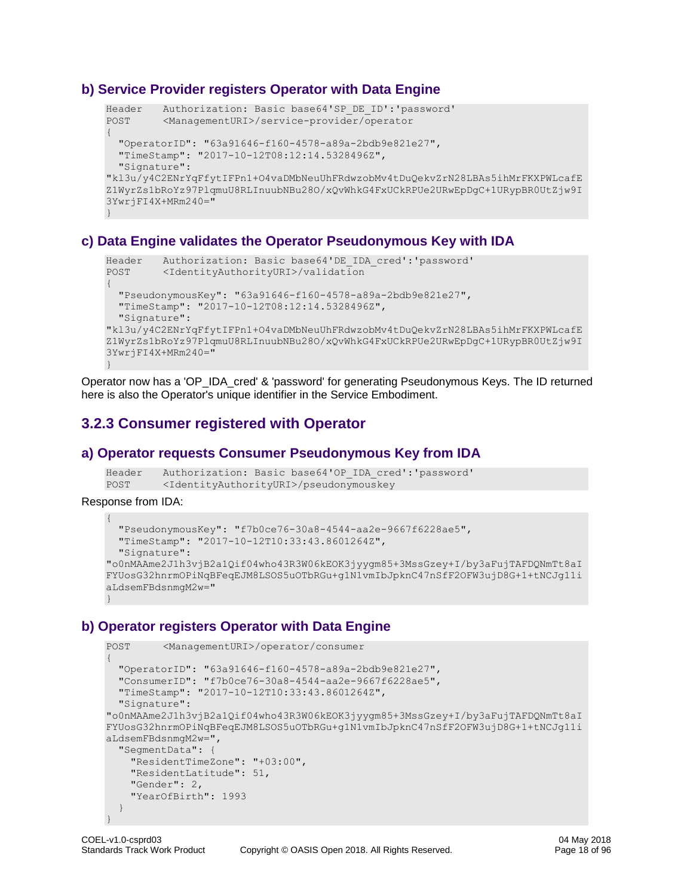#### **b) Service Provider registers Operator with Data Engine**

```
Header Authorization: Basic base64'SP_DE_ID':'password'
POST <ManagementURI>/service-provider/operator
{
   "OperatorID": "63a91646-f160-4578-a89a-2bdb9e821e27",
   "TimeStamp": "2017-10-12T08:12:14.5328496Z",
  "Signature": 
"kl3u/y4C2ENrYqFfytIFPn1+O4vaDMbNeuUhFRdwzobMv4tDuQekvZrN28LBAs5ihMrFKXPWLcafE
Z1WyrZs1bRoYz97PlqmuU8RLInuubNBu28O/xQvWhkG4FxUCkRPUe2URwEpDgC+1URypBR0UtZjw9I
3YwrjFI4X+MRm240="
}
```
#### **c) Data Engine validates the Operator Pseudonymous Key with IDA**

```
Header Authorization: Basic base64'DE_IDA_cred':'password'
POST <IdentityAuthorityURI>/validation
{
   "PseudonymousKey": "63a91646-f160-4578-a89a-2bdb9e821e27",
  "TimeStamp": "2017-10-12T08:12:14.5328496Z",
  "Signature": 
"kl3u/y4C2ENrYqFfytIFPn1+O4vaDMbNeuUhFRdwzobMv4tDuQekvZrN28LBAs5ihMrFKXPWLcafE
Z1WyrZs1bRoYz97PlqmuU8RLInuubNBu28O/xQvWhkG4FxUCkRPUe2URwEpDgC+1URypBR0UtZjw9I
3YwrjFI4X+MRm240="
}
```
Operator now has a 'OP\_IDA\_cred' & 'password' for generating Pseudonymous Keys. The ID returned here is also the Operator's unique identifier in the Service Embodiment.

# <span id="page-17-0"></span>**3.2.3 Consumer registered with Operator**

#### **a) Operator requests Consumer Pseudonymous Key from IDA**

```
Header Authorization: Basic base64'OP_IDA_cred':'password'
POST <IdentityAuthorityURI>/pseudonymouskey
```
Response from IDA:

```
{
   "PseudonymousKey": "f7b0ce76-30a8-4544-aa2e-9667f6228ae5",
   "TimeStamp": "2017-10-12T10:33:43.8601264Z",
   "Signature": 
"o0nMAAme2J1h3vjB2a1Qif04who43R3W06kEOK3jyygm85+3MssGzey+I/by3aFujTAFDQNmTt8aI
FYUosG32hnrmOPiNqBFeqEJM8LSOS5uOTbRGu+g1N1vmIbJpknC47nSfF2OFW3ujD8G+1+tNCJg11i
aLdsemFBdsnmgM2w="
}
```
#### **b) Operator registers Operator with Data Engine**

```
POST <ManagementURI>/operator/consumer
{
   "OperatorID": "63a91646-f160-4578-a89a-2bdb9e821e27",
   "ConsumerID": "f7b0ce76-30a8-4544-aa2e-9667f6228ae5",
   "TimeStamp": "2017-10-12T10:33:43.8601264Z",
   "Signature": 
"o0nMAAme2J1h3vjB2a1Qif04who43R3W06kEOK3jyygm85+3MssGzey+I/by3aFujTAFDQNmTt8aI
FYUosG32hnrmOPiNqBFeqEJM8LSOS5uOTbRGu+g1N1vmIbJpknC47nSfF2OFW3ujD8G+1+tNCJg11i
aLdsemFBdsnmgM2w=",
   "SegmentData": {
    "ResidentTimeZone": "+03:00",
    "ResidentLatitude": 51,
     "Gender": 2,
     "YearOfBirth": 1993
   }
}
```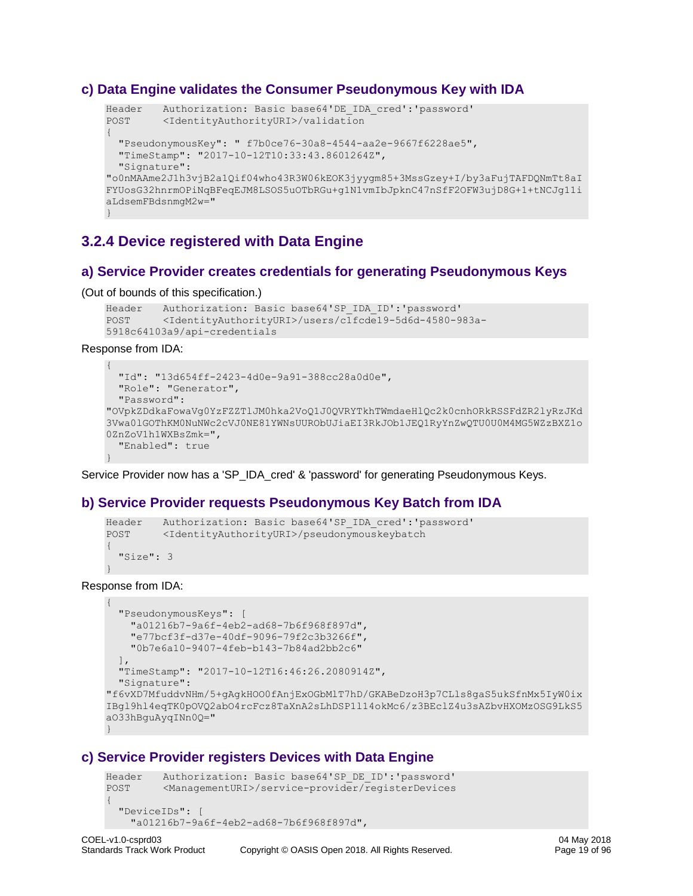#### **c) Data Engine validates the Consumer Pseudonymous Key with IDA**

```
Header Authorization: Basic base64'DE_IDA_cred':'password'
POST <IdentityAuthorityURI>/validation
{
   "PseudonymousKey": " f7b0ce76-30a8-4544-aa2e-9667f6228ae5",
   "TimeStamp": "2017-10-12T10:33:43.8601264Z",
  "Signature": 
"o0nMAAme2J1h3vjB2a1Qif04who43R3W06kEOK3jyygm85+3MssGzey+I/by3aFujTAFDQNmTt8aI
FYUosG32hnrmOPiNqBFeqEJM8LSOS5uOTbRGu+g1N1vmIbJpknC47nSfF2OFW3ujD8G+1+tNCJg11i
aLdsemFBdsnmgM2w="
}
```
# <span id="page-18-0"></span>**3.2.4 Device registered with Data Engine**

#### **a) Service Provider creates credentials for generating Pseudonymous Keys**

(Out of bounds of this specification.)

```
Header Authorization: Basic base64'SP_IDA_ID':'password'
POST <IdentityAuthorityURI>/users/c1fcde19-5d6d-4580-983a-
5918c64103a9/api-credentials
```
Response from IDA:

```
{
   "Id": "13d654ff-2423-4d0e-9a91-388cc28a0d0e",
   "Role": "Generator",
   "Password": 
"OVpkZDdkaFowaVg0YzFZZTlJM0hka2VoQ1J0QVRYTkhTWmdaeHlQc2k0cnhORkRSSFdZR2lyRzJKd
3Vwa0lGOThKM0NuNWc2cVJ0NE81YWNsUURObUJiaEI3RkJOb1JEQ1RyYnZwQTU0U0M4MG5WZzBXZ1o
0ZnZoV1h1WXBsZmk=",
   "Enabled": true
}
```
Service Provider now has a 'SP\_IDA\_cred' & 'password' for generating Pseudonymous Keys.

#### **b) Service Provider requests Pseudonymous Key Batch from IDA**

```
Header Authorization: Basic base64'SP_IDA_cred':'password'
POST <IdentityAuthorityURI>/pseudonymouskeybatch
{
  "Size" : 3}
```
Response from IDA:

```
{
   "PseudonymousKeys": [
    "a01216b7-9a6f-4eb2-ad68-7b6f968f897d",
     "e77bcf3f-d37e-40df-9096-79f2c3b3266f",
    "0b7e6a10-9407-4feb-b143-7b84ad2bb2c6"
\Box "TimeStamp": "2017-10-12T16:46:26.2080914Z",
  "Signature": 
"f6vXD7MfuddvNHm/5+gAgkHOO0fAnjExOGbMlT7hD/GKABeDzoH3p7CLls8gaS5ukSfnMx5IyW0ix
IBgl9hl4eqTK0pOVQ2abO4rcFcz8TaXnA2sLhDSP1l14okMc6/z3BEclZ4u3sAZbvHXOMzOSG9LkS5
aO33hBguAyqINn0Q="
}
```
#### **c) Service Provider registers Devices with Data Engine**

```
Header Authorization: Basic base64'SP_DE_ID':'password'
POST <ManagementURI>/service-provider/registerDevices
{
   "DeviceIDs": [
    "a01216b7-9a6f-4eb2-ad68-7b6f968f897d",
```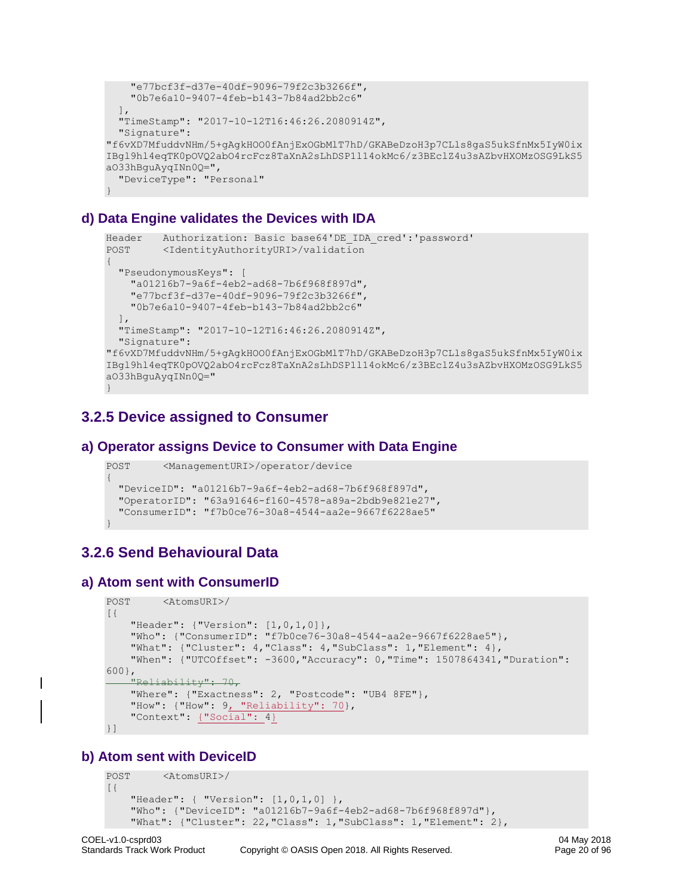```
 "e77bcf3f-d37e-40df-9096-79f2c3b3266f",
     "0b7e6a10-9407-4feb-b143-7b84ad2bb2c6"
  \frac{1}{2},
   "TimeStamp": "2017-10-12T16:46:26.2080914Z",
  "Signature": 
"f6vXD7MfuddvNHm/5+gAgkHOO0fAnjExOGbMlT7hD/GKABeDzoH3p7CLls8gaS5ukSfnMx5IyW0ix
IBgl9hl4eqTK0pOVQ2abO4rcFcz8TaXnA2sLhDSP1l14okMc6/z3BEclZ4u3sAZbvHXOMzOSG9LkS5
aO33hBguAyqINn0Q=",
   "DeviceType": "Personal"
}
```
#### **d) Data Engine validates the Devices with IDA**

```
Header Authorization: Basic base64'DE_IDA_cred':'password'
POST <IdentityAuthorityURI>/validation
{
   "PseudonymousKeys": [
    "a01216b7-9a6f-4eb2-ad68-7b6f968f897d",
     "e77bcf3f-d37e-40df-9096-79f2c3b3266f",
     "0b7e6a10-9407-4feb-b143-7b84ad2bb2c6"
  \frac{1}{2} "TimeStamp": "2017-10-12T16:46:26.2080914Z",
  "Signature": 
"f6vXD7MfuddvNHm/5+gAgkHOO0fAnjExOGbMlT7hD/GKABeDzoH3p7CLls8gaS5ukSfnMx5IyW0ix
IBgl9hl4eqTK0pOVQ2abO4rcFcz8TaXnA2sLhDSP1l14okMc6/z3BEclZ4u3sAZbvHXOMzOSG9LkS5
aO33hBguAyqINn0Q="
}
```
# <span id="page-19-0"></span>**3.2.5 Device assigned to Consumer**

#### **a) Operator assigns Device to Consumer with Data Engine**

```
POST <ManagementURI>/operator/device
{
   "DeviceID": "a01216b7-9a6f-4eb2-ad68-7b6f968f897d",
   "OperatorID": "63a91646-f160-4578-a89a-2bdb9e821e27",
   "ConsumerID": "f7b0ce76-30a8-4544-aa2e-9667f6228ae5"
}
```
# <span id="page-19-1"></span>**3.2.6 Send Behavioural Data**

#### **a) Atom sent with ConsumerID**

```
POST <AtomsURI>/
[{
     "Header": {"Version": [1,0,1,0]},
     "Who": {"ConsumerID": "f7b0ce76-30a8-4544-aa2e-9667f6228ae5"},
     "What": {"Cluster": 4,"Class": 4,"SubClass": 1,"Element": 4},
     "When": {"UTCOffset": -3600,"Accuracy": 0,"Time": 1507864341,"Duration": 
600}, 
     "Reliability": 70,
     "Where": {"Exactness": 2, "Postcode": "UB4 8FE"},
    "How": {"How": 9, "Reliability": 70},
     "Context": {"Social": 4}
}]
```
## **b) Atom sent with DeviceID**

```
POST <AtomsURI>/
[{
     "Header": { "Version": [1,0,1,0] },
     "Who": {"DeviceID": "a01216b7-9a6f-4eb2-ad68-7b6f968f897d"},
     "What": {"Cluster": 22,"Class": 1,"SubClass": 1,"Element": 2},
```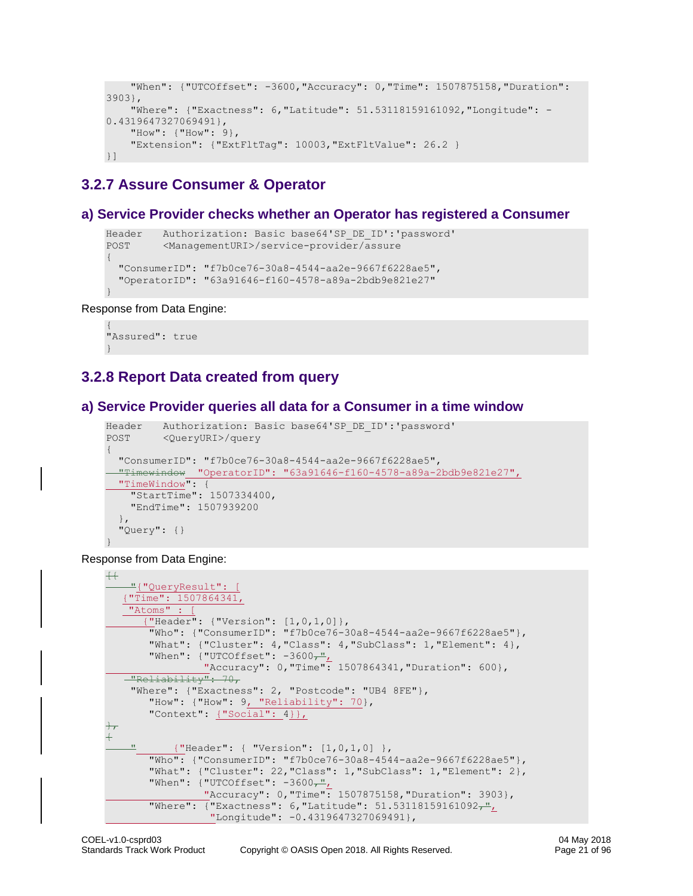```
 "When": {"UTCOffset": -3600,"Accuracy": 0,"Time": 1507875158,"Duration": 
3903},
     "Where": {"Exactness": 6,"Latitude": 51.53118159161092,"Longitude": -
0.4319647327069491},
     "How": {"How": 9},
     "Extension": {"ExtFltTag": 10003,"ExtFltValue": 26.2 }
}]
```
# <span id="page-20-0"></span>**3.2.7 Assure Consumer & Operator**

#### **a) Service Provider checks whether an Operator has registered a Consumer**

```
Header Authorization: Basic base64'SP_DE_ID':'password'
POST <ManagementURI>/service-provider/assure
{
   "ConsumerID": "f7b0ce76-30a8-4544-aa2e-9667f6228ae5",
   "OperatorID": "63a91646-f160-4578-a89a-2bdb9e821e27"
}
```
#### Response from Data Engine:

```
{
"Assured": true
}
```
# <span id="page-20-1"></span>**3.2.8 Report Data created from query**

#### **a) Service Provider queries all data for a Consumer in a time window**

```
Header Authorization: Basic base64'SP_DE_ID':'password'
POST <QueryURI>/query
{
   "ConsumerID": "f7b0ce76-30a8-4544-aa2e-9667f6228ae5",
   "Timewindow "OperatorID": "63a91646-f160-4578-a89a-2bdb9e821e27",
  "TimeWindow": {
    "StartTime": 1507334400,
    "EndTime": 1507939200
   },
   "Query": {}
}
```
Response from Data Engine:

```
+"{"QueryResult": [
   {"Time": 1507864341, 
   "Atoms" :
       {"Header": {"Version": [1,0,1,0]},
        "Who": {"ConsumerID": "f7b0ce76-30a8-4544-aa2e-9667f6228ae5"},
        "What": {"Cluster": 4,"Class": 4,"SubClass": 1,"Element": 4},
       "When": {\text{("UTCOffset": -3600-",}}"Accuracy": 0, "Time": 1507864341, "Duration": 600},
   "Reliability": 70,
     "Where": {"Exactness": 2, "Postcode": "UB4 8FE"},
       "How": {"How": 9, "Reliability": 70},
        "Context": {"Social": 4}},
},
{
            " {"Header": { "Version": [1,0,1,0] },
        "Who": {"ConsumerID": "f7b0ce76-30a8-4544-aa2e-9667f6228ae5"},
        "What": {"Cluster": 22,"Class": 1,"SubClass": 1,"Element": 2},
       "When": {\texttt{\{"UTCOffset":}\; -3600} \overline{\mathcal{F}} "Accuracy": 0,"Time": 1507875158,"Duration": 3903},
       "Where": {"Exactness": 6, "Latitude": 51.53118159161092-",
                   "Longitude": -0.4319647327069491},
```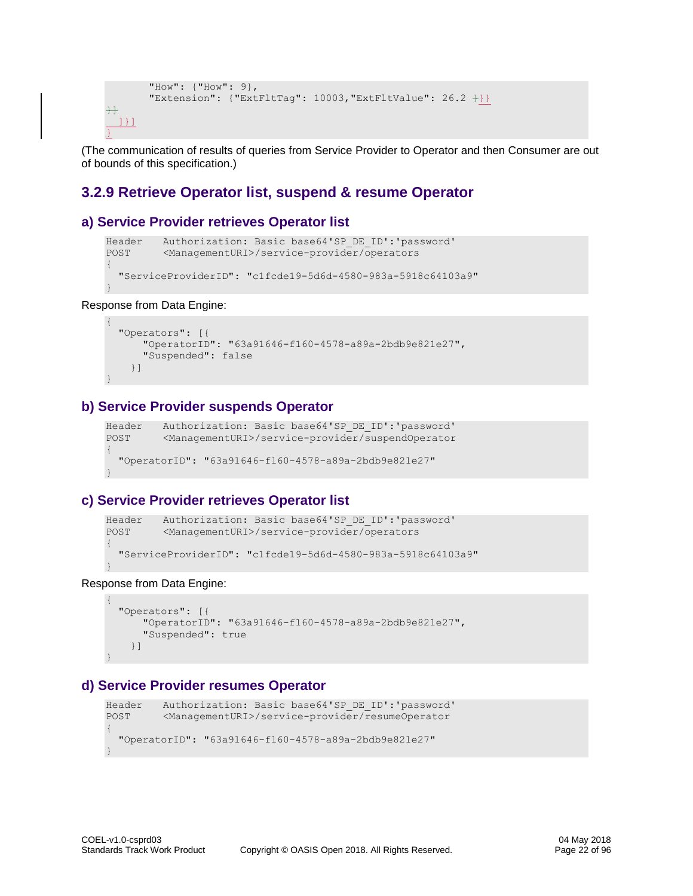```
 "How": {"How": 9},
       "Extension": {"ExtFltTag": 10003, "ExtFltValue": 26.2 +}}
\ddot{} ]}]
}
```
(The communication of results of queries from Service Provider to Operator and then Consumer are out of bounds of this specification.)

### <span id="page-21-0"></span>**3.2.9 Retrieve Operator list, suspend & resume Operator**

#### **a) Service Provider retrieves Operator list**

```
Header Authorization: Basic base64'SP_DE_ID':'password'
POST <ManagementURI>/service-provider/operators
{
   "ServiceProviderID": "c1fcde19-5d6d-4580-983a-5918c64103a9"
}
```
Response from Data Engine:

{

```
 "Operators": [{
      "OperatorID": "63a91646-f160-4578-a89a-2bdb9e821e27",
       "Suspended": false
     }]
}
```
#### **b) Service Provider suspends Operator**

```
Header Authorization: Basic base64'SP_DE_ID':'password'
POST <ManagementURI>/service-provider/suspendOperator
{
   "OperatorID": "63a91646-f160-4578-a89a-2bdb9e821e27"
}
```
#### **c) Service Provider retrieves Operator list**

```
Header Authorization: Basic base64'SP_DE_ID':'password'
POST <ManagementURI>/service-provider/operators
{
   "ServiceProviderID": "c1fcde19-5d6d-4580-983a-5918c64103a9"
}
```
Response from Data Engine:

```
{
  "Operators": [{
       "OperatorID": "63a91646-f160-4578-a89a-2bdb9e821e27",
       "Suspended": true
    }]
}
```
#### **d) Service Provider resumes Operator**

```
Header Authorization: Basic base64'SP DE ID':'password'
POST <ManagementURI>/service-provider/resumeOperator
{
   "OperatorID": "63a91646-f160-4578-a89a-2bdb9e821e27"
}
```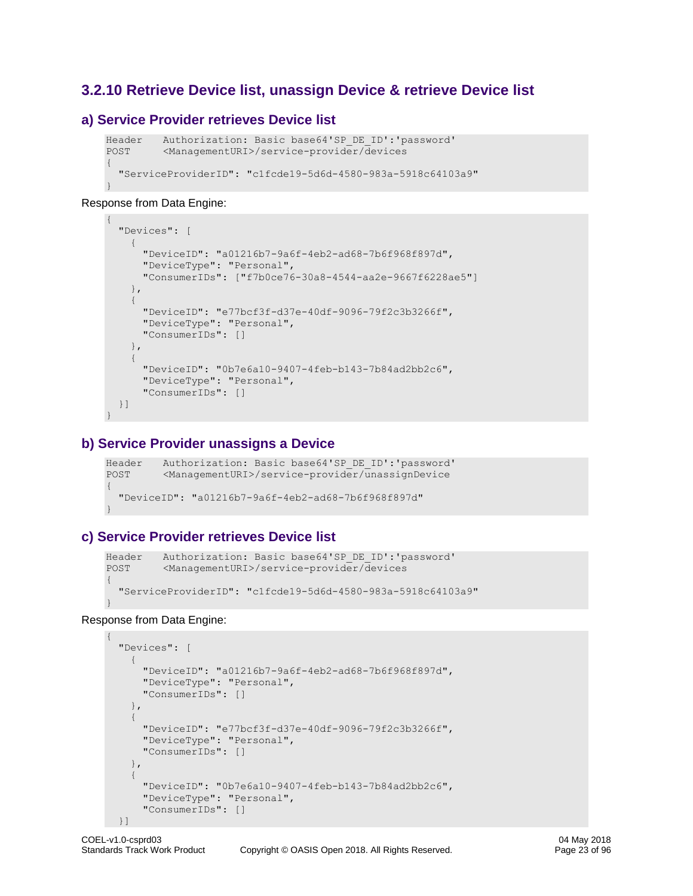## <span id="page-22-0"></span>**3.2.10 Retrieve Device list, unassign Device & retrieve Device list**

#### **a) Service Provider retrieves Device list**

```
Header Authorization: Basic base64'SP_DE_ID':'password'
POST <ManagementURI>/service-provider/devices
{
   "ServiceProviderID": "c1fcde19-5d6d-4580-983a-5918c64103a9"
}
```
#### Response from Data Engine:

{

}

{

```
 "Devices": [
    \left\{ \right. "DeviceID": "a01216b7-9a6f-4eb2-ad68-7b6f968f897d",
        "DeviceType": "Personal",
        "ConsumerIDs": ["f7b0ce76-30a8-4544-aa2e-9667f6228ae5"]
     },
     {
        "DeviceID": "e77bcf3f-d37e-40df-9096-79f2c3b3266f",
        "DeviceType": "Personal",
        "ConsumerIDs": []
     },
\left\{\begin{array}{ccc} \end{array}\right. "DeviceID": "0b7e6a10-9407-4feb-b143-7b84ad2bb2c6",
        "DeviceType": "Personal",
        "ConsumerIDs": []
   }]
```
#### **b) Service Provider unassigns a Device**

```
Header Authorization: Basic base64'SP_DE_ID':'password'
POST <ManagementURI>/service-provider/unassignDevice
{
   "DeviceID": "a01216b7-9a6f-4eb2-ad68-7b6f968f897d"
}
```
## **c) Service Provider retrieves Device list**

```
Header Authorization: Basic base64'SP_DE_ID':'password'
POST <ManagementURI>/service-provider/devices
{
   "ServiceProviderID": "c1fcde19-5d6d-4580-983a-5918c64103a9"
}
```
#### Response from Data Engine:

```
 "Devices": [
   {
     "DeviceID": "a01216b7-9a6f-4eb2-ad68-7b6f968f897d",
     "DeviceType": "Personal",
     "ConsumerIDs": []
   },
   {
     "DeviceID": "e77bcf3f-d37e-40df-9096-79f2c3b3266f",
     "DeviceType": "Personal",
     "ConsumerIDs": []
   },
   {
     "DeviceID": "0b7e6a10-9407-4feb-b143-7b84ad2bb2c6",
     "DeviceType": "Personal",
     "ConsumerIDs": []
 }]
```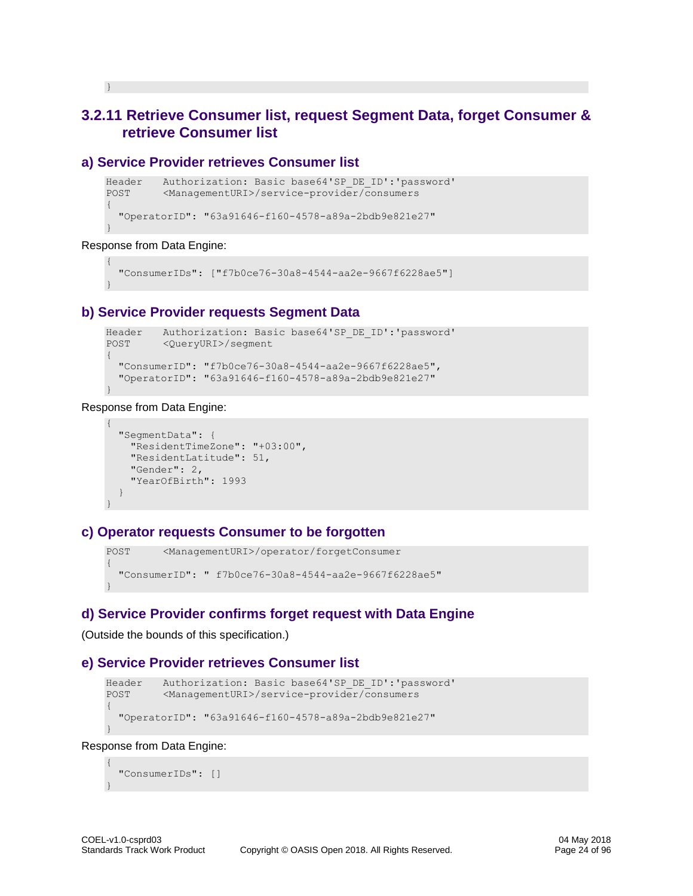# <span id="page-23-0"></span>**3.2.11 Retrieve Consumer list, request Segment Data, forget Consumer & retrieve Consumer list**

#### **a) Service Provider retrieves Consumer list**

```
Header Authorization: Basic base64'SP_DE_ID':'password'
POST <ManagementURI>/service-provider/consumers
{
   "OperatorID": "63a91646-f160-4578-a89a-2bdb9e821e27"
}
```
Response from Data Engine:

}

```
{
  "ConsumerIDs": ["f7b0ce76-30a8-4544-aa2e-9667f6228ae5"]
}
```
#### **b) Service Provider requests Segment Data**

```
Header Authorization: Basic base64'SP_DE_ID':'password'
POST <QueryURI>/segment
{
   "ConsumerID": "f7b0ce76-30a8-4544-aa2e-9667f6228ae5",
   "OperatorID": "63a91646-f160-4578-a89a-2bdb9e821e27"
}
```
#### Response from Data Engine:

```
{
  "SegmentData": {
    "ResidentTimeZone": "+03:00",
    "ResidentLatitude": 51,
    "Gender": 2,
    "YearOfBirth": 1993
   }
}
```
#### **c) Operator requests Consumer to be forgotten**

```
POST <ManagementURI>/operator/forgetConsumer
{
   "ConsumerID": " f7b0ce76-30a8-4544-aa2e-9667f6228ae5"
}
```
#### **d) Service Provider confirms forget request with Data Engine**

(Outside the bounds of this specification.)

#### **e) Service Provider retrieves Consumer list**

```
Header Authorization: Basic base64'SP_DE_ID':'password'
POST <ManagementURI>/service-provider/consumers
{
   "OperatorID": "63a91646-f160-4578-a89a-2bdb9e821e27"
}
```
#### Response from Data Engine:

```
{
   "ConsumerIDs": []
}
```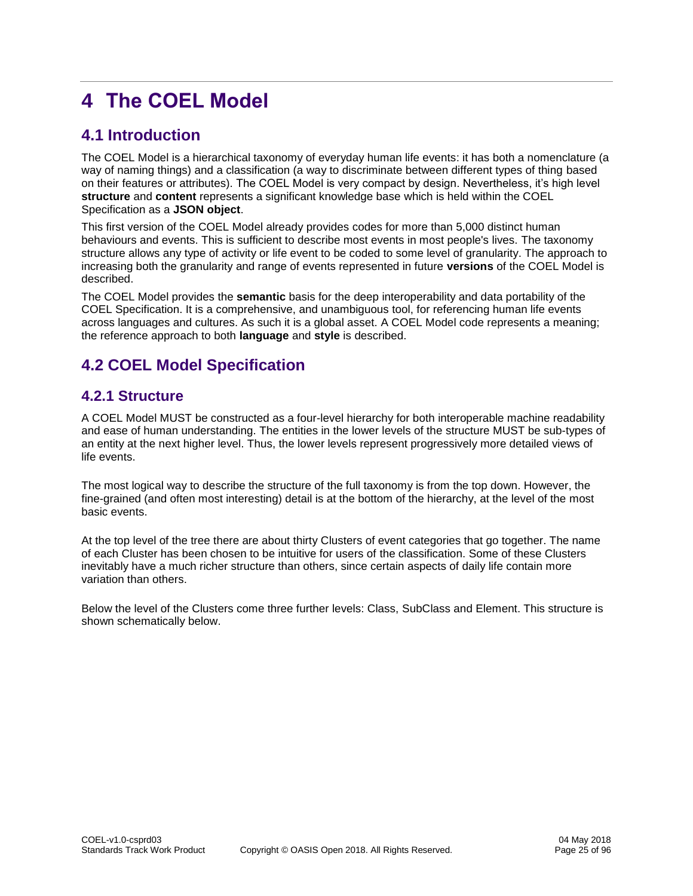# <span id="page-24-0"></span>**4 The COEL Model**

# <span id="page-24-1"></span>**4.1 Introduction**

The COEL Model is a hierarchical taxonomy of everyday human life events: it has both a nomenclature (a way of naming things) and a classification (a way to discriminate between different types of thing based on their features or attributes). The COEL Model is very compact by design. Nevertheless, it's high level **structure** and **content** represents a significant knowledge base which is held within the COEL Specification as a **JSON object**.

This first version of the COEL Model already provides codes for more than 5,000 distinct human behaviours and events. This is sufficient to describe most events in most people's lives. The taxonomy structure allows any type of activity or life event to be coded to some level of granularity. The approach to increasing both the granularity and range of events represented in future **versions** of the COEL Model is described.

The COEL Model provides the **semantic** basis for the deep interoperability and data portability of the COEL Specification. It is a comprehensive, and unambiguous tool, for referencing human life events across languages and cultures. As such it is a global asset. A COEL Model code represents a meaning; the reference approach to both **language** and **style** is described.

# <span id="page-24-2"></span>**4.2 COEL Model Specification**

# <span id="page-24-3"></span>**4.2.1 Structure**

A COEL Model MUST be constructed as a four-level hierarchy for both interoperable machine readability and ease of human understanding. The entities in the lower levels of the structure MUST be sub-types of an entity at the next higher level. Thus, the lower levels represent progressively more detailed views of life events.

The most logical way to describe the structure of the full taxonomy is from the top down. However, the fine-grained (and often most interesting) detail is at the bottom of the hierarchy, at the level of the most basic events.

At the top level of the tree there are about thirty Clusters of event categories that go together. The name of each Cluster has been chosen to be intuitive for users of the classification. Some of these Clusters inevitably have a much richer structure than others, since certain aspects of daily life contain more variation than others.

Below the level of the Clusters come three further levels: Class, SubClass and Element. This structure is shown schematically below.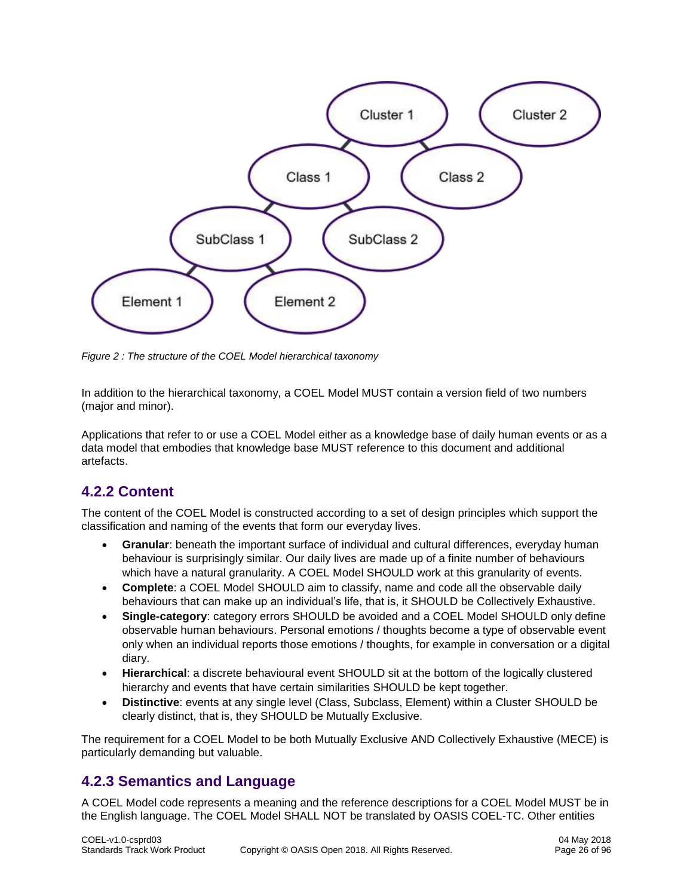

<span id="page-25-2"></span>*Figure 2 : The structure of the COEL Model hierarchical taxonomy*

In addition to the hierarchical taxonomy, a COEL Model MUST contain a version field of two numbers (major and minor).

Applications that refer to or use a COEL Model either as a knowledge base of daily human events or as a data model that embodies that knowledge base MUST reference to this document and additional artefacts.

# <span id="page-25-0"></span>**4.2.2 Content**

The content of the COEL Model is constructed according to a set of design principles which support the classification and naming of the events that form our everyday lives.

- **Granular**: beneath the important surface of individual and cultural differences, everyday human behaviour is surprisingly similar. Our daily lives are made up of a finite number of behaviours which have a natural granularity. A COEL Model SHOULD work at this granularity of events.
- **Complete**: a COEL Model SHOULD aim to classify, name and code all the observable daily behaviours that can make up an individual's life, that is, it SHOULD be Collectively Exhaustive.
- **Single-category**: category errors SHOULD be avoided and a COEL Model SHOULD only define observable human behaviours. Personal emotions / thoughts become a type of observable event only when an individual reports those emotions / thoughts, for example in conversation or a digital diary.
- **Hierarchical**: a discrete behavioural event SHOULD sit at the bottom of the logically clustered hierarchy and events that have certain similarities SHOULD be kept together.
- **Distinctive**: events at any single level (Class, Subclass, Element) within a Cluster SHOULD be clearly distinct, that is, they SHOULD be Mutually Exclusive.

The requirement for a COEL Model to be both Mutually Exclusive AND Collectively Exhaustive (MECE) is particularly demanding but valuable.

## <span id="page-25-1"></span>**4.2.3 Semantics and Language**

A COEL Model code represents a meaning and the reference descriptions for a COEL Model MUST be in the English language. The COEL Model SHALL NOT be translated by OASIS COEL-TC. Other entities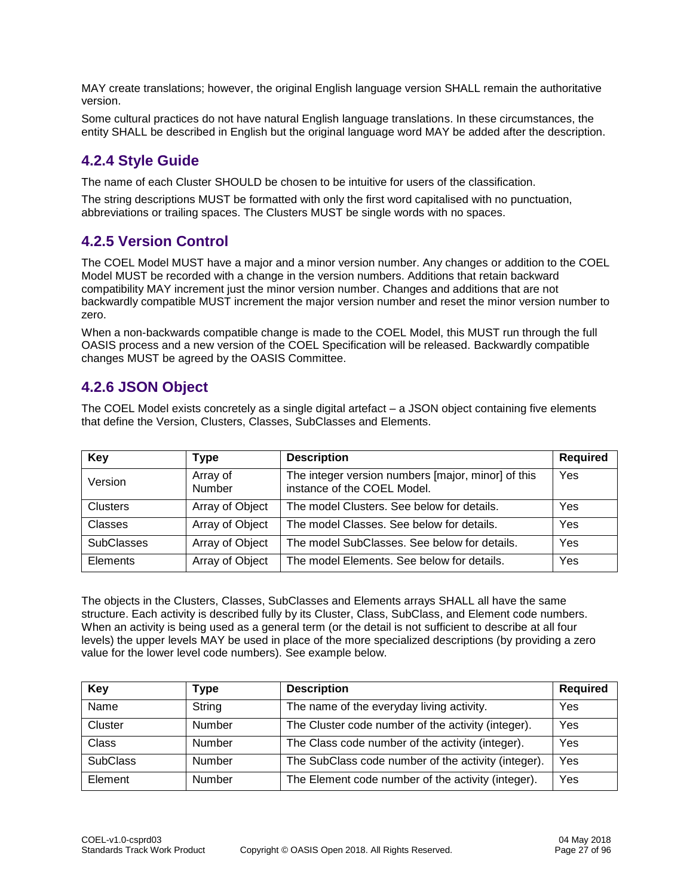MAY create translations; however, the original English language version SHALL remain the authoritative version.

Some cultural practices do not have natural English language translations. In these circumstances, the entity SHALL be described in English but the original language word MAY be added after the description.

# <span id="page-26-0"></span>**4.2.4 Style Guide**

The name of each Cluster SHOULD be chosen to be intuitive for users of the classification.

The string descriptions MUST be formatted with only the first word capitalised with no punctuation, abbreviations or trailing spaces. The Clusters MUST be single words with no spaces.

# <span id="page-26-1"></span>**4.2.5 Version Control**

The COEL Model MUST have a major and a minor version number. Any changes or addition to the COEL Model MUST be recorded with a change in the version numbers. Additions that retain backward compatibility MAY increment just the minor version number. Changes and additions that are not backwardly compatible MUST increment the major version number and reset the minor version number to zero.

When a non-backwards compatible change is made to the COEL Model, this MUST run through the full OASIS process and a new version of the COEL Specification will be released. Backwardly compatible changes MUST be agreed by the OASIS Committee.

# <span id="page-26-2"></span>**4.2.6 JSON Object**

The COEL Model exists concretely as a single digital artefact – a JSON object containing five elements that define the Version, Clusters, Classes, SubClasses and Elements.

| Key               | Type               | <b>Description</b>                                                                | <b>Required</b> |
|-------------------|--------------------|-----------------------------------------------------------------------------------|-----------------|
| Version           | Array of<br>Number | The integer version numbers [major, minor] of this<br>instance of the COEL Model. | Yes             |
| <b>Clusters</b>   | Array of Object    | The model Clusters. See below for details.                                        | Yes             |
| Classes           | Array of Object    | The model Classes. See below for details.                                         | Yes             |
| <b>SubClasses</b> | Array of Object    | The model SubClasses. See below for details.                                      | Yes             |
| Elements          | Array of Object    | The model Elements. See below for details.                                        | Yes             |

The objects in the Clusters, Classes, SubClasses and Elements arrays SHALL all have the same structure. Each activity is described fully by its Cluster, Class, SubClass, and Element code numbers. When an activity is being used as a general term (or the detail is not sufficient to describe at all four levels) the upper levels MAY be used in place of the more specialized descriptions (by providing a zero value for the lower level code numbers). See example below.

| Key             | <b>i</b> ype  | <b>Description</b>                                  | <b>Required</b> |
|-----------------|---------------|-----------------------------------------------------|-----------------|
| Name            | String        | The name of the everyday living activity.           | Yes             |
| Cluster         | Number        | The Cluster code number of the activity (integer).  | Yes             |
| <b>Class</b>    | Number        | The Class code number of the activity (integer).    | Yes             |
| <b>SubClass</b> | <b>Number</b> | The SubClass code number of the activity (integer). | Yes             |
| Element         | Number        | The Element code number of the activity (integer).  | Yes             |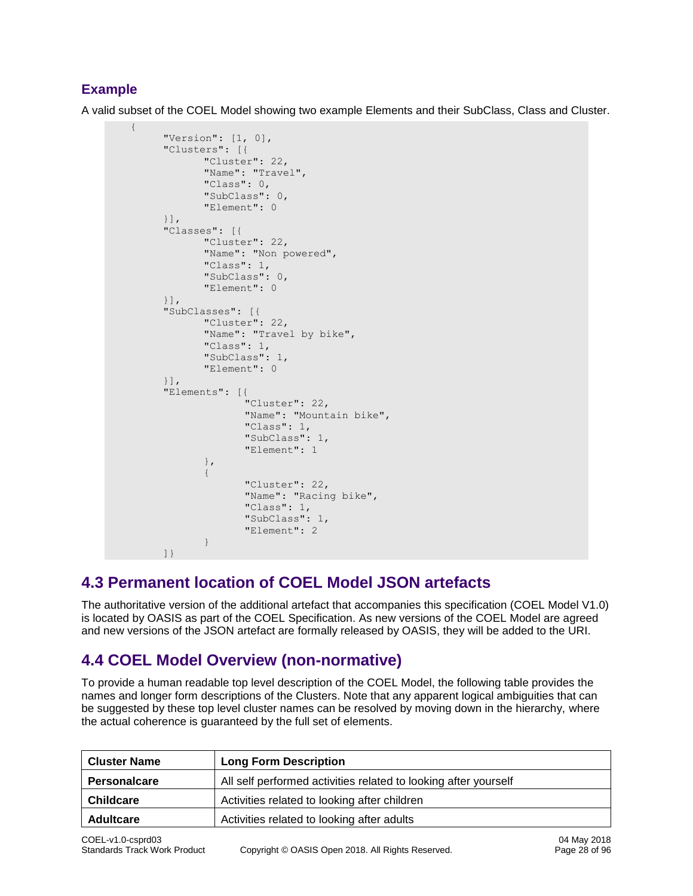## **Example**

A valid subset of the COEL Model showing two example Elements and their SubClass, Class and Cluster.

```
 {
                 "Version": [1, 0],
                 "Clusters": [{
                             "Cluster": 22,
                             "Name": "Travel",
                             "Class": 0,
                             "SubClass": 0,
                             "Element": 0
                 }],
                 "Classes": [{
                             "Cluster": 22,
                            "Name": "Non powered",
                             "Class": 1,
                             "SubClass": 0,
                             "Element": 0
                 }],
                 "SubClasses": [{
                            "Cluster": 22,
 "Name": "Travel by bike",
 "Class": 1,
                             "SubClass": 1,
                            "Element": 0
                 }],
                 "Elements": [{
                                         "Cluster": 22,
                                        "Name": "Mountain bike",
                                         "Class": 1,
                                         "SubClass": 1,
                                         "Element": 1
\}, \}, \}, \}, \}, \}, \}, \}, \}, \}, \}, \}, \}, \}, \}, \}, \}, \}, \}, \}, \}, \}, \}, \}, \}, \}, \}, \}, \}, \}, \}, \}, \}, \}, \}, \}, \},
\left\{ \begin{array}{cc} 0 & 0 & 0 \\ 0 & 0 & 0 \\ 0 & 0 & 0 \\ 0 & 0 & 0 \\ 0 & 0 & 0 \\ 0 & 0 & 0 \\ 0 & 0 & 0 \\ 0 & 0 & 0 \\ 0 & 0 & 0 \\ 0 & 0 & 0 \\ 0 & 0 & 0 \\ 0 & 0 & 0 \\ 0 & 0 & 0 & 0 \\ 0 & 0 & 0 & 0 \\ 0 & 0 & 0 & 0 \\ 0 & 0 & 0 & 0 & 0 \\ 0 & 0 & 0 & 0 & 0 \\ 0 & 0 & 0 & 0 & 0 \\ 0 & 0 & 0 & 0 & 0 & 0 \\ 0 "Cluster": 22,
                                         "Name": "Racing bike",
                                         "Class": 1,
                                         "SubClass": 1,
                                         "Element": 2
 }
 ]}
```
# <span id="page-27-0"></span>**4.3 Permanent location of COEL Model JSON artefacts**

The authoritative version of the additional artefact that accompanies this specification (COEL Model V1.0) is located by OASIS as part of the COEL Specification. As new versions of the COEL Model are agreed and new versions of the JSON artefact are formally released by OASIS, they will be added to the URI.

# <span id="page-27-1"></span>**4.4 COEL Model Overview (non-normative)**

To provide a human readable top level description of the COEL Model, the following table provides the names and longer form descriptions of the Clusters. Note that any apparent logical ambiguities that can be suggested by these top level cluster names can be resolved by moving down in the hierarchy, where the actual coherence is guaranteed by the full set of elements.

| <b>Cluster Name</b> | <b>Long Form Description</b>                                    |
|---------------------|-----------------------------------------------------------------|
| <b>Personalcare</b> | All self performed activities related to looking after yourself |
| <b>Childcare</b>    | Activities related to looking after children                    |
| <b>Adultcare</b>    | Activities related to looking after adults                      |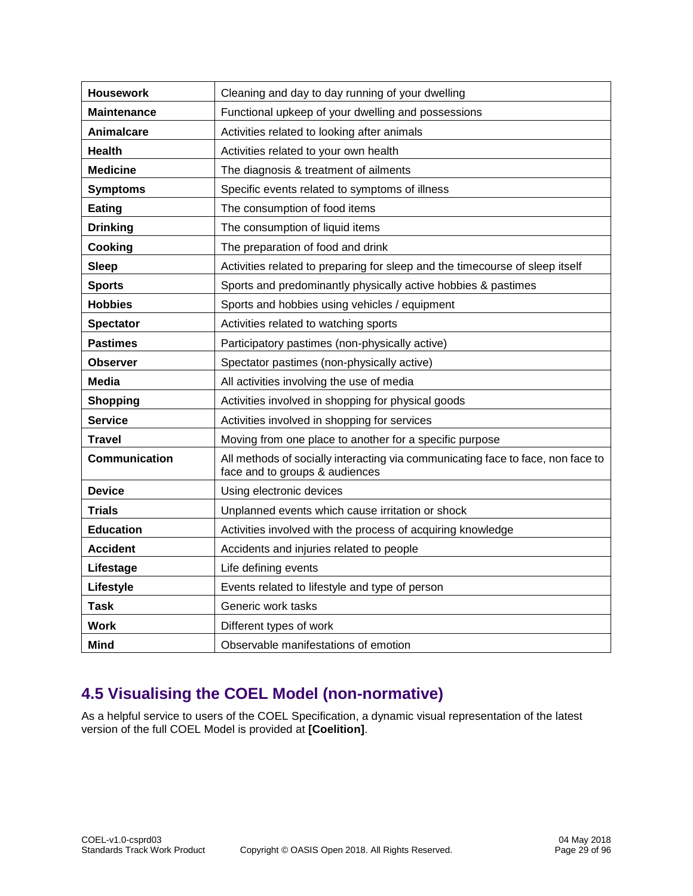| <b>Housework</b>     | Cleaning and day to day running of your dwelling                                                                  |
|----------------------|-------------------------------------------------------------------------------------------------------------------|
| <b>Maintenance</b>   | Functional upkeep of your dwelling and possessions                                                                |
| Animalcare           | Activities related to looking after animals                                                                       |
| <b>Health</b>        | Activities related to your own health                                                                             |
| <b>Medicine</b>      | The diagnosis & treatment of ailments                                                                             |
| <b>Symptoms</b>      | Specific events related to symptoms of illness                                                                    |
| Eating               | The consumption of food items                                                                                     |
| <b>Drinking</b>      | The consumption of liquid items                                                                                   |
| Cooking              | The preparation of food and drink                                                                                 |
| <b>Sleep</b>         | Activities related to preparing for sleep and the timecourse of sleep itself                                      |
| <b>Sports</b>        | Sports and predominantly physically active hobbies & pastimes                                                     |
| <b>Hobbies</b>       | Sports and hobbies using vehicles / equipment                                                                     |
| <b>Spectator</b>     | Activities related to watching sports                                                                             |
| <b>Pastimes</b>      | Participatory pastimes (non-physically active)                                                                    |
| Observer             | Spectator pastimes (non-physically active)                                                                        |
| Media                | All activities involving the use of media                                                                         |
| <b>Shopping</b>      | Activities involved in shopping for physical goods                                                                |
| <b>Service</b>       | Activities involved in shopping for services                                                                      |
| <b>Travel</b>        | Moving from one place to another for a specific purpose                                                           |
| <b>Communication</b> | All methods of socially interacting via communicating face to face, non face to<br>face and to groups & audiences |
| <b>Device</b>        | Using electronic devices                                                                                          |
| <b>Trials</b>        | Unplanned events which cause irritation or shock                                                                  |
| <b>Education</b>     | Activities involved with the process of acquiring knowledge                                                       |
| <b>Accident</b>      | Accidents and injuries related to people                                                                          |
| Lifestage            | Life defining events                                                                                              |
| Lifestyle            | Events related to lifestyle and type of person                                                                    |
| <b>Task</b>          | Generic work tasks                                                                                                |
| <b>Work</b>          | Different types of work                                                                                           |
| Mind                 | Observable manifestations of emotion                                                                              |

# <span id="page-28-0"></span>**4.5 Visualising the COEL Model (non-normative)**

As a helpful service to users of the COEL Specification, a dynamic visual representation of the latest version of the full COEL Model is provided at **[Coelition]**.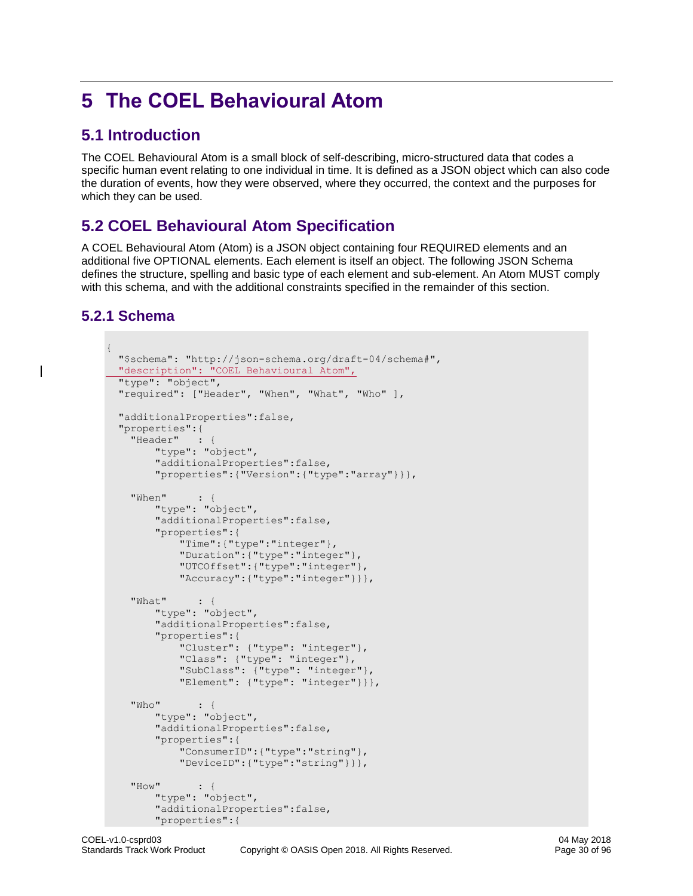# <span id="page-29-0"></span>**5 The COEL Behavioural Atom**

# <span id="page-29-1"></span>**5.1 Introduction**

The COEL Behavioural Atom is a small block of self-describing, micro-structured data that codes a specific human event relating to one individual in time. It is defined as a JSON object which can also code the duration of events, how they were observed, where they occurred, the context and the purposes for which they can be used.

# <span id="page-29-2"></span>**5.2 COEL Behavioural Atom Specification**

A COEL Behavioural Atom (Atom) is a JSON object containing four REQUIRED elements and an additional five OPTIONAL elements. Each element is itself an object. The following JSON Schema defines the structure, spelling and basic type of each element and sub-element. An Atom MUST comply with this schema, and with the additional constraints specified in the remainder of this section.

# <span id="page-29-3"></span>**5.2.1 Schema**

```
{
  "$schema": "http://json-schema.org/draft-04/schema#",
  "description": "COEL Behavioural Atom",
  "type": "object",
  "required": ["Header", "When", "What", "Who" ], 
  "additionalProperties":false,
  "properties":{
    "Header" : {
         "type": "object",
         "additionalProperties":false,
         "properties":{"Version":{"type":"array"}}},
     "When" : {
         "type": "object",
         "additionalProperties":false,
         "properties":{
             "Time":{"type":"integer"},
             "Duration":{"type":"integer"},
             "UTCOffset":{"type":"integer"},
             "Accuracy":{"type":"integer"}}},
     "What" : {
         "type": "object",
         "additionalProperties":false,
         "properties":{
             "Cluster": {"type": "integer"},
             "Class": {"type": "integer"},
             "SubClass": {"type": "integer"},
             "Element": {"type": "integer"}}},
     "Who" : {
         "type": "object",
         "additionalProperties":false,
         "properties":{
             "ConsumerID":{"type":"string"},
             "DeviceID":{"type":"string"}}},
     "How" : {
         "type": "object",
         "additionalProperties":false,
         "properties":{
```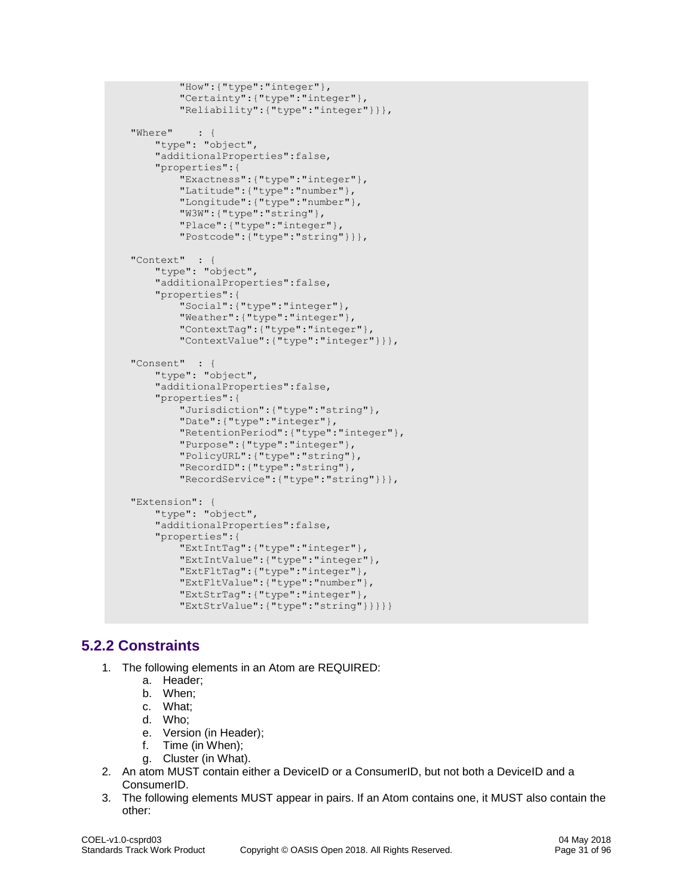```
 "How":{"type":"integer"},
         "Certainty":{"type":"integer"},
         "Reliability":{"type":"integer"}}},
 "Where" : {
     "type": "object",
     "additionalProperties":false,
     "properties":{
         "Exactness":{"type":"integer"},
         "Latitude":{"type":"number"},
         "Longitude":{"type":"number"},
         "W3W":{"type":"string"},
         "Place":{"type":"integer"},
         "Postcode":{"type":"string"}}},
 "Context" : {
     "type": "object",
     "additionalProperties":false,
     "properties":{
        .<br>"Social":{"type":"integer"},
         "Weather":{"type":"integer"},
         "ContextTag":{"type":"integer"},
         "ContextValue":{"type":"integer"}}},
 "Consent" : {
     "type": "object",
     "additionalProperties":false,
     "properties":{
         "Jurisdiction":{"type":"string"},
         "Date":{"type":"integer"},
         "RetentionPeriod":{"type":"integer"},
         "Purpose":{"type":"integer"},
         "PolicyURL":{"type":"string"},
         "RecordID":{"type":"string"},
         "RecordService":{"type":"string"}}},
 "Extension": {
     "type": "object",
     "additionalProperties":false,
     "properties":{
         "ExtIntTag":{"type":"integer"},
         "ExtIntValue":{"type":"integer"},
         "ExtFltTag":{"type":"integer"},
         "ExtFltValue":{"type":"number"},
         "ExtStrTag":{"type":"integer"},
         "ExtStrValue":{"type":"string"}}}}}
```
# <span id="page-30-0"></span>**5.2.2 Constraints**

- 1. The following elements in an Atom are REQUIRED:
	- a. Header;
	- b. When;
	- c. What;
	- d. Who;
	- e. Version (in Header);
	- f. Time (in When);
	- g. Cluster (in What).
- 2. An atom MUST contain either a DeviceID or a ConsumerID, but not both a DeviceID and a ConsumerID.
- 3. The following elements MUST appear in pairs. If an Atom contains one, it MUST also contain the other: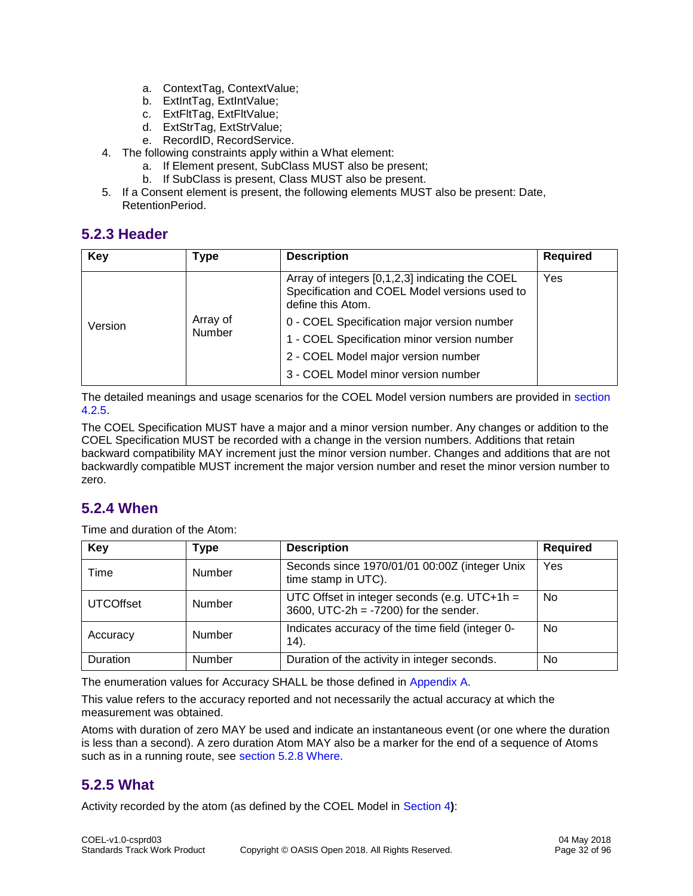- a. ContextTag, ContextValue;
- b. ExtIntTag, ExtIntValue;
- c. ExtFltTag, ExtFltValue;
- d. ExtStrTag, ExtStrValue;
- e. RecordID, RecordService.
- 4. The following constraints apply within a What element:
	- a. If Element present, SubClass MUST also be present;
	- b. If SubClass is present, Class MUST also be present.
- 5. If a Consent element is present, the following elements MUST also be present: Date, RetentionPeriod.

# <span id="page-31-0"></span>**5.2.3 Header**

| <b>Key</b> | Type               | <b>Description</b>                                                                                                    | <b>Required</b> |
|------------|--------------------|-----------------------------------------------------------------------------------------------------------------------|-----------------|
| Version    |                    | Array of integers [0,1,2,3] indicating the COEL<br>Specification and COEL Model versions used to<br>define this Atom. | Yes             |
|            | Array of<br>Number | 0 - COEL Specification major version number                                                                           |                 |
|            |                    | 1 - COEL Specification minor version number                                                                           |                 |
|            |                    | 2 - COEL Model major version number                                                                                   |                 |
|            |                    | 3 - COEL Model minor version number                                                                                   |                 |

The detailed meanings and usage scenarios for the COEL Model version numbers are provided in [section](#page-26-1)  [4.2.5.](#page-26-1)

The COEL Specification MUST have a major and a minor version number. Any changes or addition to the COEL Specification MUST be recorded with a change in the version numbers. Additions that retain backward compatibility MAY increment just the minor version number. Changes and additions that are not backwardly compatible MUST increment the major version number and reset the minor version number to zero.

# <span id="page-31-1"></span>**5.2.4 When**

Time and duration of the Atom:

| Key              | <b>Type</b> | <b>Description</b>                                                                       | <b>Required</b> |
|------------------|-------------|------------------------------------------------------------------------------------------|-----------------|
| Time             | Number      | Seconds since 1970/01/01 00:00Z (integer Unix<br>time stamp in UTC).                     | Yes             |
| <b>UTCOffset</b> | Number      | UTC Offset in integer seconds (e.g. UTC+1h =<br>3600, UTC-2h = $-7200$ ) for the sender. | No              |
| Accuracy         | Number      | Indicates accuracy of the time field (integer 0-<br>$(14)$ .                             | No.             |
| Duration         | Number      | Duration of the activity in integer seconds.                                             | No              |

The enumeration values for Accuracy SHALL be those defined in [Appendix A.](#page-81-0)

This value refers to the accuracy reported and not necessarily the actual accuracy at which the measurement was obtained.

Atoms with duration of zero MAY be used and indicate an instantaneous event (or one where the duration is less than a second). A zero duration Atom MAY also be a marker for the end of a sequence of Atoms such as in a running route, see [section 5.2.8 Where.](#page-32-2)

# <span id="page-31-2"></span>**5.2.5 What**

Activity recorded by the atom (as defined by the COEL Model in [Section 4](#page-24-0)**)**: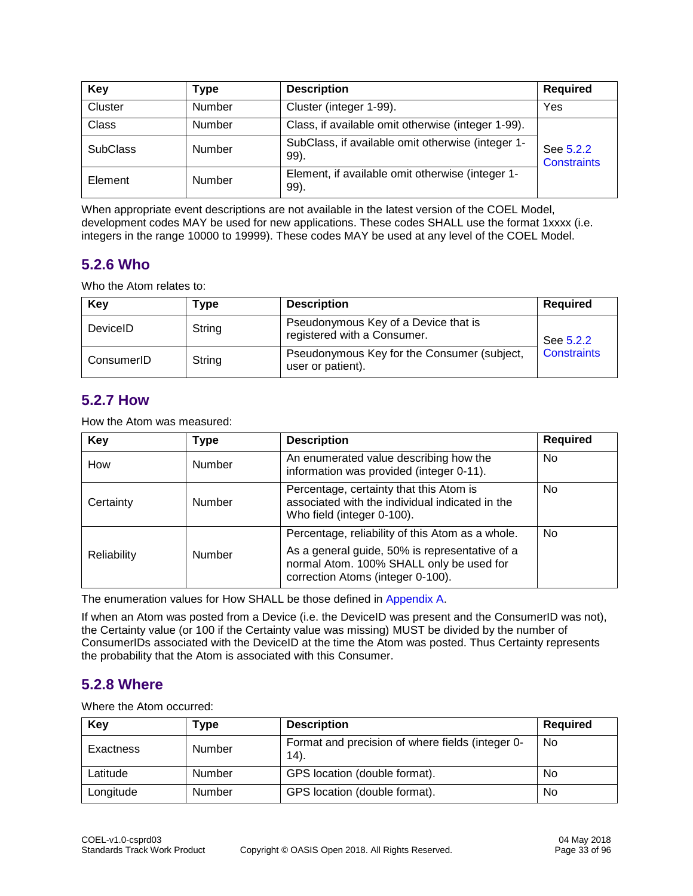| Key             | Type          | <b>Description</b>                                        | <b>Required</b>                 |
|-----------------|---------------|-----------------------------------------------------------|---------------------------------|
| Cluster         | Number        | Cluster (integer 1-99).                                   | Yes                             |
| <b>Class</b>    | <b>Number</b> | Class, if available omit otherwise (integer 1-99).        |                                 |
| <b>SubClass</b> | Number        | SubClass, if available omit otherwise (integer 1-<br>99). | See 5.2.2<br><b>Constraints</b> |
| Element         | Number        | Element, if available omit otherwise (integer 1-<br>99).  |                                 |

When appropriate event descriptions are not available in the latest version of the COEL Model, development codes MAY be used for new applications. These codes SHALL use the format 1xxxx (i.e. integers in the range 10000 to 19999). These codes MAY be used at any level of the COEL Model.

# <span id="page-32-0"></span>**5.2.6 Who**

Who the Atom relates to:

| Key        | Type   | <b>Description</b>                                                  | <b>Required</b>    |
|------------|--------|---------------------------------------------------------------------|--------------------|
| DeviceID   | String | Pseudonymous Key of a Device that is<br>registered with a Consumer. | See 5.2.2          |
| ConsumerID | String | Pseudonymous Key for the Consumer (subject,<br>user or patient).    | <b>Constraints</b> |

## <span id="page-32-1"></span>**5.2.7 How**

How the Atom was measured:

| Key         | Type   | <b>Description</b>                                                                                                                                                                  | <b>Required</b> |
|-------------|--------|-------------------------------------------------------------------------------------------------------------------------------------------------------------------------------------|-----------------|
| How         | Number | An enumerated value describing how the<br>information was provided (integer 0-11).                                                                                                  | No.             |
| Certainty   | Number | Percentage, certainty that this Atom is<br>associated with the individual indicated in the<br>Who field (integer 0-100).                                                            | No.             |
| Reliability | Number | Percentage, reliability of this Atom as a whole.<br>As a general guide, 50% is representative of a<br>normal Atom. 100% SHALL only be used for<br>correction Atoms (integer 0-100). | No.             |

The enumeration values for How SHALL be those defined in [Appendix A.](#page-81-0)

If when an Atom was posted from a Device (i.e. the DeviceID was present and the ConsumerID was not), the Certainty value (or 100 if the Certainty value was missing) MUST be divided by the number of ConsumerIDs associated with the DeviceID at the time the Atom was posted. Thus Certainty represents the probability that the Atom is associated with this Consumer.

## <span id="page-32-2"></span>**5.2.8 Where**

Where the Atom occurred:

| Key       | Type   | <b>Description</b>                                       | <b>Required</b> |
|-----------|--------|----------------------------------------------------------|-----------------|
| Exactness | Number | Format and precision of where fields (integer 0-<br>14). | No.             |
| Latitude  | Number | GPS location (double format).                            | No              |
| Longitude | Number | GPS location (double format).                            | No              |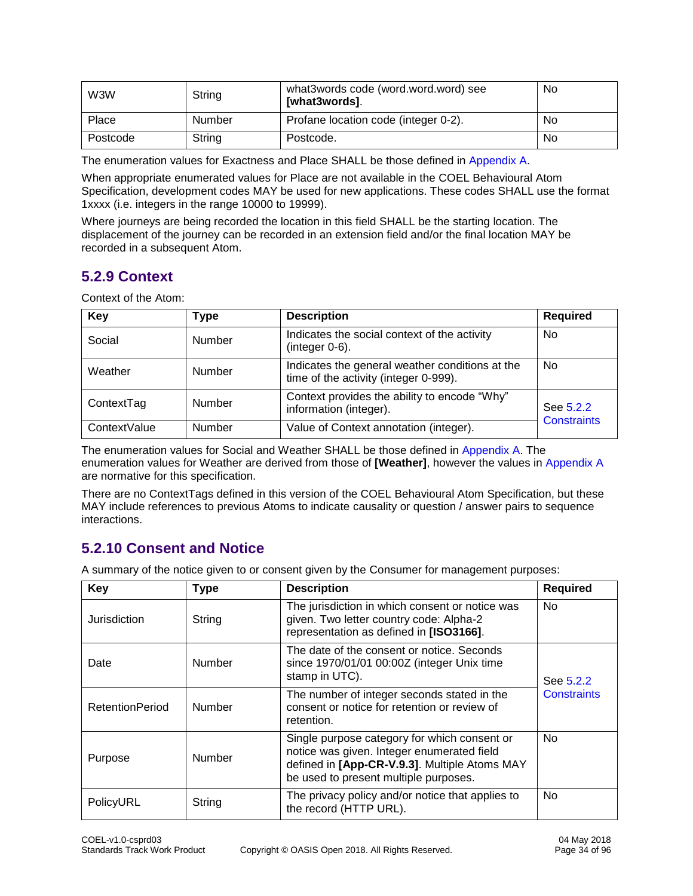| W3W      | String | what3words code (word.word.word) see<br>[what3words]. | No |
|----------|--------|-------------------------------------------------------|----|
| Place    | Number | Profane location code (integer 0-2).                  | No |
| Postcode | String | Postcode.                                             | No |

The enumeration values for Exactness and Place SHALL be those defined in [Appendix A.](#page-81-0)

When appropriate enumerated values for Place are not available in the COEL Behavioural Atom Specification, development codes MAY be used for new applications. These codes SHALL use the format 1xxxx (i.e. integers in the range 10000 to 19999).

Where journeys are being recorded the location in this field SHALL be the starting location. The displacement of the journey can be recorded in an extension field and/or the final location MAY be recorded in a subsequent Atom.

# <span id="page-33-0"></span>**5.2.9 Context**

Context of the Atom:

| Key          | <b>Type</b> | <b>Description</b>                                                                       | <b>Required</b>    |
|--------------|-------------|------------------------------------------------------------------------------------------|--------------------|
| Social       | Number      | Indicates the social context of the activity<br>$(integer 0-6).$                         | No.                |
| Weather      | Number      | Indicates the general weather conditions at the<br>time of the activity (integer 0-999). | No.                |
| ContextTag   | Number      | Context provides the ability to encode "Why"<br>information (integer).                   | See 5.2.2          |
| ContextValue | Number      | Value of Context annotation (integer).                                                   | <b>Constraints</b> |

The enumeration values for Social and Weather SHALL be those defined in [Appendix A.](#page-81-0) The enumeration values for Weather are derived from those of **[Weather]**, however the values in [Appendix A](#page-81-0) are normative for this specification.

There are no ContextTags defined in this version of the COEL Behavioural Atom Specification, but these MAY include references to previous Atoms to indicate causality or question / answer pairs to sequence interactions.

# <span id="page-33-1"></span>**5.2.10 Consent and Notice**

A summary of the notice given to or consent given by the Consumer for management purposes:

| Key                    | <b>Type</b> | <b>Description</b>                                                                                                                                                                   | <b>Required</b>    |
|------------------------|-------------|--------------------------------------------------------------------------------------------------------------------------------------------------------------------------------------|--------------------|
| Jurisdiction           | String      | The jurisdiction in which consent or notice was<br>given. Two letter country code: Alpha-2<br>representation as defined in [ISO3166].                                                | No.                |
| Date                   | Number      | The date of the consent or notice. Seconds<br>since 1970/01/01 00:00Z (integer Unix time<br>stamp in UTC).                                                                           | See 5.2.2          |
| <b>RetentionPeriod</b> | Number      | The number of integer seconds stated in the<br>consent or notice for retention or review of<br>retention.                                                                            | <b>Constraints</b> |
| Purpose                | Number      | Single purpose category for which consent or<br>notice was given. Integer enumerated field<br>defined in [App-CR-V.9.3]. Multiple Atoms MAY<br>be used to present multiple purposes. | <b>No</b>          |
| PolicyURL              | String      | The privacy policy and/or notice that applies to<br>the record (HTTP URL).                                                                                                           | No.                |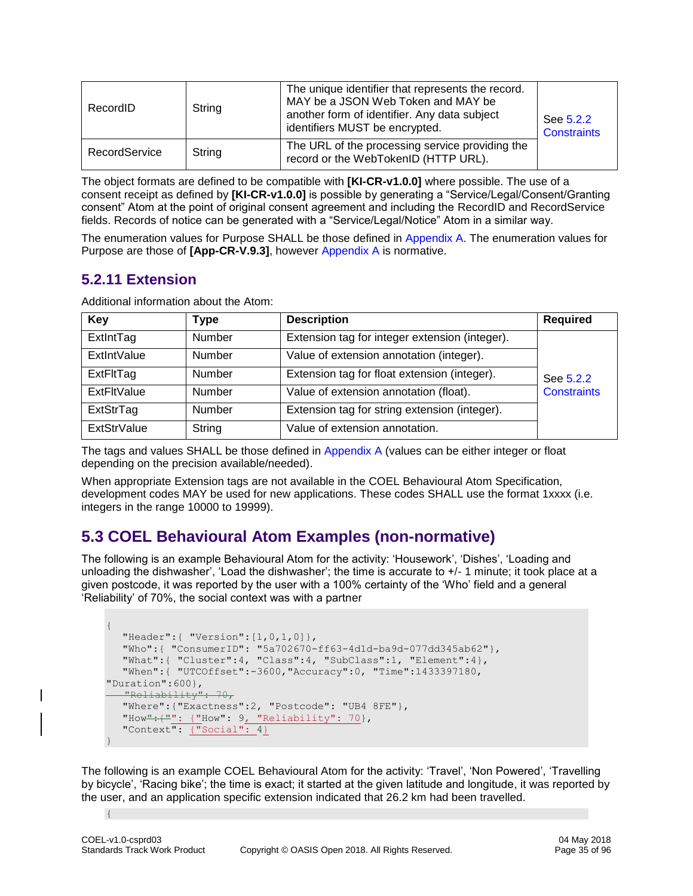| RecordID      | String | The unique identifier that represents the record.<br>MAY be a JSON Web Token and MAY be<br>another form of identifier. Any data subject<br>identifiers MUST be encrypted. | See 5.2.2<br><b>Constraints</b> |
|---------------|--------|---------------------------------------------------------------------------------------------------------------------------------------------------------------------------|---------------------------------|
| RecordService | String | The URL of the processing service providing the<br>record or the WebTokenID (HTTP URL).                                                                                   |                                 |

The object formats are defined to be compatible with **[KI-CR-v1.0.0]** where possible. The use of a consent receipt as defined by **[KI-CR-v1.0.0]** is possible by generating a "Service/Legal/Consent/Granting consent" Atom at the point of original consent agreement and including the RecordID and RecordService fields. Records of notice can be generated with a "Service/Legal/Notice" Atom in a similar way.

The enumeration values for Purpose SHALL be those defined in [Appendix A.](#page-81-0) The enumeration values for Purpose are those of **[App-CR-V.9.3]**, however [Appendix A](#page-81-0) is normative.

# <span id="page-34-0"></span>**5.2.11 Extension**

Additional information about the Atom:

| Key                | Type          | <b>Description</b>                             | <b>Required</b>    |
|--------------------|---------------|------------------------------------------------|--------------------|
| ExtintTag          | <b>Number</b> | Extension tag for integer extension (integer). | See 5.2.2          |
| <b>ExtintValue</b> | <b>Number</b> | Value of extension annotation (integer).       |                    |
| ExtFltTag          | <b>Number</b> | Extension tag for float extension (integer).   |                    |
| <b>ExtFltValue</b> | <b>Number</b> | Value of extension annotation (float).         | <b>Constraints</b> |
| ExtStrTag          | <b>Number</b> | Extension tag for string extension (integer).  |                    |
| <b>ExtStrValue</b> | String        | Value of extension annotation.                 |                    |

The tags and values SHALL be those defined in [Appendix A](#page-81-0) (values can be either integer or float depending on the precision available/needed).

When appropriate Extension tags are not available in the COEL Behavioural Atom Specification, development codes MAY be used for new applications. These codes SHALL use the format 1xxxx (i.e. integers in the range 10000 to 19999).

# <span id="page-34-1"></span>**5.3 COEL Behavioural Atom Examples (non-normative)**

The following is an example Behavioural Atom for the activity: 'Housework', 'Dishes', 'Loading and unloading the dishwasher', 'Load the dishwasher'; the time is accurate to  $+/-1$  minute; it took place at a given postcode, it was reported by the user with a 100% certainty of the 'Who' field and a general 'Reliability' of 70%, the social context was with a partner

```
{
  "Header":{ "Version":[1,0,1,0]},
  "Who":{ "ConsumerID": "5a702670-ff63-4d1d-ba9d-077dd345ab62"},
  "What":{ "Cluster":4, "Class":4, "SubClass":1, "Element":4},
  "When":{ "UTCOffset":-3600,"Accuracy":0, "Time":1433397180, 
"Duration":600},
   "Reliability": 70,
  "Where":{"Exactness":2, "Postcode": "UB4 8FE"},
   "How":{\frac{1}{2}": {"How": 9, "Reliability": 70},
   "Context": {"Social": 4}
}
```
The following is an example COEL Behavioural Atom for the activity: 'Travel', 'Non Powered', 'Travelling by bicycle', 'Racing bike'; the time is exact; it started at the given latitude and longitude, it was reported by the user, and an application specific extension indicated that 26.2 km had been travelled.

{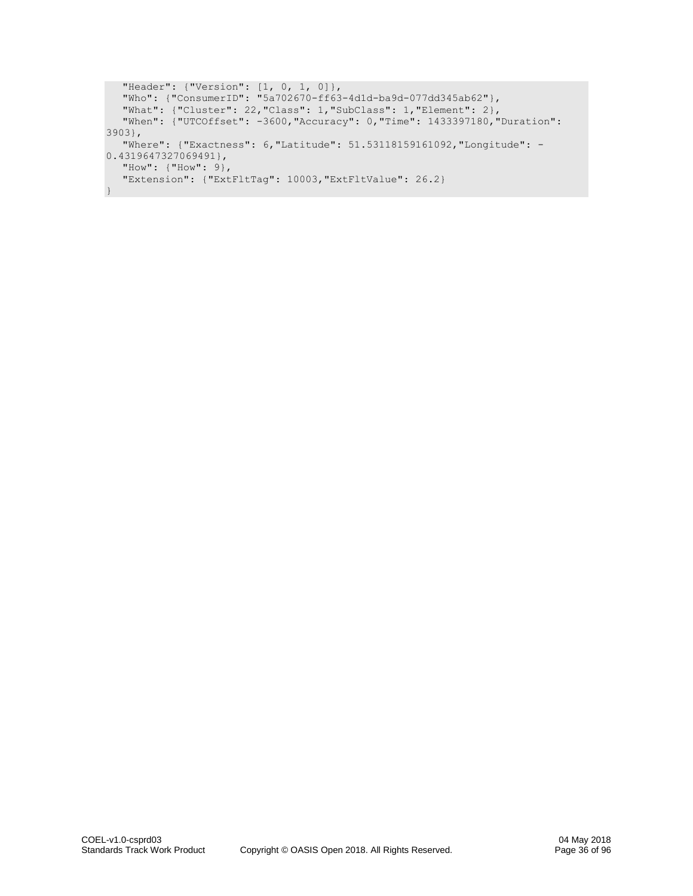```
"Header": {"Version": [1, 0, 1, 0]},
   "Who": {"ConsumerID": "5a702670-ff63-4d1d-ba9d-077dd345ab62"},
  "What": {"Cluster": 22,"Class": 1,"SubClass": 1,"Element": 2},
  "When": {"UTCOffset": -3600,"Accuracy": 0,"Time": 1433397180,"Duration": 
3903},
  "Where": {"Exactness": 6,"Latitude": 51.53118159161092,"Longitude": -
0.4319647327069491},
   "How": {"How": 9},
   "Extension": {"ExtFltTag": 10003,"ExtFltValue": 26.2}
}
```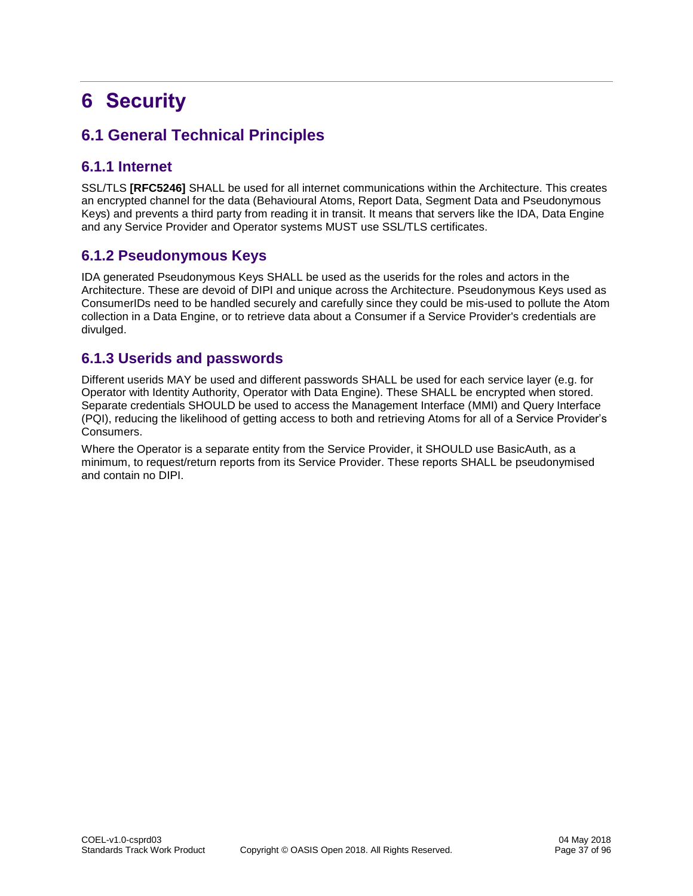# **6 Security**

# **6.1 General Technical Principles**

# **6.1.1 Internet**

SSL/TLS **[RFC5246]** SHALL be used for all internet communications within the Architecture. This creates an encrypted channel for the data (Behavioural Atoms, Report Data, Segment Data and Pseudonymous Keys) and prevents a third party from reading it in transit. It means that servers like the IDA, Data Engine and any Service Provider and Operator systems MUST use SSL/TLS certificates.

# **6.1.2 Pseudonymous Keys**

IDA generated Pseudonymous Keys SHALL be used as the userids for the roles and actors in the Architecture. These are devoid of DIPI and unique across the Architecture. Pseudonymous Keys used as ConsumerIDs need to be handled securely and carefully since they could be mis-used to pollute the Atom collection in a Data Engine, or to retrieve data about a Consumer if a Service Provider's credentials are divulged.

# **6.1.3 Userids and passwords**

Different userids MAY be used and different passwords SHALL be used for each service layer (e.g. for Operator with Identity Authority, Operator with Data Engine). These SHALL be encrypted when stored. Separate credentials SHOULD be used to access the Management Interface (MMI) and Query Interface (PQI), reducing the likelihood of getting access to both and retrieving Atoms for all of a Service Provider's Consumers.

Where the Operator is a separate entity from the Service Provider, it SHOULD use BasicAuth, as a minimum, to request/return reports from its Service Provider. These reports SHALL be pseudonymised and contain no DIPI.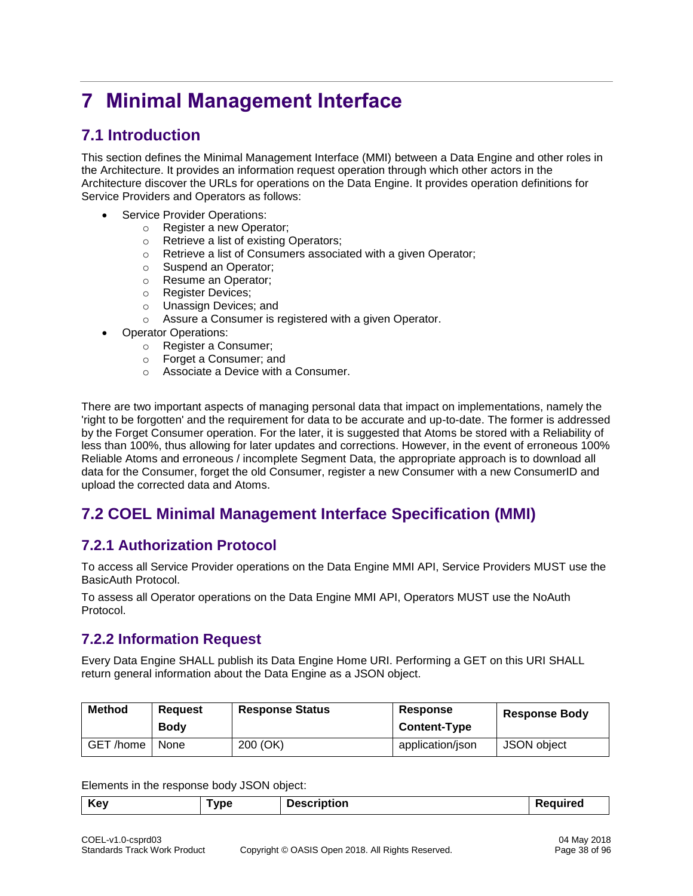# <span id="page-37-1"></span>**7 Minimal Management Interface**

# **7.1 Introduction**

This section defines the Minimal Management Interface (MMI) between a Data Engine and other roles in the Architecture. It provides an information request operation through which other actors in the Architecture discover the URLs for operations on the Data Engine. It provides operation definitions for Service Providers and Operators as follows:

- Service Provider Operations:
	- o Register a new Operator;
	- o Retrieve a list of existing Operators;
	- o Retrieve a list of Consumers associated with a given Operator;
	- o Suspend an Operator;
	- o Resume an Operator;
	- o Register Devices;
	- o Unassign Devices; and
	- o Assure a Consumer is registered with a given Operator.
- Operator Operations:
	- o Register a Consumer;
	- o Forget a Consumer; and
	- o Associate a Device with a Consumer.

There are two important aspects of managing personal data that impact on implementations, namely the 'right to be forgotten' and the requirement for data to be accurate and up-to-date. The former is addressed by the Forget Consumer operation. For the later, it is suggested that Atoms be stored with a Reliability of less than 100%, thus allowing for later updates and corrections. However, in the event of erroneous 100% Reliable Atoms and erroneous / incomplete Segment Data, the appropriate approach is to download all data for the Consumer, forget the old Consumer, register a new Consumer with a new ConsumerID and upload the corrected data and Atoms.

# **7.2 COEL Minimal Management Interface Specification (MMI)**

# **7.2.1 Authorization Protocol**

To access all Service Provider operations on the Data Engine MMI API, Service Providers MUST use the BasicAuth Protocol.

To assess all Operator operations on the Data Engine MMI API, Operators MUST use the NoAuth Protocol.

# <span id="page-37-0"></span>**7.2.2 Information Request**

Every Data Engine SHALL publish its Data Engine Home URI. Performing a GET on this URI SHALL return general information about the Data Engine as a JSON object.

| <b>Method</b> | <b>Reguest</b><br><b>Body</b> | <b>Response Status</b> | Response<br><b>Content-Type</b> | <b>Response Body</b> |
|---------------|-------------------------------|------------------------|---------------------------------|----------------------|
| GET /home     | None                          | 200 (OK)               | application/json                | JSON object          |

Elements in the response body JSON object: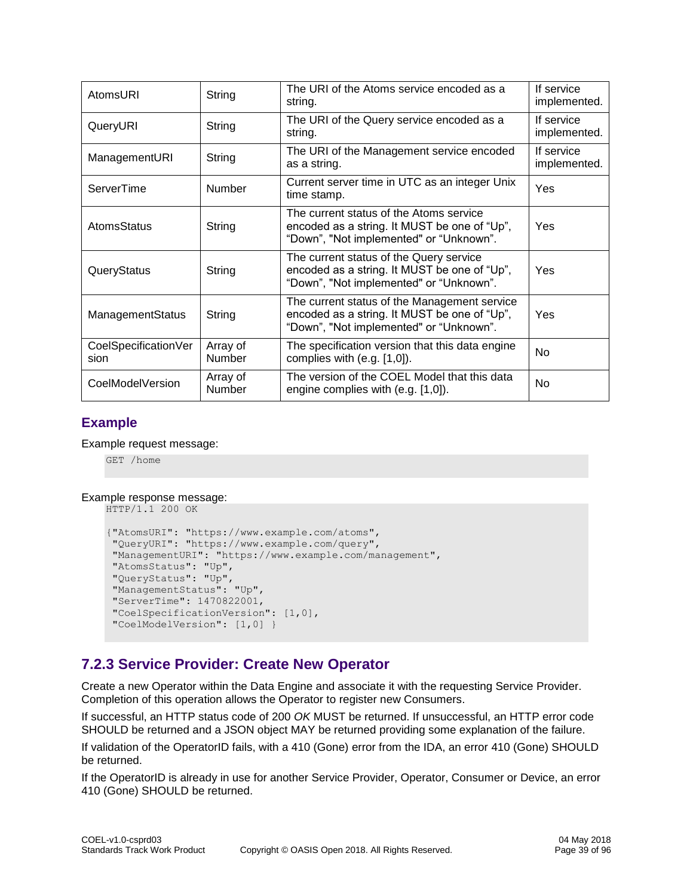| AtomsURI                     | String                    | The URI of the Atoms service encoded as a<br>string.                                                                                    | If service<br>implemented. |
|------------------------------|---------------------------|-----------------------------------------------------------------------------------------------------------------------------------------|----------------------------|
| QueryURI                     | String                    | The URI of the Query service encoded as a<br>string.                                                                                    | If service<br>implemented. |
| ManagementURI                | String                    | The URI of the Management service encoded<br>as a string.                                                                               | If service<br>implemented. |
| ServerTime                   | Number                    | Current server time in UTC as an integer Unix<br>time stamp.                                                                            | Yes                        |
| AtomsStatus                  | String                    | The current status of the Atoms service<br>encoded as a string. It MUST be one of "Up",<br>"Down", "Not implemented" or "Unknown".      | Yes                        |
| QueryStatus                  | String                    | The current status of the Query service<br>encoded as a string. It MUST be one of "Up",<br>"Down", "Not implemented" or "Unknown".      | Yes                        |
| <b>ManagementStatus</b>      | String                    | The current status of the Management service<br>encoded as a string. It MUST be one of "Up",<br>"Down", "Not implemented" or "Unknown". | Yes                        |
| CoelSpecificationVer<br>sion | Array of<br><b>Number</b> | The specification version that this data engine<br>complies with $(e.g. [1,0])$ .                                                       | <b>No</b>                  |
| CoelModelVersion             | Array of<br>Number        | The version of the COEL Model that this data<br>engine complies with (e.g. [1,0]).                                                      | No.                        |

# **Example**

### Example request message:

GET /home

### Example response message:

```
HTTP/1.1 200 OK
```

```
{"AtomsURI": "https://www.example.com/atoms",
"QueryURI": "https://www.example.com/query",
"ManagementURI": "https://www.example.com/management", 
"AtomsStatus": "Up",
"QueryStatus": "Up",
"ManagementStatus": "Up",
"ServerTime": 1470822001,
"CoelSpecificationVersion": [1,0], 
"CoelModelVersion": [1,0] }
```
# **7.2.3 Service Provider: Create New Operator**

Create a new Operator within the Data Engine and associate it with the requesting Service Provider. Completion of this operation allows the Operator to register new Consumers.

If successful, an HTTP status code of 200 *OK* MUST be returned. If unsuccessful, an HTTP error code SHOULD be returned and a JSON object MAY be returned providing some explanation of the failure.

If validation of the OperatorID fails, with a 410 (Gone) error from the IDA, an error 410 (Gone) SHOULD be returned.

If the OperatorID is already in use for another Service Provider, Operator, Consumer or Device, an error 410 (Gone) SHOULD be returned.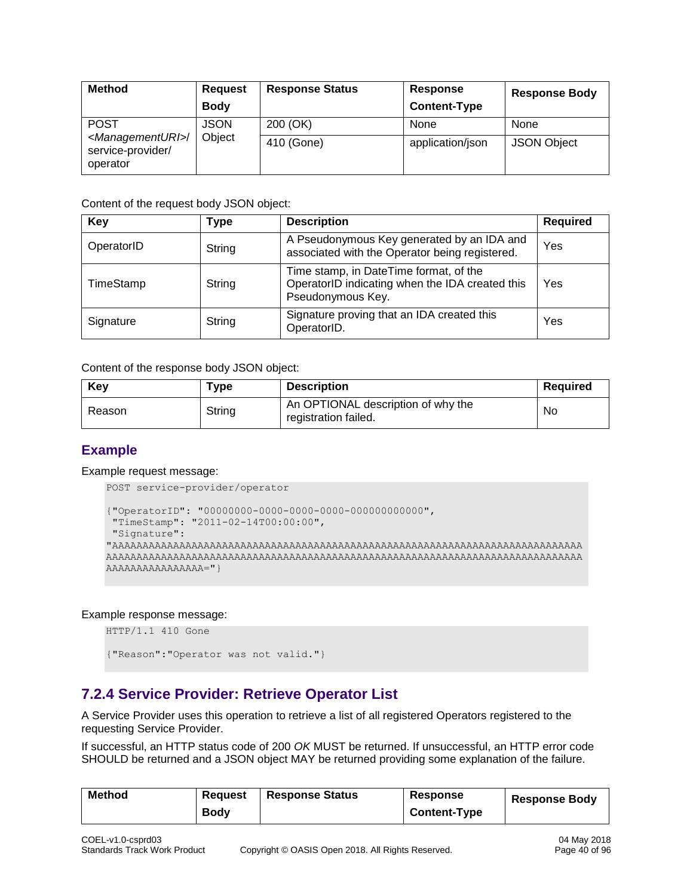| <b>Method</b>                                                       | <b>Request</b> | <b>Response Status</b> | Response            | <b>Response Body</b> |
|---------------------------------------------------------------------|----------------|------------------------|---------------------|----------------------|
|                                                                     | <b>Body</b>    |                        | <b>Content-Type</b> |                      |
| <b>POST</b>                                                         | <b>JSON</b>    | 200 (OK)               | None                | None                 |
| <managementuri>/<br/>service-provider/<br/>operator</managementuri> | Object         | 410 (Gone)             | application/json    | <b>JSON Object</b>   |

| Key        | Type   | <b>Description</b>                                                                                             | <b>Required</b> |
|------------|--------|----------------------------------------------------------------------------------------------------------------|-----------------|
| OperatorID | String | A Pseudonymous Key generated by an IDA and<br>associated with the Operator being registered.                   | Yes             |
| TimeStamp  | String | Time stamp, in DateTime format, of the<br>OperatorID indicating when the IDA created this<br>Pseudonymous Key. | Yes             |
| Signature  | String | Signature proving that an IDA created this<br>OperatorID.                                                      | Yes             |

Content of the response body JSON object:

| Key    | Type   | <b>Description</b>                                         | Reauired |
|--------|--------|------------------------------------------------------------|----------|
| Reason | String | An OPTIONAL description of why the<br>registration failed. | No       |

### **Example**

Example request message:

```
POST service-provider/operator
```

```
{"OperatorID": "00000000-0000-0000-0000-000000000000",
"TimeStamp": "2011-02-14T00:00:00",
"Signature":
"AAAAAAAAAAAAAAAAAAAAAAAAAAAAAAAAAAAAAAAAAAAAAAAAAAAAAAAAAAAAAAAAAAAAAAAAAAAAA
AAAAAAAAAAAAAAAAAAAAAAAAAAAAAAAAAAAAAAAAAAAAAAAAAAAAAAAAAAAAAAAAAAAAAAAAAAAAAA
AAAAAAAAAAAAAAAA="}
```
### Example response message:

HTTP/1.1 410 Gone {"Reason":"Operator was not valid."}

# **7.2.4 Service Provider: Retrieve Operator List**

A Service Provider uses this operation to retrieve a list of all registered Operators registered to the requesting Service Provider.

If successful, an HTTP status code of 200 *OK* MUST be returned. If unsuccessful, an HTTP error code SHOULD be returned and a JSON object MAY be returned providing some explanation of the failure.

| <b>Method</b> | Reauest     | <b>Response Status</b> | Response            | <b>Response Body</b> |
|---------------|-------------|------------------------|---------------------|----------------------|
|               | <b>Body</b> |                        | <b>Content-Type</b> |                      |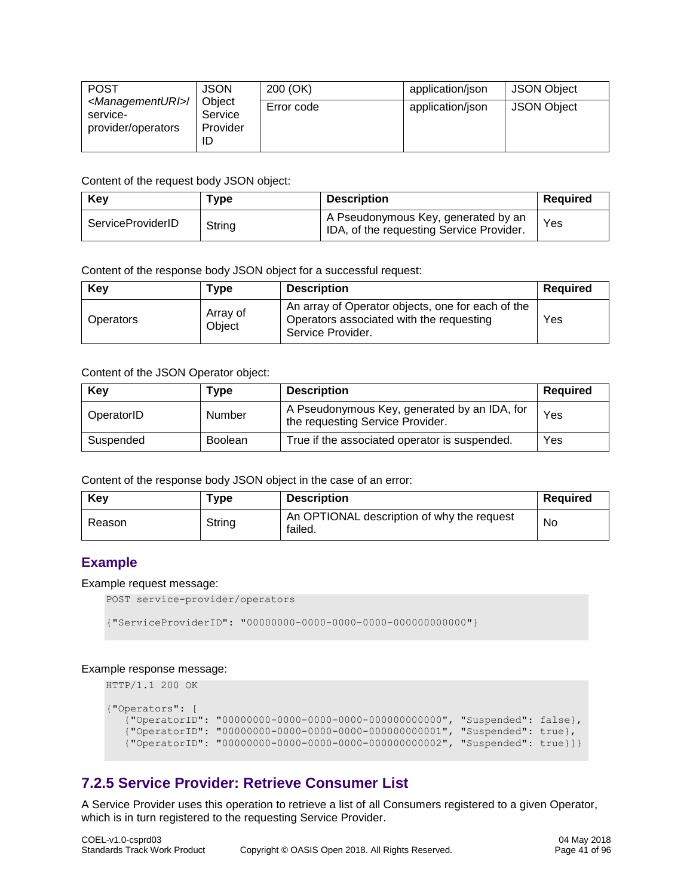| <b>POST</b>                                                          | <b>JSON</b>                   | 200 (OK)   | application/json | <b>JSON Object</b> |
|----------------------------------------------------------------------|-------------------------------|------------|------------------|--------------------|
| <managementuri>/<br/>service-<br/>provider/operators</managementuri> | Obiect<br>Service<br>Provider | Error code | application/json | <b>JSON Object</b> |

| Kev               | Type   | <b>Description</b>                                                              | Reauired |
|-------------------|--------|---------------------------------------------------------------------------------|----------|
| ServiceProviderID | String | A Pseudonymous Key, generated by an<br>IDA, of the requesting Service Provider. | Yes      |

Content of the response body JSON object for a successful request:

| Key       | Type               | <b>Description</b>                                                                                                 | Required |
|-----------|--------------------|--------------------------------------------------------------------------------------------------------------------|----------|
| Operators | Array of<br>Obiect | An array of Operator objects, one for each of the<br>Operators associated with the requesting<br>Service Provider. | Yes      |

### Content of the JSON Operator object:

| Key        | Type           | <b>Description</b>                                                               | <b>Required</b> |
|------------|----------------|----------------------------------------------------------------------------------|-----------------|
| OperatorID | Number         | A Pseudonymous Key, generated by an IDA, for<br>the requesting Service Provider. | Yes             |
| Suspended  | <b>Boolean</b> | True if the associated operator is suspended.                                    | Yes             |

Content of the response body JSON object in the case of an error:

| Key    | Type   | <b>Description</b>                                    | Reauired |
|--------|--------|-------------------------------------------------------|----------|
| Reason | String | An OPTIONAL description of why the request<br>failed. | No       |

# **Example**

### Example request message:

```
POST service-provider/operators
```

```
{"ServiceProviderID": "00000000-0000-0000-0000-000000000000"}
```
### Example response message:

HTTP/1.1 200 OK

```
{"Operators": [
    {"OperatorID": "00000000-0000-0000-0000-000000000000", "Suspended": false},
 {"OperatorID": "00000000-0000-0000-0000-000000000001", "Suspended": true},
 {"OperatorID": "00000000-0000-0000-0000-000000000002", "Suspended": true}]}
```
# **7.2.5 Service Provider: Retrieve Consumer List**

A Service Provider uses this operation to retrieve a list of all Consumers registered to a given Operator, which is in turn registered to the requesting Service Provider.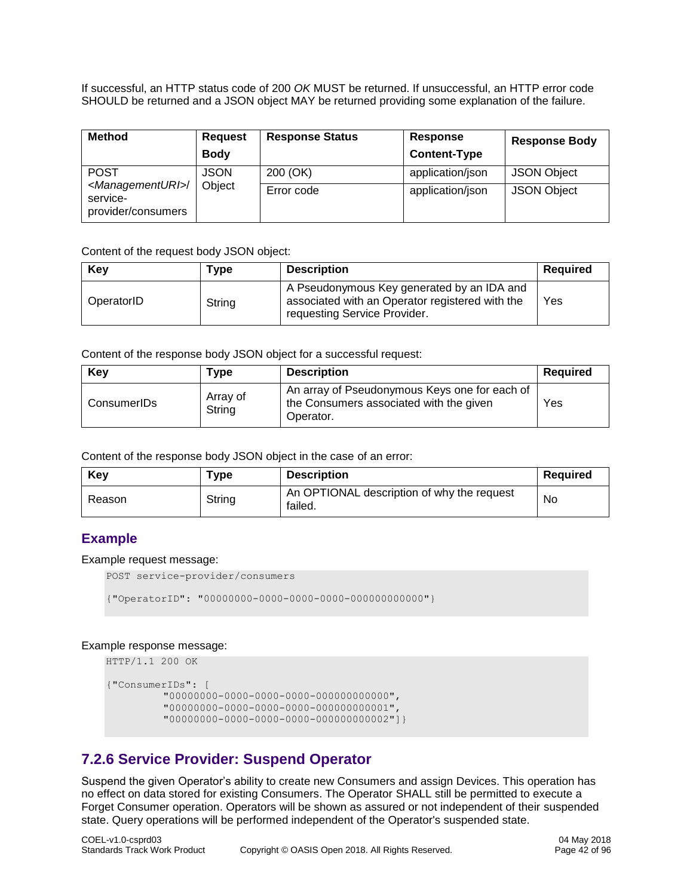If successful, an HTTP status code of 200 *OK* MUST be returned. If unsuccessful, an HTTP error code SHOULD be returned and a JSON object MAY be returned providing some explanation of the failure.

| <b>Method</b>                                                        | <b>Request</b><br><b>Body</b> | <b>Response Status</b> | Response<br><b>Content-Type</b> | <b>Response Body</b> |
|----------------------------------------------------------------------|-------------------------------|------------------------|---------------------------------|----------------------|
| <b>POST</b>                                                          | <b>JSON</b>                   | 200 (OK)               | application/json                | <b>JSON Object</b>   |
| <managementuri>/<br/>service-<br/>provider/consumers</managementuri> | Object                        | Error code             | application/json                | <b>JSON Object</b>   |

Content of the request body JSON object:

| Key        | Type   | <b>Description</b>                                                                                                            | Required |
|------------|--------|-------------------------------------------------------------------------------------------------------------------------------|----------|
| OperatorID | String | A Pseudonymous Key generated by an IDA and<br>associated with an Operator registered with the<br>requesting Service Provider. | Yes      |

Content of the response body JSON object for a successful request:

| Key         | Type               | <b>Description</b>                                                                                    | Required |
|-------------|--------------------|-------------------------------------------------------------------------------------------------------|----------|
| ConsumerIDs | Array of<br>String | An array of Pseudonymous Keys one for each of<br>the Consumers associated with the given<br>Operator. | Yes      |

Content of the response body JSON object in the case of an error:

| Key    | ™уре   | <b>Description</b>                                    | <b>Required</b> |
|--------|--------|-------------------------------------------------------|-----------------|
| Reason | String | An OPTIONAL description of why the request<br>failed. | No              |

### **Example**

Example request message:

POST service-provider/consumers

```
{"OperatorID": "00000000-0000-0000-0000-000000000000"}
```
### Example response message:

```
HTTP/1.1 200 OK
```

```
{"ConsumerIDs": [
          "00000000-0000-0000-0000-000000000000",
          "00000000-0000-0000-0000-000000000001",
          "00000000-0000-0000-0000-000000000002"]}
```
# **7.2.6 Service Provider: Suspend Operator**

Suspend the given Operator's ability to create new Consumers and assign Devices. This operation has no effect on data stored for existing Consumers. The Operator SHALL still be permitted to execute a Forget Consumer operation. Operators will be shown as assured or not independent of their suspended state. Query operations will be performed independent of the Operator's suspended state.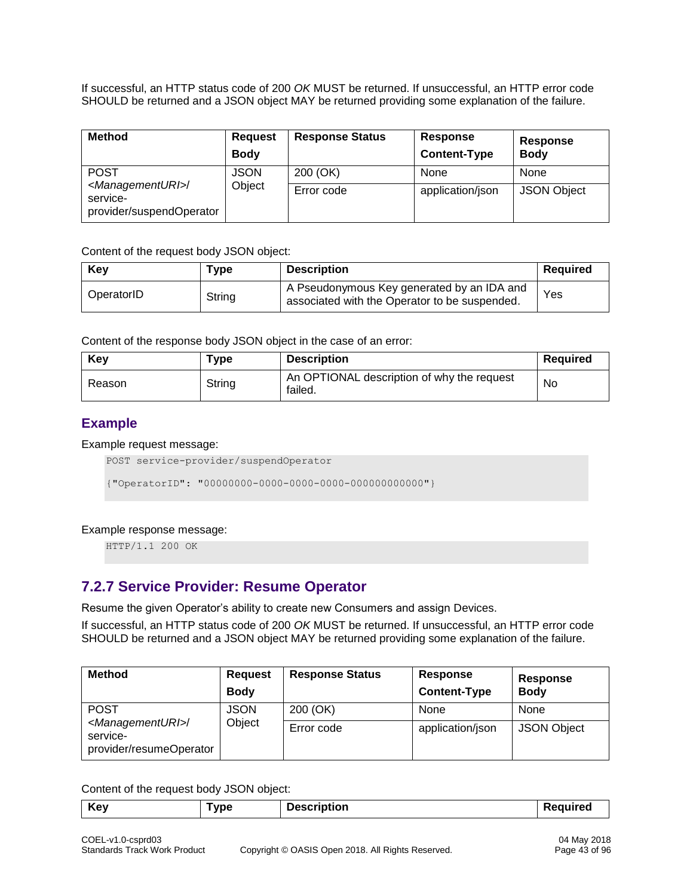If successful, an HTTP status code of 200 *OK* MUST be returned. If unsuccessful, an HTTP error code SHOULD be returned and a JSON object MAY be returned providing some explanation of the failure.

| <b>Method</b>                                                              | <b>Request</b><br><b>Body</b> | <b>Response Status</b> | Response<br><b>Content-Type</b> | Response<br><b>Body</b> |
|----------------------------------------------------------------------------|-------------------------------|------------------------|---------------------------------|-------------------------|
| <b>POST</b>                                                                | <b>JSON</b>                   | 200 (OK)               | None                            | None                    |
| <managementuri>/<br/>service-<br/>provider/suspendOperator</managementuri> | Object                        | Error code             | application/json                | <b>JSON Object</b>      |

Content of the request body JSON object:

| Key        | Type   | <b>Description</b>                                                                          | Required |
|------------|--------|---------------------------------------------------------------------------------------------|----------|
| OperatorID | String | A Pseudonymous Key generated by an IDA and<br>associated with the Operator to be suspended. | Yes      |

Content of the response body JSON object in the case of an error:

| Kev    | $\mathsf{vpe}$ | <b>Description</b>                                    | <b>Required</b> |
|--------|----------------|-------------------------------------------------------|-----------------|
| Reason | String         | An OPTIONAL description of why the request<br>failed. | <b>No</b>       |

# **Example**

### Example request message:

```
POST service-provider/suspendOperator
```

```
{"OperatorID": "00000000-0000-0000-0000-000000000000"}
```
### Example response message:

HTTP/1.1 200 OK

# **7.2.7 Service Provider: Resume Operator**

Resume the given Operator's ability to create new Consumers and assign Devices.

If successful, an HTTP status code of 200 *OK* MUST be returned. If unsuccessful, an HTTP error code SHOULD be returned and a JSON object MAY be returned providing some explanation of the failure.

| <b>Method</b>                                                             | <b>Request</b><br><b>Body</b> | <b>Response Status</b> | <b>Response</b><br><b>Content-Type</b> | Response<br><b>Body</b> |
|---------------------------------------------------------------------------|-------------------------------|------------------------|----------------------------------------|-------------------------|
| <b>POST</b>                                                               | <b>JSON</b>                   | 200 (OK)               | None                                   | None                    |
| <managementuri>/<br/>service-<br/>provider/resumeOperator</managementuri> | Object                        | Error code             | application/json                       | <b>JSON Object</b>      |

Content of the request body JSON object:

| Key<br><b>1.110 /</b><br>юе | $1 - 1 - 1$<br>Jesc<br>nonr | .<br>rero |
|-----------------------------|-----------------------------|-----------|
|-----------------------------|-----------------------------|-----------|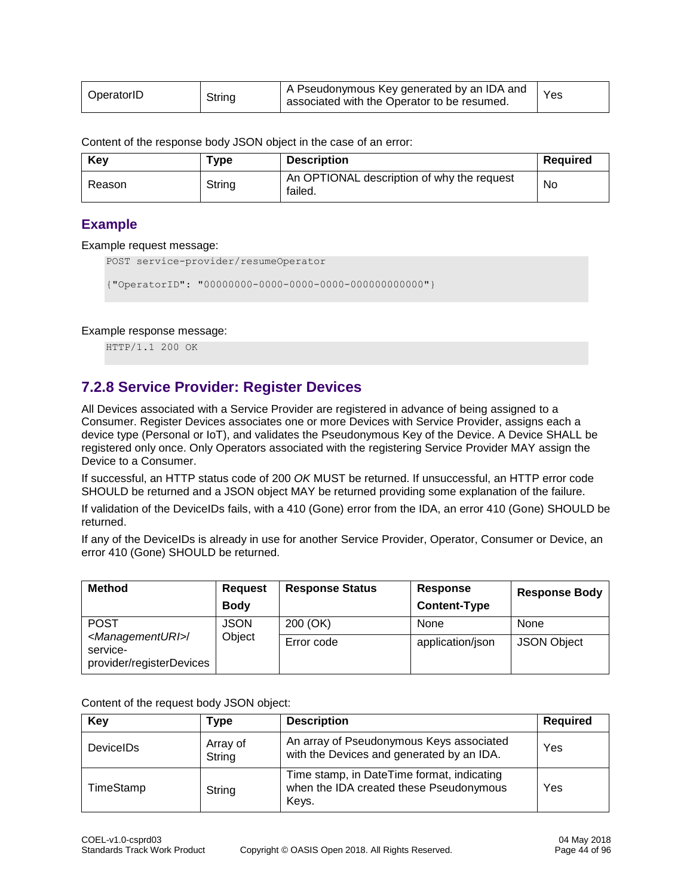| OperatorID | String | A Pseudonymous Key generated by an IDA and<br>associated with the Operator to be resumed. | Yes |
|------------|--------|-------------------------------------------------------------------------------------------|-----|
|------------|--------|-------------------------------------------------------------------------------------------|-----|

Content of the response body JSON object in the case of an error:

| Key    | ™vpe   | <b>Description</b>                                    | Required |
|--------|--------|-------------------------------------------------------|----------|
| Reason | String | An OPTIONAL description of why the request<br>failed. | No       |

### **Example**

### Example request message:

```
POST service-provider/resumeOperator
```
{"OperatorID": "00000000-0000-0000-0000-000000000000"}

### Example response message:

HTTP/1.1 200 OK

# <span id="page-43-0"></span>**7.2.8 Service Provider: Register Devices**

All Devices associated with a Service Provider are registered in advance of being assigned to a Consumer. Register Devices associates one or more Devices with Service Provider, assigns each a device type (Personal or IoT), and validates the Pseudonymous Key of the Device. A Device SHALL be registered only once. Only Operators associated with the registering Service Provider MAY assign the Device to a Consumer.

If successful, an HTTP status code of 200 *OK* MUST be returned. If unsuccessful, an HTTP error code SHOULD be returned and a JSON object MAY be returned providing some explanation of the failure.

If validation of the DeviceIDs fails, with a 410 (Gone) error from the IDA, an error 410 (Gone) SHOULD be returned.

If any of the DeviceIDs is already in use for another Service Provider, Operator, Consumer or Device, an error 410 (Gone) SHOULD be returned.

| <b>Method</b>                                                              | <b>Request</b><br><b>Body</b> | <b>Response Status</b> | Response<br><b>Content-Type</b> | <b>Response Body</b> |
|----------------------------------------------------------------------------|-------------------------------|------------------------|---------------------------------|----------------------|
| <b>POST</b>                                                                | <b>JSON</b>                   | 200 (OK)               | None                            | None                 |
| <managementuri>/<br/>service-<br/>provider/registerDevices</managementuri> | Object                        | Error code             | application/json                | <b>JSON Object</b>   |

Content of the request body JSON object:

| Key              | Type               | <b>Description</b>                                                                             | <b>Required</b> |
|------------------|--------------------|------------------------------------------------------------------------------------------------|-----------------|
| <b>DeviceIDs</b> | Array of<br>String | An array of Pseudonymous Keys associated<br>with the Devices and generated by an IDA.          | Yes             |
| TimeStamp        | String             | Time stamp, in DateTime format, indicating<br>when the IDA created these Pseudonymous<br>Keys. | Yes             |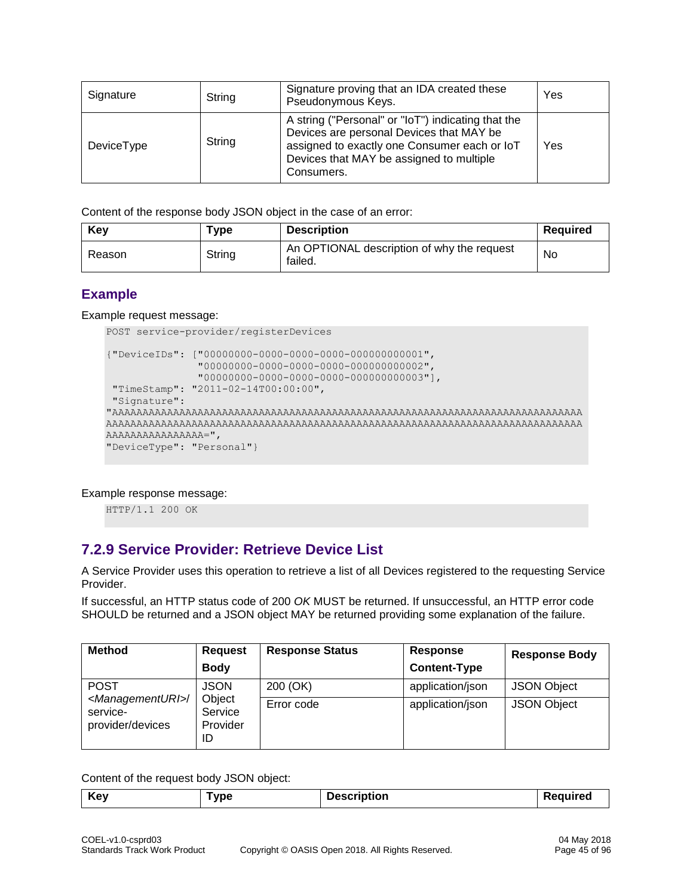| Signature  | String | Signature proving that an IDA created these<br>Pseudonymous Keys.                                                                                                                                        | Yes |
|------------|--------|----------------------------------------------------------------------------------------------------------------------------------------------------------------------------------------------------------|-----|
| DeviceType | String | A string ("Personal" or "loT") indicating that the<br>Devices are personal Devices that MAY be<br>assigned to exactly one Consumer each or IoT<br>Devices that MAY be assigned to multiple<br>Consumers. | Yes |

Content of the response body JSON object in the case of an error:

| Key    | Type   | <b>Description</b>                                    | Required |
|--------|--------|-------------------------------------------------------|----------|
| Reason | String | An OPTIONAL description of why the request<br>failed. | No       |

# **Example**

Example request message:

```
POST service-provider/registerDevices
{"DeviceIDs": ["00000000-0000-0000-0000-000000000001",
                "00000000-0000-0000-0000-000000000002",
                "00000000-0000-0000-0000-000000000003"],
"TimeStamp": "2011-02-14T00:00:00",
"Signature":
"AAAAAAAAAAAAAAAAAAAAAAAAAAAAAAAAAAAAAAAAAAAAAAAAAAAAAAAAAAAAAAAAAAAAAAAAAAAAA
AAAAAAAAAAAAAAAAAAAAAAAAAAAAAAAAAAAAAAAAAAAAAAAAAAAAAAAAAAAAAAAAAAAAAAAAAAAAAA
AAAAAAAAAAAAAAAA=",
"DeviceType": "Personal"}
```
Example response message:

HTTP/1.1 200 OK

# **7.2.9 Service Provider: Retrieve Device List**

A Service Provider uses this operation to retrieve a list of all Devices registered to the requesting Service Provider.

If successful, an HTTP status code of 200 *OK* MUST be returned. If unsuccessful, an HTTP error code SHOULD be returned and a JSON object MAY be returned providing some explanation of the failure.

| <b>Method</b>                                                      | <b>Request</b>                      | <b>Response Status</b> | Response            | <b>Response Body</b> |
|--------------------------------------------------------------------|-------------------------------------|------------------------|---------------------|----------------------|
|                                                                    | <b>Body</b>                         |                        | <b>Content-Type</b> |                      |
| <b>POST</b>                                                        | <b>JSON</b>                         | 200 (OK)               | application/json    | <b>JSON Object</b>   |
| <managementuri>/<br/>service-<br/>provider/devices</managementuri> | Object<br>Service<br>Provider<br>ID | Error code             | application/json    | <b>JSON Object</b>   |

Content of the request body JSON object:

| <b>Key</b><br>vpe | <b>Description</b> | <b>auirea</b><br>, , |
|-------------------|--------------------|----------------------|
|-------------------|--------------------|----------------------|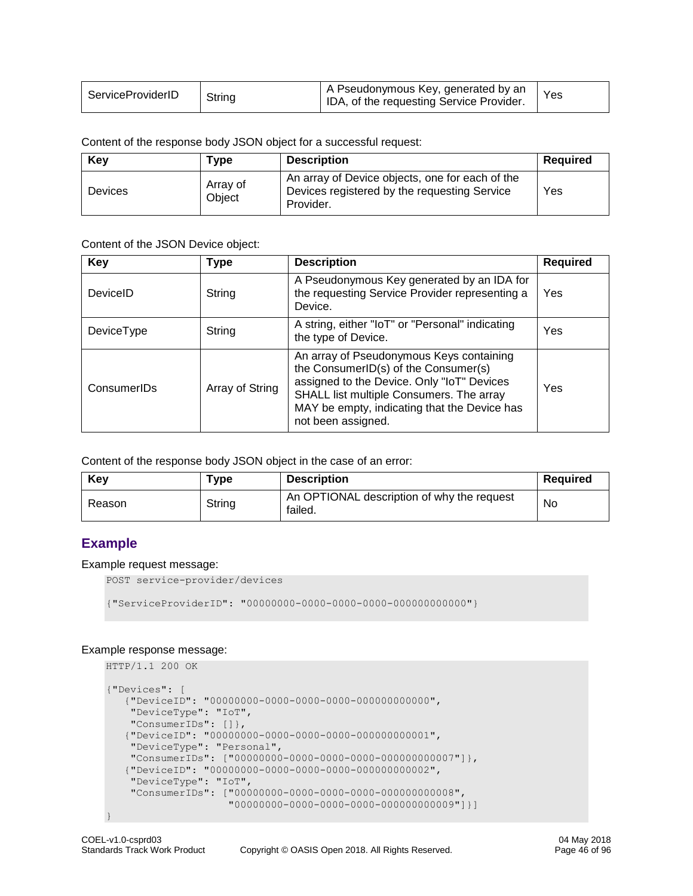| ServiceProviderID | String | A Pseudonymous Key, generated by an<br>IDA, of the requesting Service Provider. | $Y_{ES}$ |
|-------------------|--------|---------------------------------------------------------------------------------|----------|
|-------------------|--------|---------------------------------------------------------------------------------|----------|

Content of the response body JSON object for a successful request:

| Key            | Type               | <b>Description</b>                                                                                           | Required |
|----------------|--------------------|--------------------------------------------------------------------------------------------------------------|----------|
| <b>Devices</b> | Array of<br>Obiect | An array of Device objects, one for each of the<br>Devices registered by the requesting Service<br>Provider. | Yes      |

Content of the JSON Device object:

| <b>Key</b>  | Type            | <b>Description</b>                                                                                                                                                                                                                               | <b>Required</b> |
|-------------|-----------------|--------------------------------------------------------------------------------------------------------------------------------------------------------------------------------------------------------------------------------------------------|-----------------|
| DeviceID    | String          | A Pseudonymous Key generated by an IDA for<br>the requesting Service Provider representing a<br>Device.                                                                                                                                          | Yes             |
| DeviceType  | String          | A string, either "IoT" or "Personal" indicating<br>the type of Device.                                                                                                                                                                           | Yes             |
| ConsumerIDs | Array of String | An array of Pseudonymous Keys containing<br>the ConsumerID(s) of the Consumer(s)<br>assigned to the Device. Only "IoT" Devices<br>SHALL list multiple Consumers. The array<br>MAY be empty, indicating that the Device has<br>not been assigned. | Yes             |

Content of the response body JSON object in the case of an error:

| Key    | ™уре   | <b>Description</b>                                    | Required |
|--------|--------|-------------------------------------------------------|----------|
| Reason | String | An OPTIONAL description of why the request<br>failed. | No       |

# **Example**

### Example request message:

POST service-provider/devices

{"ServiceProviderID": "00000000-0000-0000-0000-000000000000"}

### Example response message:

```
HTTP/1.1 200 OK
{"Devices": [
    {"DeviceID": "00000000-0000-0000-0000-000000000000",
    "DeviceType": "IoT",
    "ConsumerIDs": []},
    {"DeviceID": "00000000-0000-0000-0000-000000000001",
 "DeviceType": "Personal",
 "ConsumerIDs": ["00000000-0000-0000-0000-000000000007"]},
    {"DeviceID": "00000000-0000-0000-0000-000000000002",
 "DeviceType": "IoT",
 "ConsumerIDs": ["00000000-0000-0000-0000-000000000008", 
                     "00000000-0000-0000-0000-000000000009"]}]
}
```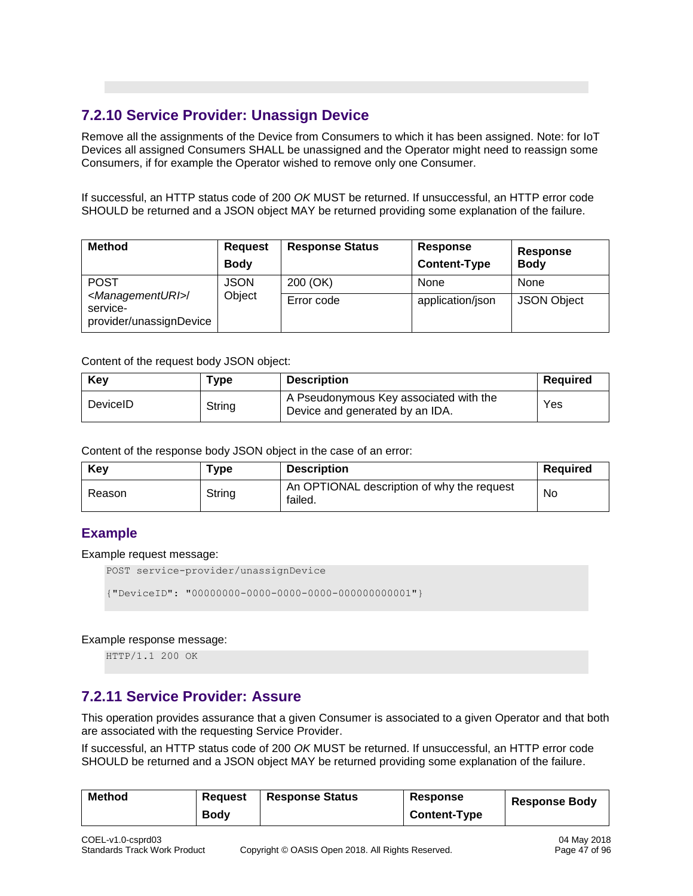# **7.2.10 Service Provider: Unassign Device**

Remove all the assignments of the Device from Consumers to which it has been assigned. Note: for IoT Devices all assigned Consumers SHALL be unassigned and the Operator might need to reassign some Consumers, if for example the Operator wished to remove only one Consumer.

If successful, an HTTP status code of 200 *OK* MUST be returned. If unsuccessful, an HTTP error code SHOULD be returned and a JSON object MAY be returned providing some explanation of the failure.

| <b>Method</b>                                                             | <b>Request</b><br><b>Body</b> | <b>Response Status</b> | Response<br><b>Content-Type</b> | <b>Response</b><br><b>Body</b> |
|---------------------------------------------------------------------------|-------------------------------|------------------------|---------------------------------|--------------------------------|
| <b>POST</b>                                                               | <b>JSON</b>                   | 200 (OK)               | None                            | None                           |
| <managementuri>/<br/>service-<br/>provider/unassignDevice</managementuri> | Object                        | Error code             | application/json                | <b>JSON Object</b>             |

Content of the request body JSON object:

| Key      | ™уре   | <b>Description</b>                                                        | Reauired |
|----------|--------|---------------------------------------------------------------------------|----------|
| DeviceID | String | A Pseudonymous Key associated with the<br>Device and generated by an IDA. | Yes      |

Content of the response body JSON object in the case of an error:

| Key    | Type   | <b>Description</b>                                    | <b>Required</b> |
|--------|--------|-------------------------------------------------------|-----------------|
| Reason | String | An OPTIONAL description of why the request<br>failed. | No              |

# **Example**

Example request message:

POST service-provider/unassignDevice

{"DeviceID": "00000000-0000-0000-0000-000000000001"}

Example response message:

HTTP/1.1 200 OK

# **7.2.11 Service Provider: Assure**

This operation provides assurance that a given Consumer is associated to a given Operator and that both are associated with the requesting Service Provider.

If successful, an HTTP status code of 200 *OK* MUST be returned. If unsuccessful, an HTTP error code SHOULD be returned and a JSON object MAY be returned providing some explanation of the failure.

| <b>Method</b> | Reguest     | <b>Response Status</b> | Response            | <b>Response Body</b> |
|---------------|-------------|------------------------|---------------------|----------------------|
|               | <b>Body</b> |                        | <b>Content-Type</b> |                      |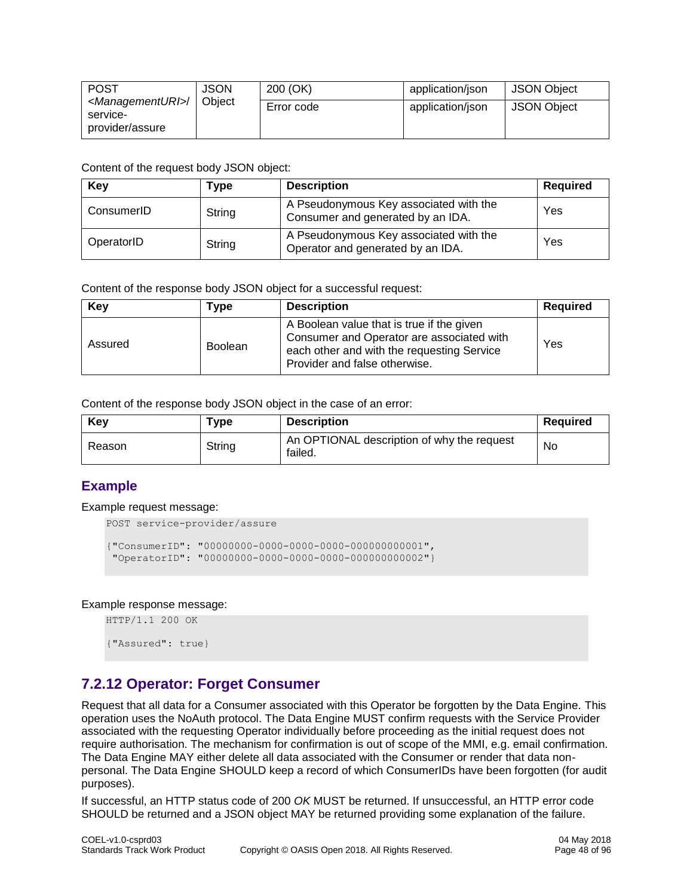| <b>POST</b>                                                       | JSON   | 200 (OK)   | application/json | <b>JSON Object</b> |
|-------------------------------------------------------------------|--------|------------|------------------|--------------------|
| <managementuri>/<br/>service-<br/>provider/assure</managementuri> | Object | Error code | application/json | <b>JSON Object</b> |

| Key        | Type   | <b>Description</b>                                                          | Required |
|------------|--------|-----------------------------------------------------------------------------|----------|
| ConsumerID | String | A Pseudonymous Key associated with the<br>Consumer and generated by an IDA. | Yes      |
| OperatorID | String | A Pseudonymous Key associated with the<br>Operator and generated by an IDA. | Yes      |

Content of the response body JSON object for a successful request:

| <b>Key</b> | Type           | <b>Description</b>                                                                                                                                                    | <b>Required</b> |
|------------|----------------|-----------------------------------------------------------------------------------------------------------------------------------------------------------------------|-----------------|
| Assured    | <b>Boolean</b> | A Boolean value that is true if the given<br>Consumer and Operator are associated with<br>each other and with the requesting Service<br>Provider and false otherwise. | Yes             |

Content of the response body JSON object in the case of an error:

| Kev    | ™уре   | <b>Description</b>                                    | Reauired |
|--------|--------|-------------------------------------------------------|----------|
| Reason | String | An OPTIONAL description of why the request<br>failed. | No       |

# **Example**

Example request message:

```
POST service-provider/assure
{"ConsumerID": "00000000-0000-0000-0000-000000000001",
```
"OperatorID": "00000000-0000-0000-0000-000000000002"}

Example response message:

HTTP/1.1 200 OK

{"Assured": true}

# **7.2.12 Operator: Forget Consumer**

Request that all data for a Consumer associated with this Operator be forgotten by the Data Engine. This operation uses the NoAuth protocol. The Data Engine MUST confirm requests with the Service Provider associated with the requesting Operator individually before proceeding as the initial request does not require authorisation. The mechanism for confirmation is out of scope of the MMI, e.g. email confirmation. The Data Engine MAY either delete all data associated with the Consumer or render that data nonpersonal. The Data Engine SHOULD keep a record of which ConsumerIDs have been forgotten (for audit purposes).

If successful, an HTTP status code of 200 *OK* MUST be returned. If unsuccessful, an HTTP error code SHOULD be returned and a JSON object MAY be returned providing some explanation of the failure.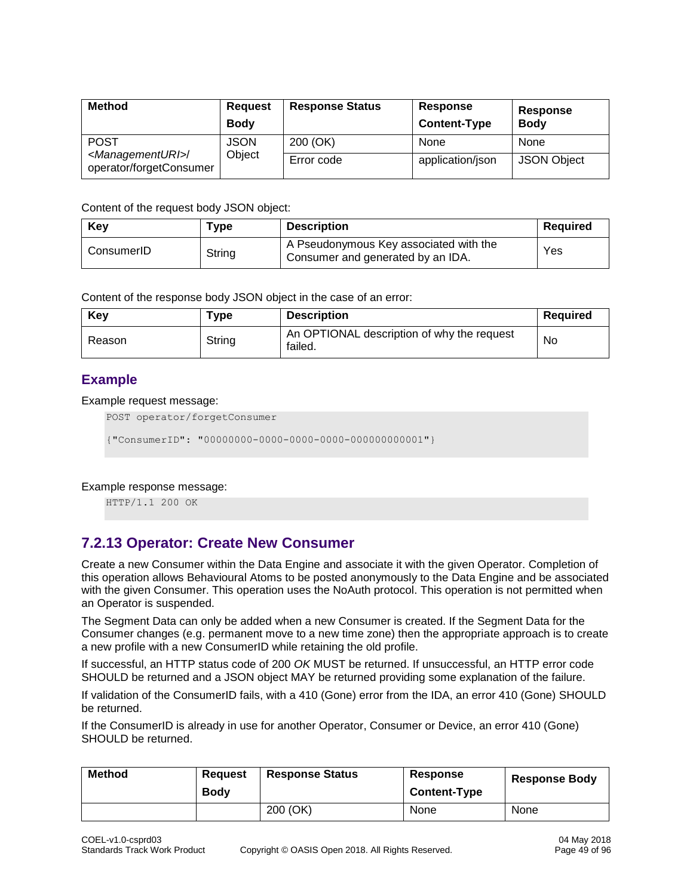| <b>Method</b>                                                               | <b>Request</b><br><b>Body</b> | <b>Response Status</b> | Response<br><b>Content-Type</b> | Response<br><b>Body</b> |
|-----------------------------------------------------------------------------|-------------------------------|------------------------|---------------------------------|-------------------------|
| <b>POST</b><br><managementuri>/<br/>operator/forgetConsumer</managementuri> | <b>JSON</b>                   | 200 (OK)               | None                            | None                    |
|                                                                             | Object                        | Error code             | application/json                | <b>JSON Object</b>      |

| Key        | ™vpe   | <b>Description</b>                                                          | <b>Required</b> |
|------------|--------|-----------------------------------------------------------------------------|-----------------|
| ConsumerID | String | A Pseudonymous Key associated with the<br>Consumer and generated by an IDA. | Yes             |

Content of the response body JSON object in the case of an error:

| Key    | Type   | <b>Description</b>                                    | Required |
|--------|--------|-------------------------------------------------------|----------|
| Reason | String | An OPTIONAL description of why the request<br>failed. | No       |

# **Example**

Example request message:

POST operator/forgetConsumer

{"ConsumerID": "00000000-0000-0000-0000-000000000001"}

Example response message:

HTTP/1.1 200 OK

# **7.2.13 Operator: Create New Consumer**

Create a new Consumer within the Data Engine and associate it with the given Operator. Completion of this operation allows Behavioural Atoms to be posted anonymously to the Data Engine and be associated with the given Consumer. This operation uses the NoAuth protocol. This operation is not permitted when an Operator is suspended.

The Segment Data can only be added when a new Consumer is created. If the Segment Data for the Consumer changes (e.g. permanent move to a new time zone) then the appropriate approach is to create a new profile with a new ConsumerID while retaining the old profile.

If successful, an HTTP status code of 200 *OK* MUST be returned. If unsuccessful, an HTTP error code SHOULD be returned and a JSON object MAY be returned providing some explanation of the failure.

If validation of the ConsumerID fails, with a 410 (Gone) error from the IDA, an error 410 (Gone) SHOULD be returned.

If the ConsumerID is already in use for another Operator, Consumer or Device, an error 410 (Gone) SHOULD be returned.

| <b>Method</b> | Reauest<br><b>Body</b> | <b>Response Status</b> | Response<br><b>Content-Type</b> | <b>Response Body</b> |
|---------------|------------------------|------------------------|---------------------------------|----------------------|
|               |                        | 200 (OK)               | None                            | None                 |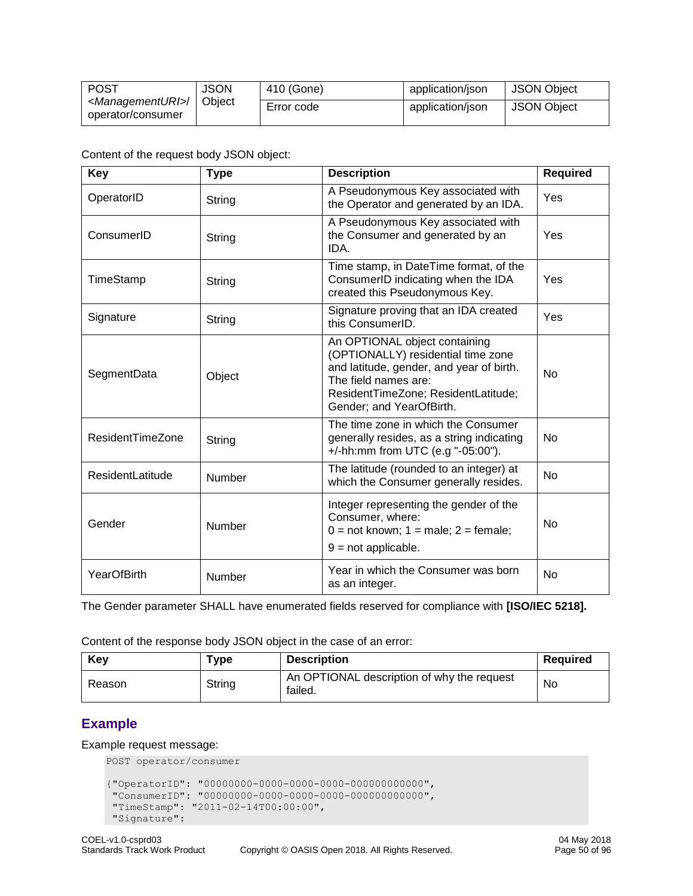| <b>POST</b>                                            | <b>JSON</b> | 410 (Gone) | application/json | <b>JSON Object</b> |
|--------------------------------------------------------|-------------|------------|------------------|--------------------|
| <managementuri>/<br/>operator/consumer</managementuri> | Object      | Error code | application/json | <b>JSON Object</b> |

| <b>Key</b>              | <b>Type</b> | <b>Description</b>                                                                                                                                                                                         | <b>Required</b> |
|-------------------------|-------------|------------------------------------------------------------------------------------------------------------------------------------------------------------------------------------------------------------|-----------------|
| OperatorID              | String      | A Pseudonymous Key associated with<br>the Operator and generated by an IDA.                                                                                                                                | Yes             |
| ConsumerID              | String      | A Pseudonymous Key associated with<br>the Consumer and generated by an<br>IDA.                                                                                                                             | Yes             |
| TimeStamp               | String      | Time stamp, in DateTime format, of the<br>ConsumerID indicating when the IDA<br>created this Pseudonymous Key.                                                                                             | Yes             |
| Signature               | String      | Signature proving that an IDA created<br>this ConsumerID.                                                                                                                                                  | Yes             |
| SegmentData             | Object      | An OPTIONAL object containing<br>(OPTIONALLY) residential time zone<br>and latitude, gender, and year of birth.<br>The field names are:<br>ResidentTimeZone; ResidentLatitude;<br>Gender; and YearOfBirth. | N <sub>o</sub>  |
| <b>ResidentTimeZone</b> | String      | The time zone in which the Consumer<br>generally resides, as a string indicating<br>+/-hh:mm from UTC (e.g "-05:00").                                                                                      | <b>No</b>       |
| <b>ResidentLatitude</b> | Number      | The latitude (rounded to an integer) at<br>which the Consumer generally resides.                                                                                                                           | No              |
| Gender                  | Number      | Integer representing the gender of the<br>Consumer, where:<br>$0 = not known$ ; $1 = male$ ; $2 = female$ ;<br>$9 = not applicable.$                                                                       | <b>No</b>       |
| YearOfBirth             | Number      | Year in which the Consumer was born<br>as an integer.                                                                                                                                                      | <b>No</b>       |

The Gender parameter SHALL have enumerated fields reserved for compliance with **[ISO/IEC 5218].**

Content of the response body JSON object in the case of an error:

| Key    | Type   | <b>Description</b>                                    | Required |
|--------|--------|-------------------------------------------------------|----------|
| Reason | String | An OPTIONAL description of why the request<br>failed. | No       |

# **Example**

### Example request message:

```
POST operator/consumer
{"OperatorID": "00000000-0000-0000-0000-000000000000",
 "ConsumerID": "00000000-0000-0000-0000-000000000000",
 "TimeStamp": "2011-02-14T00:00:00",
 "Signature":
```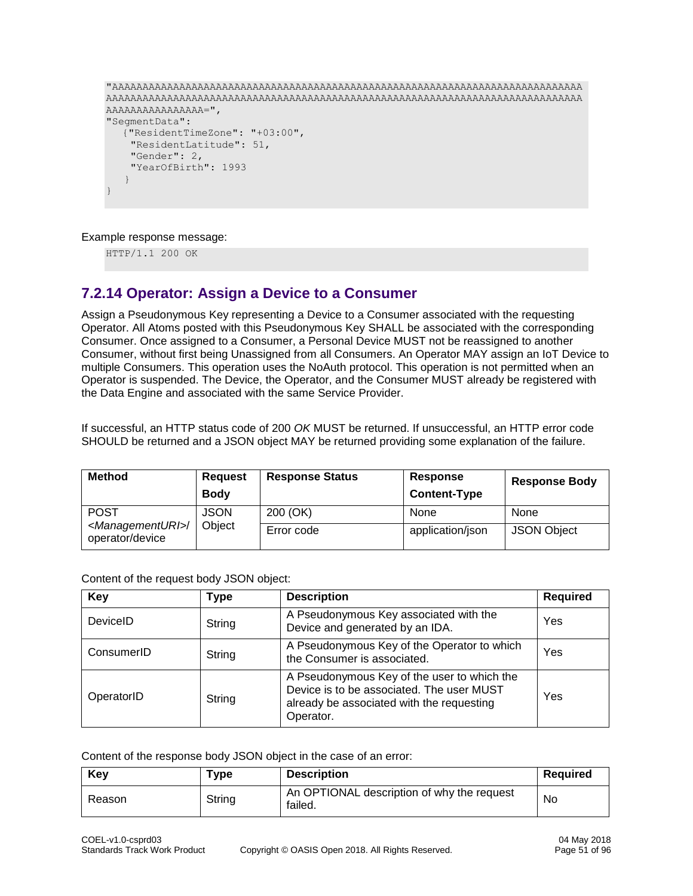```
"AAAAAAAAAAAAAAAAAAAAAAAAAAAAAAAAAAAAAAAAAAAAAAAAAAAAAAAAAAAAAAAAAAAAAAAAAAAAA
AAAAAAAAAAAAAAAAAAAAAAAAAAAAAAAAAAAAAAAAAAAAAAAAAAAAAAAAAAAAAAAAAAAAAAAAAAAAAA
AAAAAAAAAAAAAAAA=",
"SegmentData":
  {"ResidentTimeZone": "+03:00",
     "ResidentLatitude": 51,
     "Gender": 2,
     "YearOfBirth": 1993
 }
}
```
Example response message:

HTTP/1.1 200 OK

# **7.2.14 Operator: Assign a Device to a Consumer**

Assign a Pseudonymous Key representing a Device to a Consumer associated with the requesting Operator. All Atoms posted with this Pseudonymous Key SHALL be associated with the corresponding Consumer. Once assigned to a Consumer, a Personal Device MUST not be reassigned to another Consumer, without first being Unassigned from all Consumers. An Operator MAY assign an IoT Device to multiple Consumers. This operation uses the NoAuth protocol. This operation is not permitted when an Operator is suspended. The Device, the Operator, and the Consumer MUST already be registered with the Data Engine and associated with the same Service Provider.

If successful, an HTTP status code of 200 *OK* MUST be returned. If unsuccessful, an HTTP error code SHOULD be returned and a JSON object MAY be returned providing some explanation of the failure.

| <b>Method</b>                                        | <b>Request</b><br><b>Body</b> | <b>Response Status</b> | Response<br><b>Content-Type</b> | <b>Response Body</b> |
|------------------------------------------------------|-------------------------------|------------------------|---------------------------------|----------------------|
| <b>POST</b>                                          | <b>JSON</b>                   | 200 (OK)               | None                            | None                 |
| <managementuri>/<br/>operator/device</managementuri> | Object                        | Error code             | application/json                | <b>JSON Object</b>   |

Content of the request body JSON object:

| Key        | <b>Type</b> | <b>Description</b>                                                                                                                                 | <b>Required</b> |
|------------|-------------|----------------------------------------------------------------------------------------------------------------------------------------------------|-----------------|
| DeviceID   | String      | A Pseudonymous Key associated with the<br>Device and generated by an IDA.                                                                          | Yes             |
| ConsumerID | String      | A Pseudonymous Key of the Operator to which<br>the Consumer is associated.                                                                         | Yes             |
| OperatorID | String      | A Pseudonymous Key of the user to which the<br>Device is to be associated. The user MUST<br>already be associated with the requesting<br>Operator. | Yes             |

Content of the response body JSON object in the case of an error:

| Kev    | Type   | <b>Description</b>                                    | Reauired |
|--------|--------|-------------------------------------------------------|----------|
| Reason | String | An OPTIONAL description of why the request<br>failed. | No       |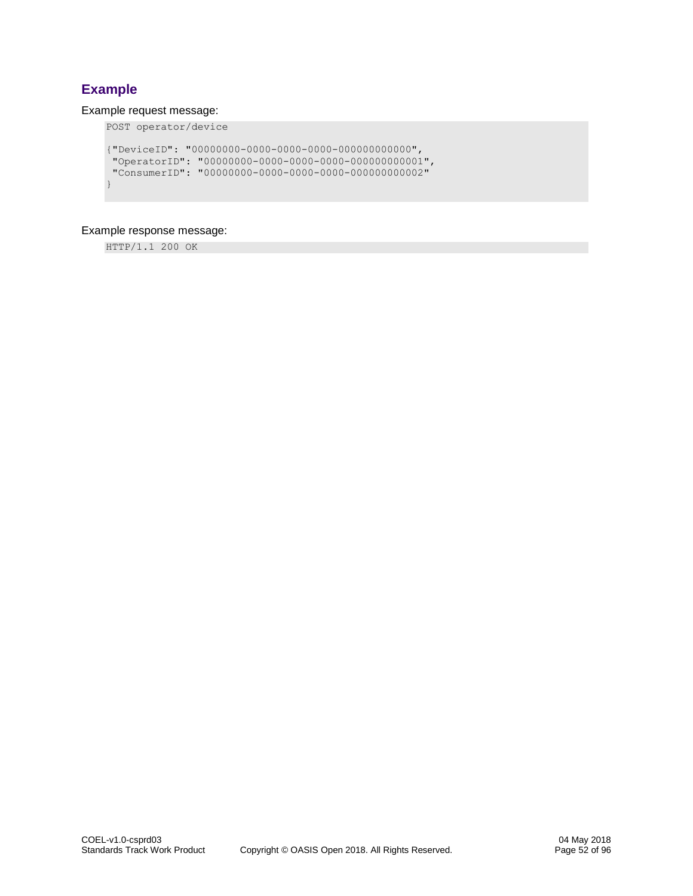# **Example**

### Example request message:

```
POST operator/device
{"DeviceID": "00000000-0000-0000-0000-000000000000",
 "OperatorID": "00000000-0000-0000-0000-000000000001",
 "ConsumerID": "00000000-0000-0000-0000-000000000002"
}
```
### Example response message:

HTTP/1.1 200 OK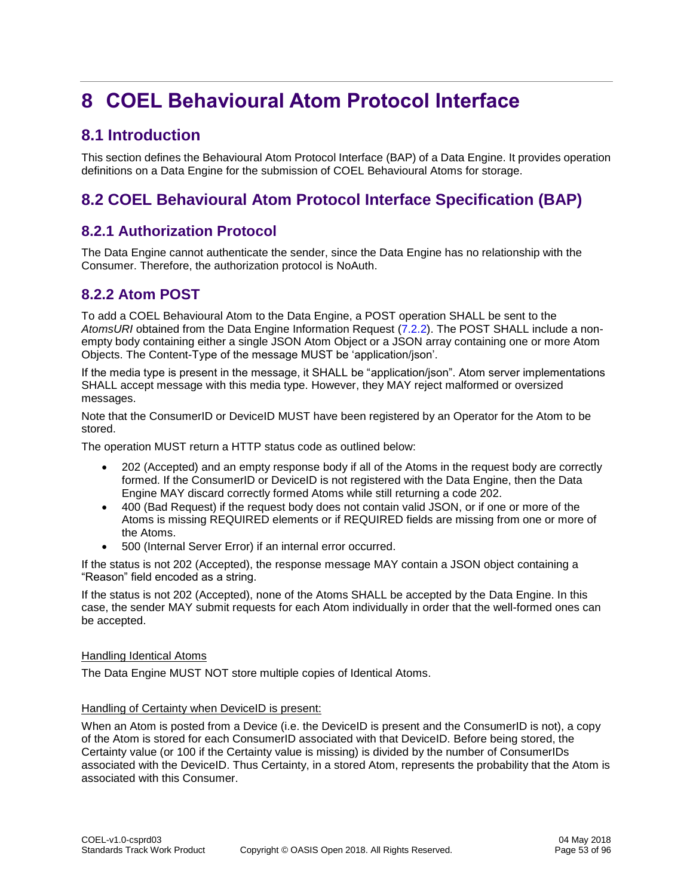# **8 COEL Behavioural Atom Protocol Interface**

# **8.1 Introduction**

This section defines the Behavioural Atom Protocol Interface (BAP) of a Data Engine. It provides operation definitions on a Data Engine for the submission of COEL Behavioural Atoms for storage.

# **8.2 COEL Behavioural Atom Protocol Interface Specification (BAP)**

# **8.2.1 Authorization Protocol**

The Data Engine cannot authenticate the sender, since the Data Engine has no relationship with the Consumer. Therefore, the authorization protocol is NoAuth.

# **8.2.2 Atom POST**

To add a COEL Behavioural Atom to the Data Engine, a POST operation SHALL be sent to the *AtomsURI* obtained from the Data Engine Information Request [\(7.2.2\)](#page-37-0). The POST SHALL include a nonempty body containing either a single JSON Atom Object or a JSON array containing one or more Atom Objects. The Content-Type of the message MUST be 'application/json'.

If the media type is present in the message, it SHALL be "application/json". Atom server implementations SHALL accept message with this media type. However, they MAY reject malformed or oversized messages.

Note that the ConsumerID or DeviceID MUST have been registered by an Operator for the Atom to be stored.

The operation MUST return a HTTP status code as outlined below:

- 202 (Accepted) and an empty response body if all of the Atoms in the request body are correctly formed. If the ConsumerID or DeviceID is not registered with the Data Engine, then the Data Engine MAY discard correctly formed Atoms while still returning a code 202.
- 400 (Bad Request) if the request body does not contain valid JSON, or if one or more of the Atoms is missing REQUIRED elements or if REQUIRED fields are missing from one or more of the Atoms.
- 500 (Internal Server Error) if an internal error occurred.

If the status is not 202 (Accepted), the response message MAY contain a JSON object containing a "Reason" field encoded as a string.

If the status is not 202 (Accepted), none of the Atoms SHALL be accepted by the Data Engine. In this case, the sender MAY submit requests for each Atom individually in order that the well-formed ones can be accepted.

### Handling Identical Atoms

The Data Engine MUST NOT store multiple copies of Identical Atoms.

### Handling of Certainty when DeviceID is present:

When an Atom is posted from a Device (i.e. the DeviceID is present and the ConsumerID is not), a copy of the Atom is stored for each ConsumerID associated with that DeviceID. Before being stored, the Certainty value (or 100 if the Certainty value is missing) is divided by the number of ConsumerIDs associated with the DeviceID. Thus Certainty, in a stored Atom, represents the probability that the Atom is associated with this Consumer.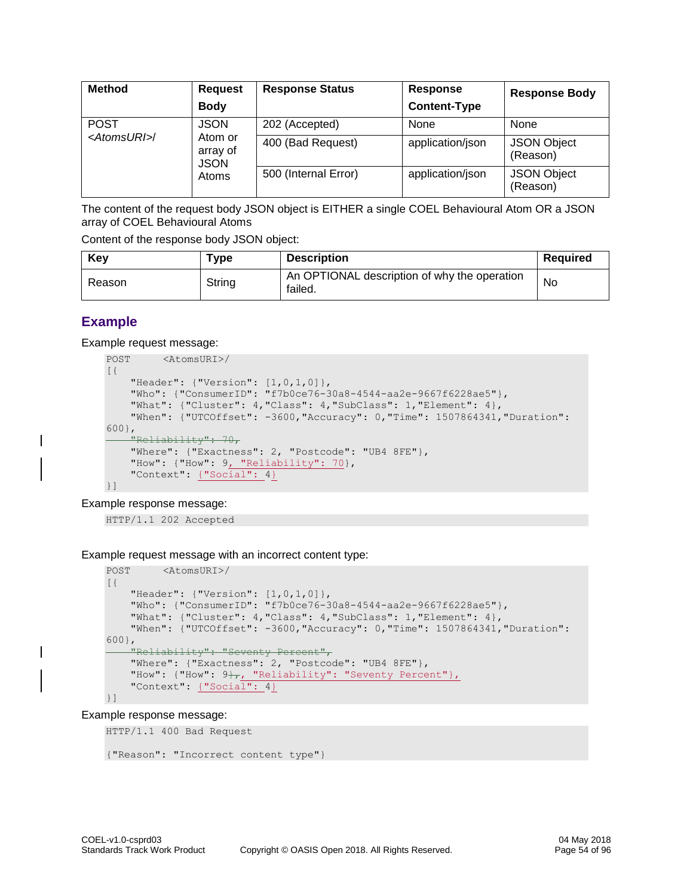| <b>Method</b>          | <b>Request</b><br><b>Body</b>      | <b>Response Status</b> | <b>Response</b><br><b>Content-Type</b> | <b>Response Body</b>           |
|------------------------|------------------------------------|------------------------|----------------------------------------|--------------------------------|
| <b>POST</b>            | <b>JSON</b>                        | 202 (Accepted)         | None                                   | None                           |
| <atomsuri>/</atomsuri> | Atom or<br>array of<br><b>JSON</b> | 400 (Bad Request)      | application/json                       | <b>JSON Object</b><br>(Reason) |
|                        | Atoms                              | 500 (Internal Error)   | application/json                       | <b>JSON Object</b><br>(Reason) |

The content of the request body JSON object is EITHER a single COEL Behavioural Atom OR a JSON array of COEL Behavioural Atoms

Content of the response body JSON object:

| Kev    | $^{\mathsf{T}}$ vpe | <b>Description</b>                                      | <b>Required</b> |
|--------|---------------------|---------------------------------------------------------|-----------------|
| Reason | String              | An OPTIONAL description of why the operation<br>failed. | No              |

# **Example**

Example request message:

```
POST <AtomsURI>/
[{
     "Header": {"Version": [1,0,1,0]},
     "Who": {"ConsumerID": "f7b0ce76-30a8-4544-aa2e-9667f6228ae5"},
     "What": {"Cluster": 4,"Class": 4,"SubClass": 1,"Element": 4},
     "When": {"UTCOffset": -3600,"Accuracy": 0,"Time": 1507864341,"Duration": 
600},
     "Reliability": 70,
    "Where": {"Exactness": 2, "Postcode": "UB4 8FE"},
    "How": {"How": 9, "Reliability": 70},
     "Context": {"Social": 4}
}]
```
Example response message:

HTTP/1.1 202 Accepted

Example request message with an incorrect content type:

```
POST <AtomsURI>/
[{
     "Header": {"Version": [1,0,1,0]},
     "Who": {"ConsumerID": "f7b0ce76-30a8-4544-aa2e-9667f6228ae5"},
 "What": {"Cluster": 4,"Class": 4,"SubClass": 1,"Element": 4},
 "When": {"UTCOffset": -3600,"Accuracy": 0,"Time": 1507864341,"Duration": 
600},
     "Reliability": "Seventy Percent",
     "Where": {"Exactness": 2, "Postcode": "UB4 8FE"},
"How": \{"How": 9\frac{1}{11}, "Reliability": "Seventy Percent"},
 "Context": {"Social": 4}
}]
```
#### Example response message:

HTTP/1.1 400 Bad Request

```
{"Reason": "Incorrect content type"}
```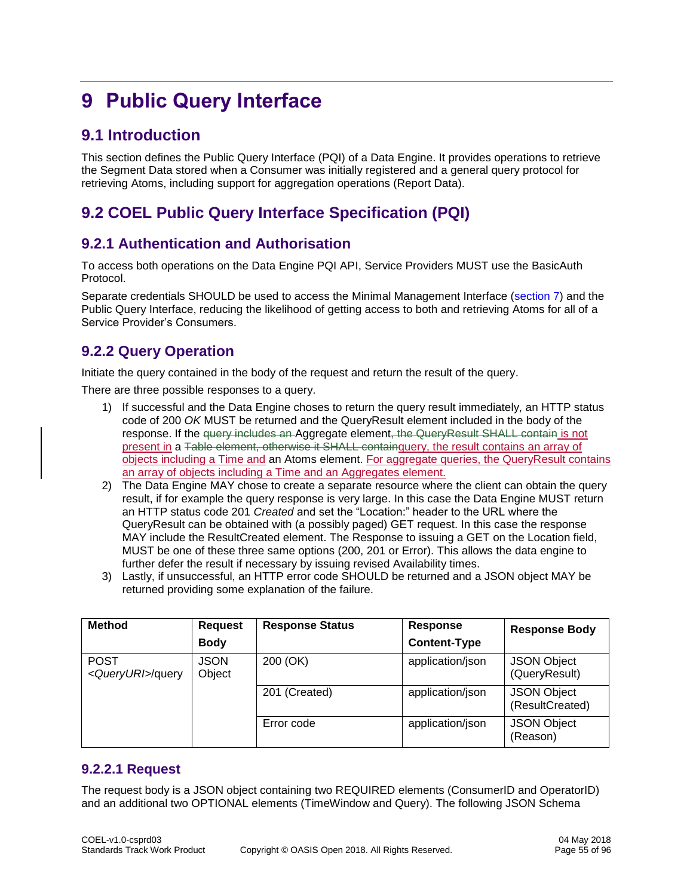# **9 Public Query Interface**

# **9.1 Introduction**

This section defines the Public Query Interface (PQI) of a Data Engine. It provides operations to retrieve the Segment Data stored when a Consumer was initially registered and a general query protocol for retrieving Atoms, including support for aggregation operations (Report Data).

# **9.2 COEL Public Query Interface Specification (PQI)**

# **9.2.1 Authentication and Authorisation**

To access both operations on the Data Engine PQI API, Service Providers MUST use the BasicAuth Protocol.

Separate credentials SHOULD be used to access the Minimal Management Interface [\(section 7\)](#page-37-1) and the Public Query Interface, reducing the likelihood of getting access to both and retrieving Atoms for all of a Service Provider's Consumers.

# **9.2.2 Query Operation**

Initiate the query contained in the body of the request and return the result of the query.

There are three possible responses to a query.

- 1) If successful and the Data Engine choses to return the query result immediately, an HTTP status code of 200 *OK* MUST be returned and the QueryResult element included in the body of the response. If the query includes an Aggregate element, the QueryResult SHALL contain is not present in a Table element, otherwise it SHALL containquery, the result contains an array of objects including a Time and an Atoms element. For aggregate queries, the QueryResult contains an array of objects including a Time and an Aggregates element.
- 2) The Data Engine MAY chose to create a separate resource where the client can obtain the query result, if for example the query response is very large. In this case the Data Engine MUST return an HTTP status code 201 *Created* and set the "Location:" header to the URL where the QueryResult can be obtained with (a possibly paged) GET request. In this case the response MAY include the ResultCreated element. The Response to issuing a GET on the Location field, MUST be one of these three same options (200, 201 or Error). This allows the data engine to further defer the result if necessary by issuing revised Availability times.
- 3) Lastly, if unsuccessful, an HTTP error code SHOULD be returned and a JSON object MAY be returned providing some explanation of the failure.

| <b>Method</b>                              | <b>Request</b>        | <b>Response Status</b> | <b>Response</b>     | <b>Response Body</b>                  |
|--------------------------------------------|-----------------------|------------------------|---------------------|---------------------------------------|
|                                            | <b>Body</b>           |                        | <b>Content-Type</b> |                                       |
| <b>POST</b><br><queryuri>/query</queryuri> | <b>JSON</b><br>Object | 200 (OK)               | application/json    | <b>JSON Object</b><br>(QueryResult)   |
|                                            |                       | 201 (Created)          | application/json    | <b>JSON Object</b><br>(ResultCreated) |
|                                            |                       | Error code             | application/json    | <b>JSON Object</b><br>(Reason)        |

# **9.2.2.1 Request**

The request body is a JSON object containing two REQUIRED elements (ConsumerID and OperatorID) and an additional two OPTIONAL elements (TimeWindow and Query). The following JSON Schema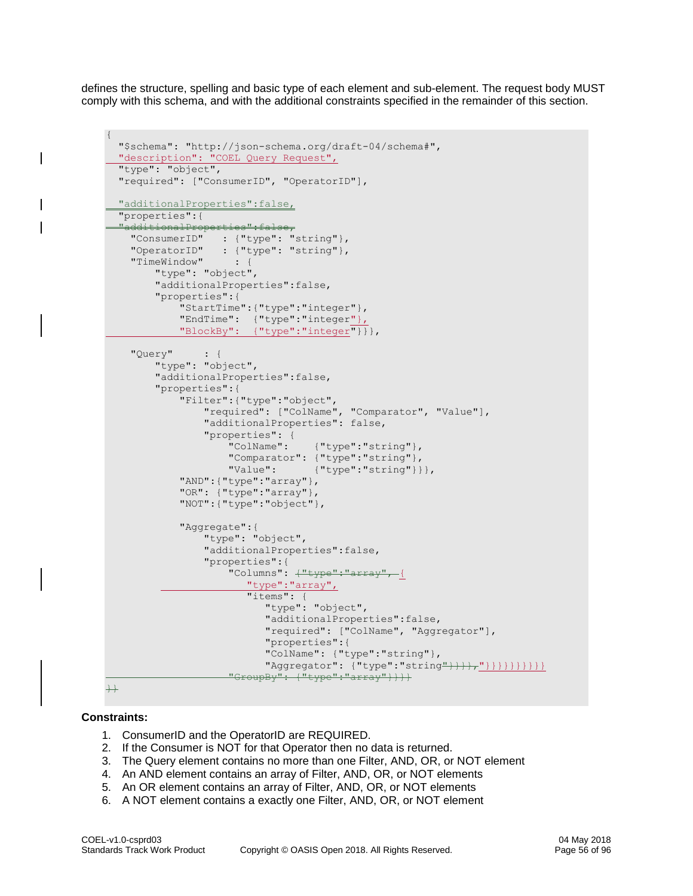defines the structure, spelling and basic type of each element and sub-element. The request body MUST comply with this schema, and with the additional constraints specified in the remainder of this section.

```
{
   "$schema": "http://json-schema.org/draft-04/schema#",
   "description": "COEL Query Request",
  "type": "object",
   "required": ["ConsumerID", "OperatorID"], 
   "additionalProperties":false,
   "properties":{
  "additionalPro
 "ConsumerID" : {"type": "string"},
 "OperatorID" : {"type": "string"}, 
 "TimeWindow" : {
        "type": "object",
         "additionalProperties":false,
         "properties":{
             "StartTime":{"type":"integer"},
             "EndTime": {"type":"integer"},
             "BlockBy": {"type":"integer"}}},
     "Query" : {
         "type": "object",
         "additionalProperties":false,
         "properties":{
             "Filter":{"type":"object",
                 "required": ["ColName", "Comparator", "Value"],
                "additionalProperties": false,
                 "properties": {
                     "ColName": {"type":"string"},
                    "Comparator": { "type": "string" },
                    "Value": {"type":"string"}}},
             "AND":{"type":"array"}, 
             "OR": {"type":"array"}, 
             "NOT":{"type":"object"}, 
             "Aggregate":{
                 "type": "object",
                 "additionalProperties":false,
                 "properties":{
                    "Columns": \frac{1}{1}"type":"array", {
                        "type":"array", 
                        "items": {
                           "type": "object",
                           "additionalProperties":false,
                          "required": ["ColName", "Aggregator"],
                          "properties":{
                          "ColName": {"type":"string"}, 
                          "Aggregator": {"type":"string"}}}}}}}}}}}}}
                    "GroupBy": {"type":"array"}}}}
+
```
### **Constraints:**

- 1. ConsumerID and the OperatorID are REQUIRED.
- 2. If the Consumer is NOT for that Operator then no data is returned.
- 3. The Query element contains no more than one Filter, AND, OR, or NOT element
- 4. An AND element contains an array of Filter, AND, OR, or NOT elements
- 5. An OR element contains an array of Filter, AND, OR, or NOT elements
- 6. A NOT element contains a exactly one Filter, AND, OR, or NOT element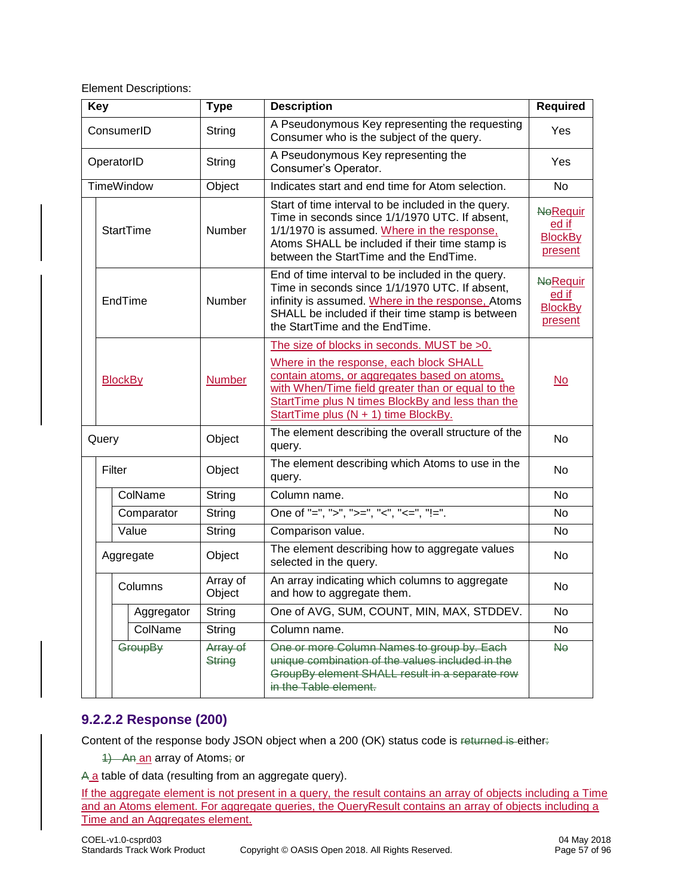Element Descriptions:

| <b>Key</b>                      |                  | <b>Type</b>        | <b>Description</b>                                                                                                                                                                                                                                                                     | <b>Required</b>                                       |
|---------------------------------|------------------|--------------------|----------------------------------------------------------------------------------------------------------------------------------------------------------------------------------------------------------------------------------------------------------------------------------------|-------------------------------------------------------|
|                                 | ConsumerID       | String             | A Pseudonymous Key representing the requesting<br>Consumer who is the subject of the query.                                                                                                                                                                                            | Yes                                                   |
| OperatorID                      |                  | String             | A Pseudonymous Key representing the<br>Consumer's Operator.                                                                                                                                                                                                                            | Yes                                                   |
| <b>TimeWindow</b>               |                  | Object             | Indicates start and end time for Atom selection.                                                                                                                                                                                                                                       | <b>No</b>                                             |
|                                 | <b>StartTime</b> | Number             | Start of time interval to be included in the query.<br>Time in seconds since 1/1/1970 UTC. If absent,<br>1/1/1970 is assumed. Where in the response,<br>Atoms SHALL be included if their time stamp is<br>between the StartTime and the EndTime.                                       | <b>NeRequir</b><br>ed if<br><b>BlockBy</b><br>present |
|                                 | EndTime          | Number             | End of time interval to be included in the query.<br>Time in seconds since 1/1/1970 UTC. If absent,<br>infinity is assumed. Where in the response, Atoms<br>SHALL be included if their time stamp is between<br>the StartTime and the EndTime.                                         | <b>NeRequir</b><br>ed if<br><b>BlockBy</b><br>present |
| <b>BlockBy</b><br><b>Number</b> |                  |                    | The size of blocks in seconds. MUST be >0.<br>Where in the response, each block SHALL<br>contain atoms, or aggregates based on atoms,<br>with When/Time field greater than or equal to the<br>StartTime plus N times BlockBy and less than the<br>StartTime plus (N + 1) time BlockBy. | $\underline{\mathsf{No}}$                             |
| Query                           |                  | Object             | The element describing the overall structure of the<br>query.                                                                                                                                                                                                                          | No                                                    |
| Filter                          |                  | Object             | The element describing which Atoms to use in the<br>query.                                                                                                                                                                                                                             | No                                                    |
|                                 | ColName          | String             | Column name.                                                                                                                                                                                                                                                                           | No                                                    |
|                                 | Comparator       | String             | One of "=", ">", ">=", "<", "<=", "!=".                                                                                                                                                                                                                                                | No                                                    |
|                                 | Value            | String             | Comparison value.                                                                                                                                                                                                                                                                      | No                                                    |
|                                 | Aggregate        | Object             | The element describing how to aggregate values<br>selected in the query.                                                                                                                                                                                                               | No                                                    |
|                                 | Columns          | Array of<br>Object | An array indicating which columns to aggregate<br>and how to aggregate them.                                                                                                                                                                                                           | No                                                    |
|                                 | Aggregator       | String             | One of AVG, SUM, COUNT, MIN, MAX, STDDEV.                                                                                                                                                                                                                                              | No                                                    |
|                                 | ColName          | String             | Column name.                                                                                                                                                                                                                                                                           | No                                                    |
|                                 | GroupBy          | Array of<br>String | One or more Column Names to group by. Each<br>unique combination of the values included in the<br>GroupBy element SHALL result in a separate row<br>in the Table element.                                                                                                              | <b>No</b>                                             |

# **9.2.2.2 Response (200)**

Content of the response body JSON object when a 200 (OK) status code is returned is either:

1) An an array of Atoms; or

A a table of data (resulting from an aggregate query).

If the aggregate element is not present in a query, the result contains an array of objects including a Time and an Atoms element. For aggregate queries, the QueryResult contains an array of objects including a Time and an Aggregates element.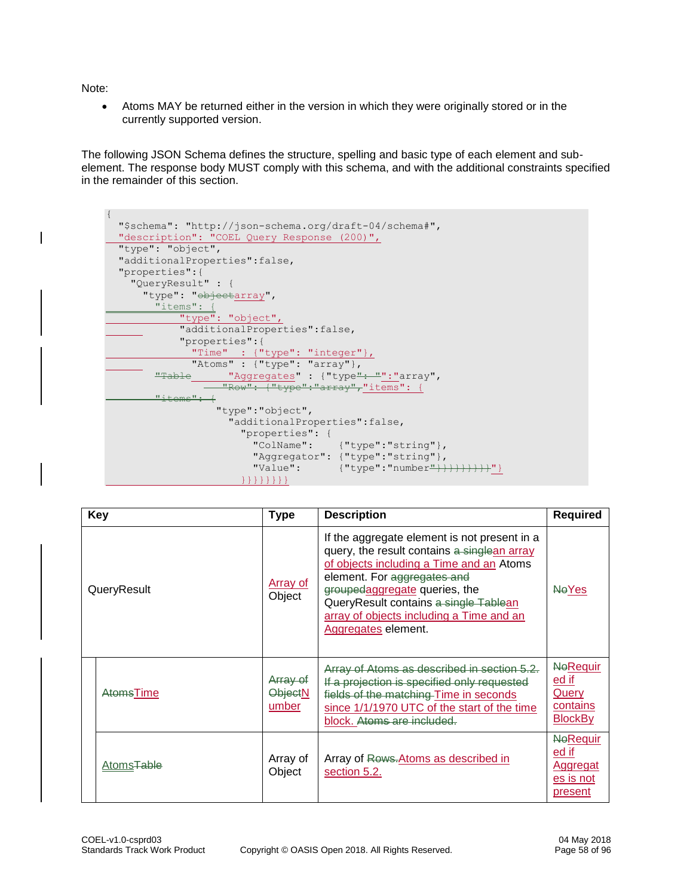Note:

• Atoms MAY be returned either in the version in which they were originally stored or in the currently supported version.

The following JSON Schema defines the structure, spelling and basic type of each element and subelement. The response body MUST comply with this schema, and with the additional constraints specified in the remainder of this section.



| Key                    | <b>Type</b>                         | <b>Description</b>                                                                                                                                                                                                                                                                                                  | <b>Required</b>                                                               |
|------------------------|-------------------------------------|---------------------------------------------------------------------------------------------------------------------------------------------------------------------------------------------------------------------------------------------------------------------------------------------------------------------|-------------------------------------------------------------------------------|
| QueryResult            | <b>Array of</b><br>Object           | If the aggregate element is not present in a<br>query, the result contains a singlean array<br>of objects including a Time and an Atoms<br>element. For aggregates and<br>groupedaggregate queries, the<br>QueryResult contains a single Tablean<br>array of objects including a Time and an<br>Aggregates element. | <b>NeYes</b>                                                                  |
| AtomsTime              | Array of<br><b>ObjectN</b><br>umber | Array of Atoms as described in section 5.2.<br>If a projection is specified only requested<br>fields of the matching Time in seconds<br>since 1/1/1970 UTC of the start of the time<br>block. Atoms are included.                                                                                                   | <b>NeRequir</b><br><u>ed if</u><br><b>Query</b><br>contains<br><b>BlockBy</b> |
| Atoms <del>Table</del> | Array of<br>Object                  | Array of Rows. Atoms as described in<br>section 5.2.                                                                                                                                                                                                                                                                | <b>NeRequir</b><br>ed if<br>Aggregat<br>es is not<br>present                  |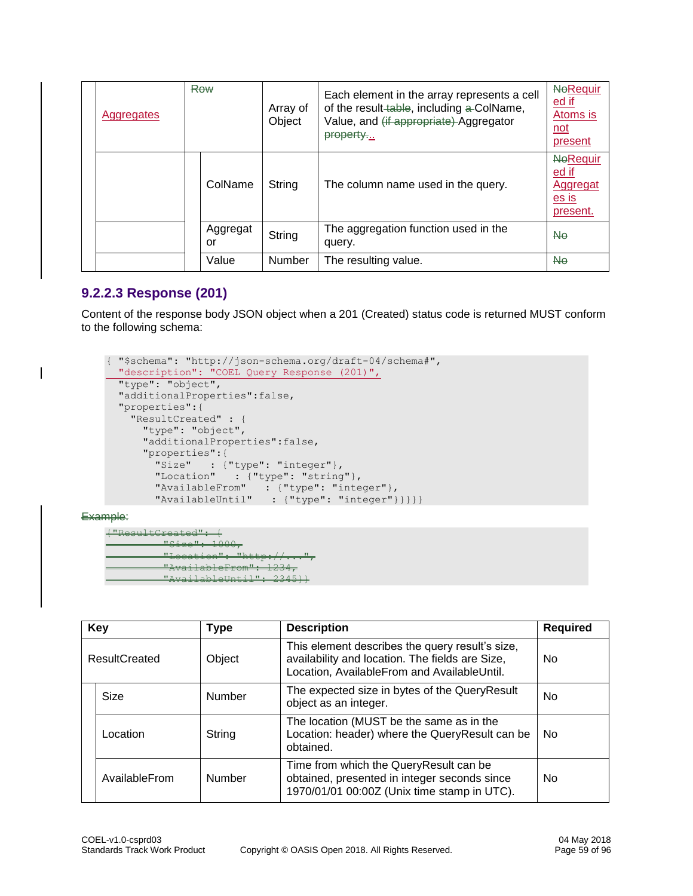| Aggregates | <b>Row</b>     | Array of<br>Object | Each element in the array represents a cell<br>of the result-table, including a-ColName,<br>Value, and (if appropriate) Aggregator<br>property | <b>NeRequir</b><br><u>ed if</u><br>Atoms is<br><u>not</u><br>present |
|------------|----------------|--------------------|------------------------------------------------------------------------------------------------------------------------------------------------|----------------------------------------------------------------------|
|            | ColName        | String             | The column name used in the query.                                                                                                             | <b>NeRequir</b><br>ed if<br><b>Aggregat</b><br>es is<br>present.     |
|            | Aggregat<br>or | String             | The aggregation function used in the<br>query.                                                                                                 | <b>No</b>                                                            |
|            | Value          | Number             | The resulting value.                                                                                                                           | <b>No</b>                                                            |

# **9.2.2.3 Response (201)**

Content of the response body JSON object when a 201 (Created) status code is returned MUST conform to the following schema:

```
{ "$schema": "http://json-schema.org/draft-04/schema#",
  "description": "COEL Query Response (201)",
  "type": "object",
   "additionalProperties":false,
  "properties":{
    "ResultCreated" : {
      "type": "object",
      "additionalProperties":false,
      "properties":{
        "Size" : {"type": "integer"},
 "Location" : {"type": "string"},
 "AvailableFrom" : {"type": "integer"},
 "AvailableUntil" : {"type": "integer"}}}}}
```
Example:

```
ated<mark>": {</mark><br>"ize": 1000
<mark>"Size":</mark><br>"Lecati
"Location": "http://...",
"AvailableFrom": 1234,
"AvailableUntil": 2345}}
```

|                      | <b>Key</b>    | Type          | <b>Description</b>                                                                                                                                | <b>Required</b> |
|----------------------|---------------|---------------|---------------------------------------------------------------------------------------------------------------------------------------------------|-----------------|
| <b>ResultCreated</b> |               | Object        | This element describes the query result's size,<br>availability and location. The fields are Size,<br>Location, AvailableFrom and AvailableUntil. | No.             |
|                      | Size          | <b>Number</b> | The expected size in bytes of the QueryResult<br>object as an integer.                                                                            | <b>No</b>       |
|                      | Location      | String        | The location (MUST be the same as in the<br>Location: header) where the QueryResult can be<br>obtained.                                           | No.             |
|                      | AvailableFrom | Number        | Time from which the QueryResult can be<br>obtained, presented in integer seconds since<br>1970/01/01 00:00Z (Unix time stamp in UTC).             | No.             |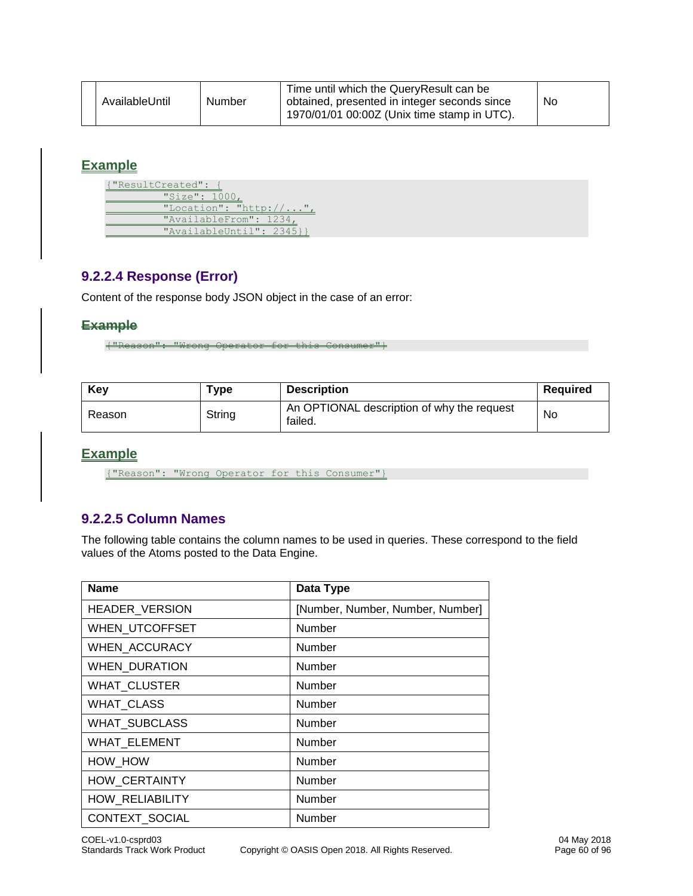# **Example**

{"ResultCreated": { "Size": 1000, "Location": "http://...", "AvailableFrom": 1234, "AvailableUntil": 2345}}

# **9.2.2.4 Response (Error)**

Content of the response body JSON object in the case of an error:

### **Example**

{"Reason": "Wrong Operator for this Consumer"}

| Key    | ™уре   | <b>Description</b>                                    | Reauired |
|--------|--------|-------------------------------------------------------|----------|
| Reason | String | An OPTIONAL description of why the request<br>failed. | No       |

# **Example**

{"Reason": "Wrong Operator for this Consumer"}

# **9.2.2.5 Column Names**

The following table contains the column names to be used in queries. These correspond to the field values of the Atoms posted to the Data Engine.

| <b>Name</b>            | Data Type                        |
|------------------------|----------------------------------|
| <b>HEADER VERSION</b>  | [Number, Number, Number, Number] |
| <b>WHEN UTCOFFSET</b>  | Number                           |
| WHEN_ACCURACY          | Number                           |
| <b>WHEN_DURATION</b>   | Number                           |
| <b>WHAT CLUSTER</b>    | Number                           |
| <b>WHAT CLASS</b>      | Number                           |
| <b>WHAT SUBCLASS</b>   | Number                           |
| <b>WHAT ELEMENT</b>    | Number                           |
| HOW HOW                | Number                           |
| <b>HOW CERTAINTY</b>   | <b>Number</b>                    |
| <b>HOW RELIABILITY</b> | Number                           |
| CONTEXT_SOCIAL         | Number                           |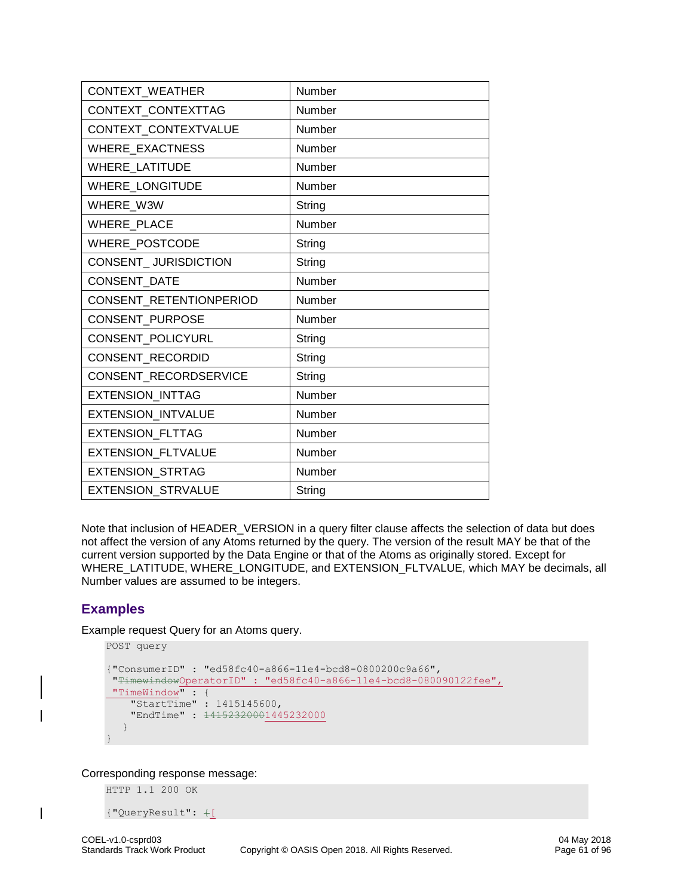| CONTEXT_WEATHER           | Number |
|---------------------------|--------|
| CONTEXT_CONTEXTTAG        | Number |
| CONTEXT_CONTEXTVALUE      | Number |
| <b>WHERE EXACTNESS</b>    | Number |
| <b>WHERE LATITUDE</b>     | Number |
| <b>WHERE LONGITUDE</b>    | Number |
| WHERE W3W                 | String |
| <b>WHERE PLACE</b>        | Number |
| WHERE_POSTCODE            | String |
| CONSENT_JURISDICTION      | String |
| CONSENT_DATE              | Number |
| CONSENT RETENTIONPERIOD   | Number |
| <b>CONSENT PURPOSE</b>    | Number |
| CONSENT_POLICYURL         | String |
| CONSENT_RECORDID          | String |
| CONSENT_RECORDSERVICE     | String |
| <b>EXTENSION INTTAG</b>   | Number |
| EXTENSION_INTVALUE        | Number |
| EXTENSION_FLTTAG          | Number |
| <b>EXTENSION FLTVALUE</b> | Number |
| EXTENSION_STRTAG          | Number |
| <b>EXTENSION STRVALUE</b> | String |

Note that inclusion of HEADER\_VERSION in a query filter clause affects the selection of data but does not affect the version of any Atoms returned by the query. The version of the result MAY be that of the current version supported by the Data Engine or that of the Atoms as originally stored. Except for WHERE\_LATITUDE, WHERE\_LONGITUDE, and EXTENSION\_FLTVALUE, which MAY be decimals, all Number values are assumed to be integers.

# **Examples**

Example request Query for an Atoms query.

```
POST query
{"ConsumerID" : "ed58fc40-a866-11e4-bcd8-0800200c9a66",
 "TimewindowOperatorID" : "ed58fc40-a866-11e4-bcd8-080090122fee",
 "TimeWindow" : {
 "StartTime" : 1415145600,
     "EndTime" : 14152320001445232000
  }
}
```
Corresponding response message:

HTTP 1.1 200 OK

```
{"QueryResult": {[
```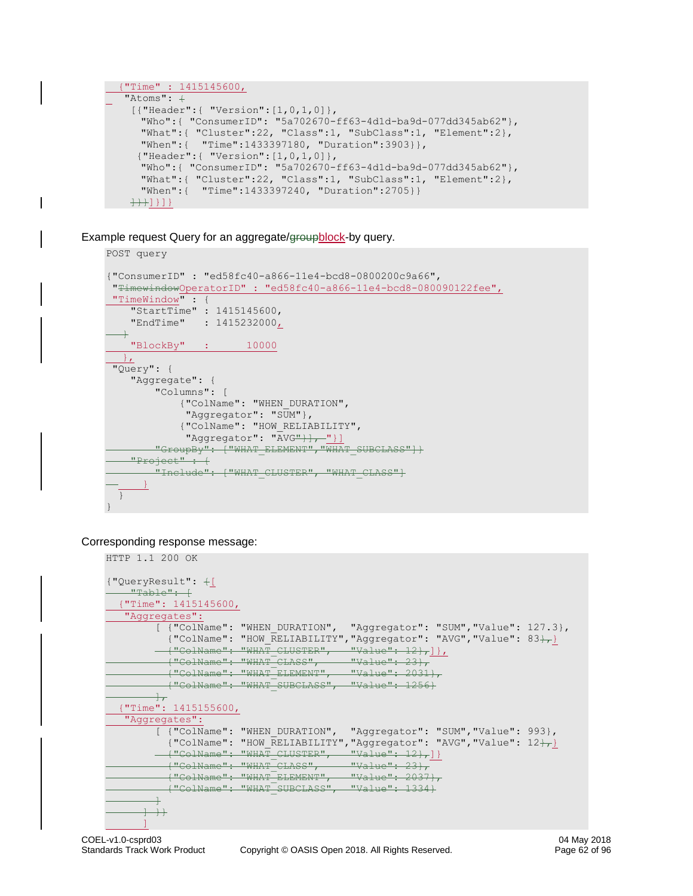```
 {"Time" : 1415145600,
\overline{\phantom{a}} "Atoms": \overline{\phantom{a}} [{"Header":{ "Version":[1,0,1,0]},
    "Who":{ "ConsumerID": "5a702670-ff63-4d1d-ba9d-077dd345ab62"},
    "What":{ "Cluster":22, "Class":1, "SubClass":1, "Element":2},
       "When":{ "Time":1433397180, "Duration":3903}},
      {"Header":{ "Version":[1,0,1,0]},
    "Who":{ "ConsumerID": "5a702670-ff63-4d1d-ba9d-077dd345ab62"},
    "What":{ "Cluster":22, "Class":1, "SubClass":1, "Element":2},
       "When":{ "Time":1433397240, "Duration":2705}}
    ++1}]}]}
```
Example request Query for an aggregate/groupblock-by query.

```
POST query
{"ConsumerID" : "ed58fc40-a866-11e4-bcd8-0800200c9a66",
 "TimewindowOperatorID" : "ed58fc40-a866-11e4-bcd8-080090122fee",
 "TimeWindow" : {
 "StartTime" : 1415145600,
 "EndTime" : 1415232000,
   }
    "BlockBy" : 10000
 },
 "Query": {
     "Aggregate": { 
         "Columns": [
              {"ColName": "WHEN_DURATION", 
             "Aggregator": "SUM"},
              {"ColName": "HOW_RELIABILITY", 
             "Aggregator": "\overline{\text{AVG}}"} ], "}]
        "GroupBy": ["WHAT ELEMENT", "WHAT SUBCLASS"] }
   "Project" : +"Include": ["WHAT CLUSTER", "WHAT CLASS"]
\longrightarrow }
   }
}
```
### Corresponding response message:

```
HTTP 1.1 200 OK
{"QueryResult": {[
    "Table": [ {"Time": 1415145600,
      "Aggregates": 
              [ {"ColName": "WHEN_DURATION", "Aggregator": "SUM","Value": 127.3},
                {\rm (``ColName'': ``How\_RELIABILITY'', ``Aggregator'': ``AVG'', ``Value'': 83}_{7} \}("ColName": "WHAT CLUSTER", "Value": 12},]
("ColName": "WHAT CLASS", "Value": 23},
                {"ColName": "WHAT_ELEMENT", "Value": 2031},
              ("ColName": "WHAT_BBBRBNI", "Value": 2001)
              \frac{1}{\sqrt{2}} {"Time": 1415155600,
     "Aggregates":
             [ {"ColName": "WHEN_DURATION", "Aggregator": "SUM","Value": 993},
             {"ColName": "HOW RELIABILITY", "Aggregator": "AVG", "Value": 12\}{\overline{\phantom{a}} \hspace{0.5cm} \overline{\phantom{a}}}: \hspace{0.2cm} {\overline{\phantom{a}} \hspace{0.5cm} \overline{\phantom{a}}}\hspace{0.2cm} {\overline{\phantom{a}} \hspace{0.5cm} \overline{\phantom{a}}}\hspace{0.2cm} {\overline{\phantom{a}} \hspace{0.5cm} \overline{\phantom{a}}}\hspace{0.2cm} {\overline{\phantom{a}} \hspace{0.5cm} \overline{\phantom{a}}}\hspace{0.2cm} {\overline{\phantom{a}} \hspace{0.5cm} \overline{\phantom{a}}}\hspace{0.2cm} {\overline( COINAMC : "WHAT_CLOUILR", "WAIRC": 12 JT.<br>("ColName": "WHAT CLASS", "Value": 23},
                {"ColName": "WHAT_ELEMENT", "Value": 2037},
                {"ColName": "WHAT_SUBCLASS", "Value": 1334} 
             \perp\begin{array}{c} \begin{array}{c} \begin{array}{c} \end{array} \end{array}\sim \sim \sim \sim \sim \sim \sim
```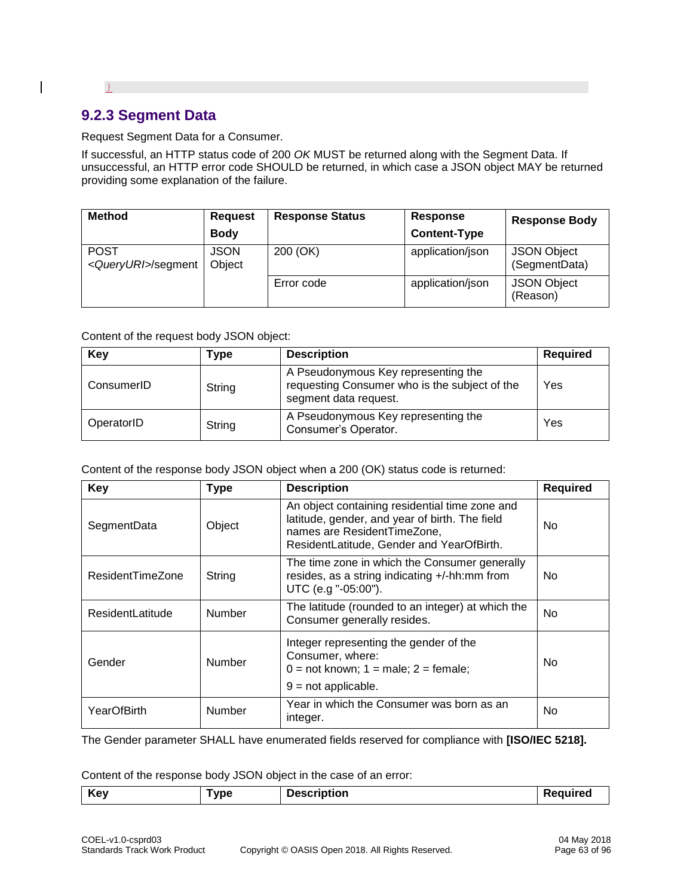# **9.2.3 Segment Data**

}

 $\overline{\phantom{a}}$ 

Request Segment Data for a Consumer.

If successful, an HTTP status code of 200 *OK* MUST be returned along with the Segment Data. If unsuccessful, an HTTP error code SHOULD be returned, in which case a JSON object MAY be returned providing some explanation of the failure.

| <b>Method</b>                                | <b>Request</b>                    | <b>Response Status</b> | Response            | <b>Response Body</b>                |
|----------------------------------------------|-----------------------------------|------------------------|---------------------|-------------------------------------|
|                                              | <b>Body</b>                       |                        | <b>Content-Type</b> |                                     |
| <b>POST</b><br><queryuri>/segment</queryuri> | 200 (OK)<br><b>JSON</b><br>Object |                        | application/json    | <b>JSON Object</b><br>(SegmentData) |
|                                              |                                   | Error code             | application/json    | <b>JSON Object</b><br>(Reason)      |

### Content of the request body JSON object:

| Key        | Type   | <b>Description</b>                                                                                            | <b>Required</b> |
|------------|--------|---------------------------------------------------------------------------------------------------------------|-----------------|
| ConsumerID | String | A Pseudonymous Key representing the<br>requesting Consumer who is the subject of the<br>segment data request. | Yes             |
| OperatorID | String | A Pseudonymous Key representing the<br>Consumer's Operator.                                                   | Yes             |

### Content of the response body JSON object when a 200 (OK) status code is returned:

| Key                     | <b>Type</b>   | <b>Description</b>                                                                                                                                                           | <b>Required</b> |
|-------------------------|---------------|------------------------------------------------------------------------------------------------------------------------------------------------------------------------------|-----------------|
| SegmentData             | Object        | An object containing residential time zone and<br>latitude, gender, and year of birth. The field<br>names are ResidentTimeZone,<br>ResidentLatitude, Gender and YearOfBirth. | No.             |
| <b>ResidentTimeZone</b> | String        | The time zone in which the Consumer generally<br>resides, as a string indicating +/-hh:mm from<br>UTC (e.g "-05:00").                                                        | No.             |
| <b>ResidentLatitude</b> | Number        | The latitude (rounded to an integer) at which the<br>Consumer generally resides.                                                                                             | No.             |
| Gender                  | <b>Number</b> | Integer representing the gender of the<br>Consumer, where:<br>$0 = \text{not known}$ ; $1 = \text{male}$ ; $2 = \text{female}$ ;<br>$9 = not applicable.$                    | <b>No</b>       |
| YearOfBirth             | <b>Number</b> | Year in which the Consumer was born as an<br>integer.                                                                                                                        | No.             |

The Gender parameter SHALL have enumerated fields reserved for compliance with **[ISO/IEC 5218].**

Content of the response body JSON object in the case of an error:

| Key | vpe | <b>Description</b> | u |
|-----|-----|--------------------|---|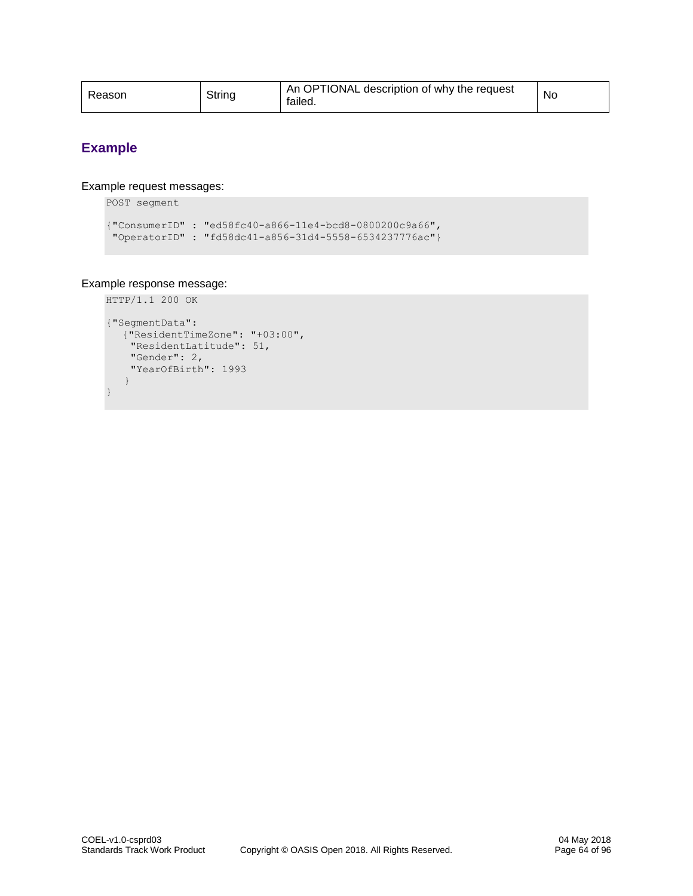| Reason | String | OPTIONAL description of why the request<br>An<br>failed. | No |
|--------|--------|----------------------------------------------------------|----|
|--------|--------|----------------------------------------------------------|----|

# **Example**

}

Example request messages:

```
POST segment
```

```
{"ConsumerID" : "ed58fc40-a866-11e4-bcd8-0800200c9a66",
"OperatorID" : "fd58dc41-a856-31d4-5558-6534237776ac"}
```
### Example response message:

```
HTTP/1.1 200 OK
{"SegmentData":
   {"ResidentTimeZone": "+03:00",
 "ResidentLatitude": 51,
     "Gender": 2,
    "YearOfBirth": 1993
    }
```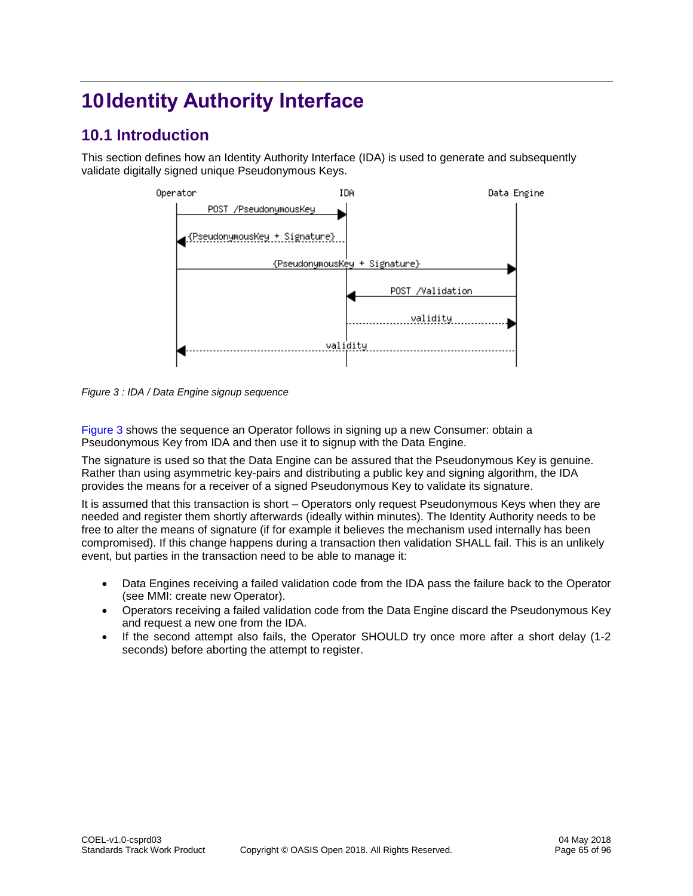# **10Identity Authority Interface**

# **10.1 Introduction**

This section defines how an Identity Authority Interface (IDA) is used to generate and subsequently validate digitally signed unique Pseudonymous Keys.



*Figure 3 : IDA / Data Engine signup sequence*

Figure 3 shows the sequence an Operator follows in signing up a new Consumer: obtain a Pseudonymous Key from IDA and then use it to signup with the Data Engine.

The signature is used so that the Data Engine can be assured that the Pseudonymous Key is genuine. Rather than using asymmetric key-pairs and distributing a public key and signing algorithm, the IDA provides the means for a receiver of a signed Pseudonymous Key to validate its signature.

It is assumed that this transaction is short – Operators only request Pseudonymous Keys when they are needed and register them shortly afterwards (ideally within minutes). The Identity Authority needs to be free to alter the means of signature (if for example it believes the mechanism used internally has been compromised). If this change happens during a transaction then validation SHALL fail. This is an unlikely event, but parties in the transaction need to be able to manage it:

- Data Engines receiving a failed validation code from the IDA pass the failure back to the Operator (see MMI: create new Operator).
- Operators receiving a failed validation code from the Data Engine discard the Pseudonymous Key and request a new one from the IDA.
- If the second attempt also fails, the Operator SHOULD try once more after a short delay (1-2 seconds) before aborting the attempt to register.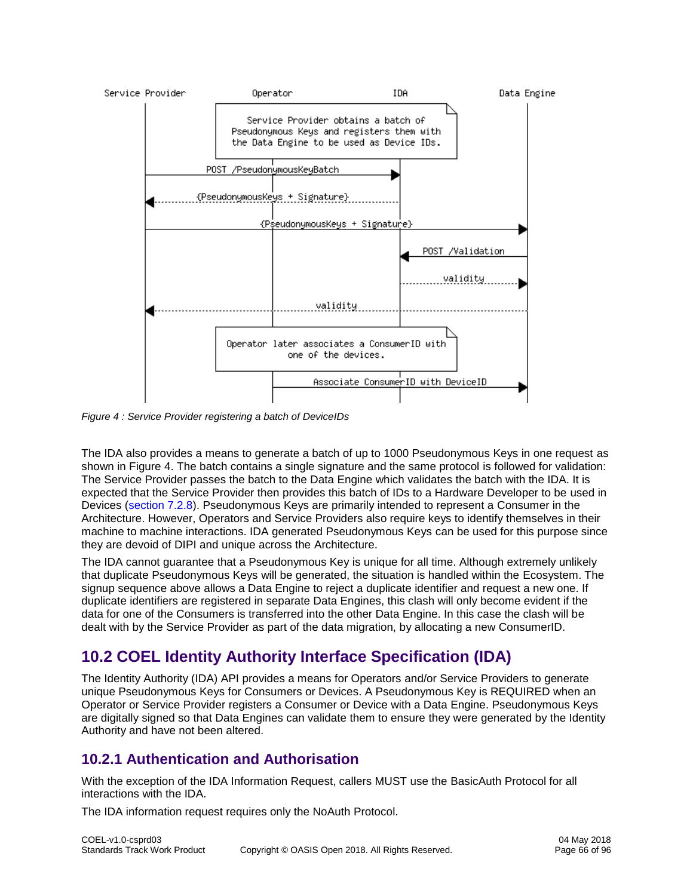

*Figure 4 : Service Provider registering a batch of DeviceIDs*

The IDA also provides a means to generate a batch of up to 1000 Pseudonymous Keys in one request as shown in Figure 4. The batch contains a single signature and the same protocol is followed for validation: The Service Provider passes the batch to the Data Engine which validates the batch with the IDA. It is expected that the Service Provider then provides this batch of IDs to a Hardware Developer to be used in Devices [\(section 7.2.8\)](#page-43-0). Pseudonymous Keys are primarily intended to represent a Consumer in the Architecture. However, Operators and Service Providers also require keys to identify themselves in their machine to machine interactions. IDA generated Pseudonymous Keys can be used for this purpose since they are devoid of DIPI and unique across the Architecture.

The IDA cannot guarantee that a Pseudonymous Key is unique for all time. Although extremely unlikely that duplicate Pseudonymous Keys will be generated, the situation is handled within the Ecosystem. The signup sequence above allows a Data Engine to reject a duplicate identifier and request a new one. If duplicate identifiers are registered in separate Data Engines, this clash will only become evident if the data for one of the Consumers is transferred into the other Data Engine. In this case the clash will be dealt with by the Service Provider as part of the data migration, by allocating a new ConsumerID.

# **10.2 COEL Identity Authority Interface Specification (IDA)**

The Identity Authority (IDA) API provides a means for Operators and/or Service Providers to generate unique Pseudonymous Keys for Consumers or Devices. A Pseudonymous Key is REQUIRED when an Operator or Service Provider registers a Consumer or Device with a Data Engine. Pseudonymous Keys are digitally signed so that Data Engines can validate them to ensure they were generated by the Identity Authority and have not been altered.

# **10.2.1 Authentication and Authorisation**

With the exception of the IDA Information Request, callers MUST use the BasicAuth Protocol for all interactions with the IDA.

The IDA information request requires only the NoAuth Protocol.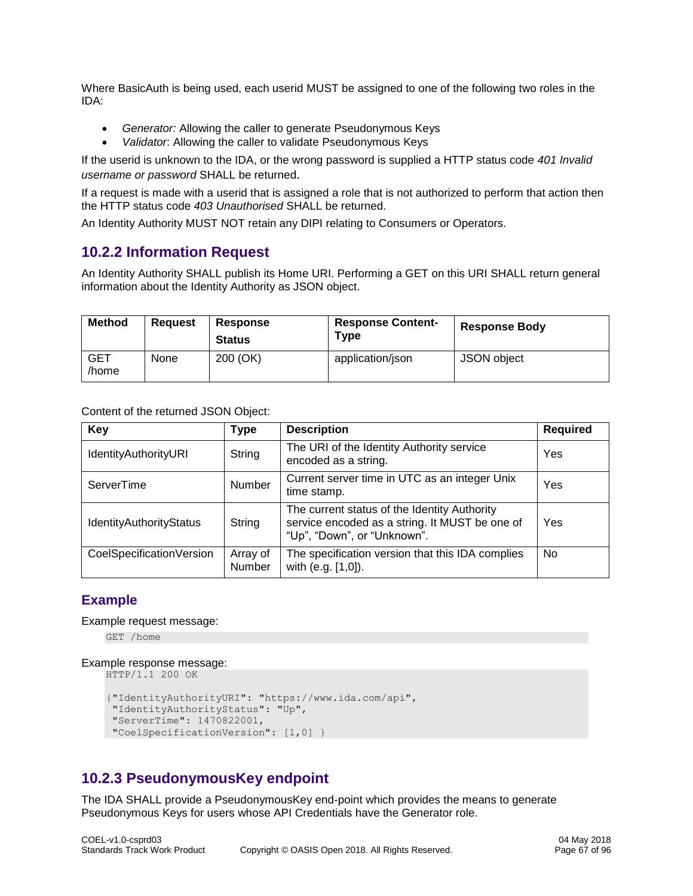Where BasicAuth is being used, each userid MUST be assigned to one of the following two roles in the IDA:

- *Generator:* Allowing the caller to generate Pseudonymous Keys
- *Validator*: Allowing the caller to validate Pseudonymous Keys

If the userid is unknown to the IDA, or the wrong password is supplied a HTTP status code *401 Invalid username or password* SHALL be returned.

If a request is made with a userid that is assigned a role that is not authorized to perform that action then the HTTP status code *403 Unauthorised* SHALL be returned.

An Identity Authority MUST NOT retain any DIPI relating to Consumers or Operators.

# **10.2.2 Information Request**

An Identity Authority SHALL publish its Home URI. Performing a GET on this URI SHALL return general information about the Identity Authority as JSON object.

| <b>Method</b>       | <b>Reguest</b> | <b>Response</b><br><b>Status</b> | <b>Response Content-</b><br>Type | <b>Response Body</b> |
|---------------------|----------------|----------------------------------|----------------------------------|----------------------|
| <b>GET</b><br>/home | None           | 200 (OK)                         | application/json                 | JSON object          |

Content of the returned JSON Object:

| <b>Key</b>                  | <b>Type</b>        | <b>Description</b>                                                                                                            | <b>Required</b> |
|-----------------------------|--------------------|-------------------------------------------------------------------------------------------------------------------------------|-----------------|
| <b>IdentityAuthorityURI</b> | String             | The URI of the Identity Authority service<br>encoded as a string.                                                             | Yes             |
| ServerTime                  | <b>Number</b>      | Current server time in UTC as an integer Unix<br>time stamp.                                                                  | Yes             |
| IdentityAuthorityStatus     | String             | The current status of the Identity Authority<br>service encoded as a string. It MUST be one of<br>"Up", "Down", or "Unknown". | Yes             |
| CoelSpecificationVersion    | Array of<br>Number | The specification version that this IDA complies<br>with (e.g. [1,0]).                                                        | <b>No</b>       |

### **Example**

Example request message:

GET /home

#### Example response message:

```
HTTP/1.1 200 OK
```

```
{"IdentityAuthorityURI": "https://www.ida.com/api", 
"IdentityAuthorityStatus": "Up",
"ServerTime": 1470822001,
"CoelSpecificationVersion": [1,0] }
```
# **10.2.3 PseudonymousKey endpoint**

The IDA SHALL provide a PseudonymousKey end-point which provides the means to generate Pseudonymous Keys for users whose API Credentials have the Generator role.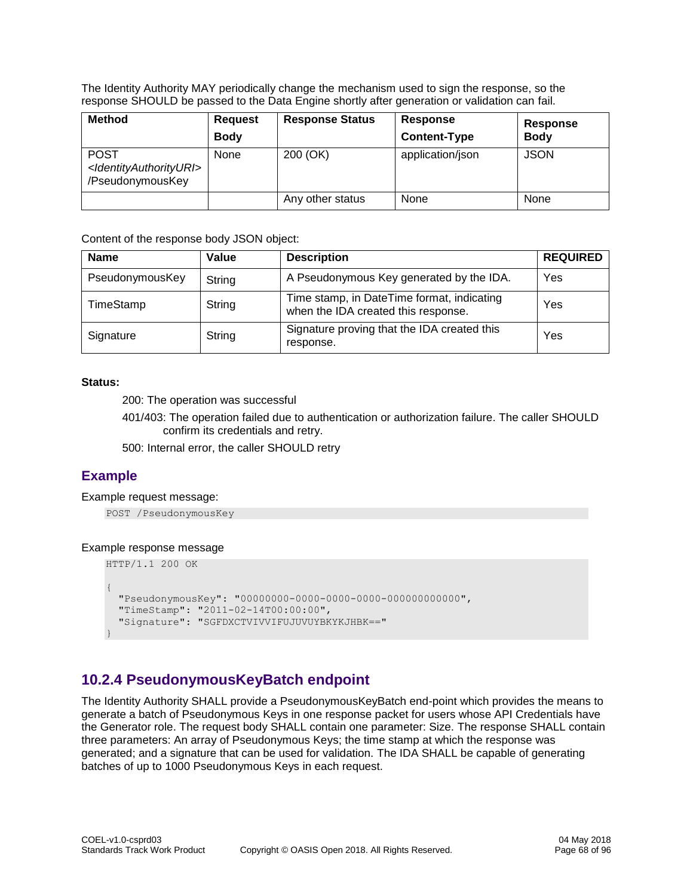The Identity Authority MAY periodically change the mechanism used to sign the response, so the response SHOULD be passed to the Data Engine shortly after generation or validation can fail.

| <b>Method</b>                                                                     | <b>Request</b><br><b>Body</b> | <b>Response Status</b> | Response<br><b>Content-Type</b> | Response<br><b>Body</b> |
|-----------------------------------------------------------------------------------|-------------------------------|------------------------|---------------------------------|-------------------------|
| <b>POST</b><br><identityauthorityuri><br/>/PseudonymousKey</identityauthorityuri> | None                          | 200 (OK)               | application/json                | <b>JSON</b>             |
|                                                                                   |                               | Any other status       | None                            | None                    |

Content of the response body JSON object:

| <b>Name</b>     | Value  | <b>Description</b>                                                                | <b>REQUIRED</b> |
|-----------------|--------|-----------------------------------------------------------------------------------|-----------------|
| PseudonymousKey | String | A Pseudonymous Key generated by the IDA.                                          | Yes             |
| TimeStamp       | String | Time stamp, in DateTime format, indicating<br>when the IDA created this response. | Yes             |
| Signature       | String | Signature proving that the IDA created this<br>response.                          | Yes             |

### **Status:**

200: The operation was successful

401/403: The operation failed due to authentication or authorization failure. The caller SHOULD confirm its credentials and retry.

500: Internal error, the caller SHOULD retry

# **Example**

### Example request message:

```
POST /PseudonymousKey
```
### Example response message

```
HTTP/1.1 200 OK
{
   "PseudonymousKey": "00000000-0000-0000-0000-000000000000",
   "TimeStamp": "2011-02-14T00:00:00",
   "Signature": "SGFDXCTVIVVIFUJUVUYBKYKJHBK=="
}
```
# **10.2.4 PseudonymousKeyBatch endpoint**

The Identity Authority SHALL provide a PseudonymousKeyBatch end-point which provides the means to generate a batch of Pseudonymous Keys in one response packet for users whose API Credentials have the Generator role. The request body SHALL contain one parameter: Size. The response SHALL contain three parameters: An array of Pseudonymous Keys; the time stamp at which the response was generated; and a signature that can be used for validation. The IDA SHALL be capable of generating batches of up to 1000 Pseudonymous Keys in each request.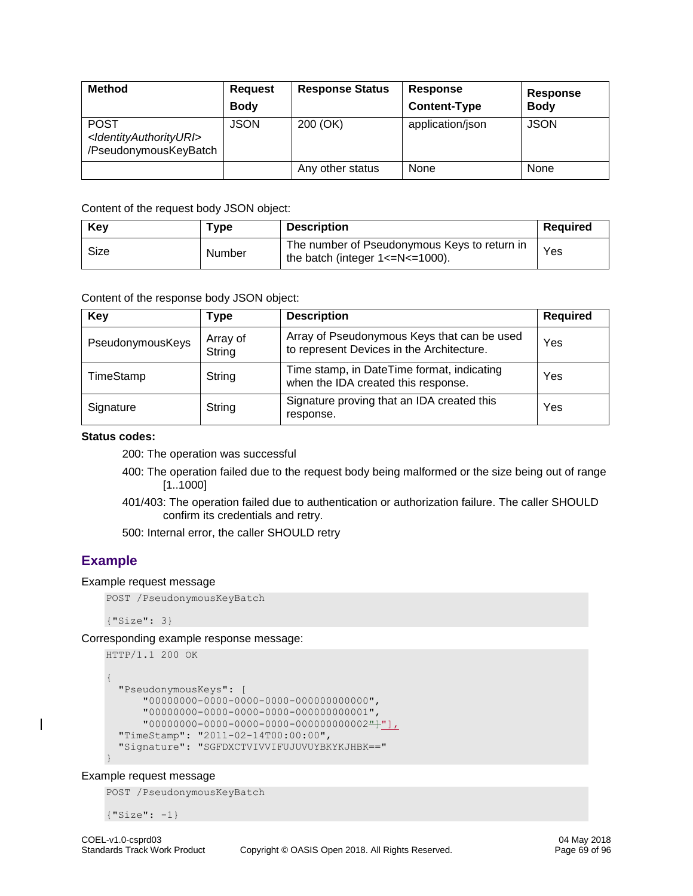| <b>Method</b>                                                                          | <b>Request</b><br><b>Body</b> | <b>Response Status</b> | <b>Response</b><br><b>Content-Type</b> | Response<br><b>Body</b> |
|----------------------------------------------------------------------------------------|-------------------------------|------------------------|----------------------------------------|-------------------------|
| <b>POST</b><br><identityauthorityuri><br/>/PseudonymousKeyBatch</identityauthorityuri> | <b>JSON</b>                   | 200 (OK)               | application/json                       | <b>JSON</b>             |
|                                                                                        |                               | Any other status       | None                                   | None                    |

| Key            | Type | <b>Description</b>                                                                     | Required |
|----------------|------|----------------------------------------------------------------------------------------|----------|
| Size<br>Number |      | The number of Pseudonymous Keys to return in<br>the batch (integer $1 < = N < 1000$ ). | Yes      |

Content of the response body JSON object:

| Key              | Type               | <b>Description</b>                                                                       | <b>Required</b> |
|------------------|--------------------|------------------------------------------------------------------------------------------|-----------------|
| PseudonymousKeys | Array of<br>String | Array of Pseudonymous Keys that can be used<br>to represent Devices in the Architecture. | Yes             |
| TimeStamp        | String             | Time stamp, in DateTime format, indicating<br>when the IDA created this response.        | Yes             |
| Signature        | String             | Signature proving that an IDA created this<br>response.                                  | Yes             |

### **Status codes:**

200: The operation was successful

- 400: The operation failed due to the request body being malformed or the size being out of range [1..1000]
- 401/403: The operation failed due to authentication or authorization failure. The caller SHOULD confirm its credentials and retry.
- 500: Internal error, the caller SHOULD retry

### **Example**

#### Example request message

```
POST /PseudonymousKeyBatch
```
{"Size": 3}

Corresponding example response message:

```
HTTP/1.1 200 OK
{
   "PseudonymousKeys": [
       "00000000-0000-0000-0000-000000000000",
       "00000000-0000-0000-0000-000000000001",
       "00000000-0000-0000-0000-000000000002"]"],
   "TimeStamp": "2011-02-14T00:00:00",
   "Signature": "SGFDXCTVIVVIFUJUVUYBKYKJHBK=="
}
```
### Example request message

POST /PseudonymousKeyBatch

{"Size": -1}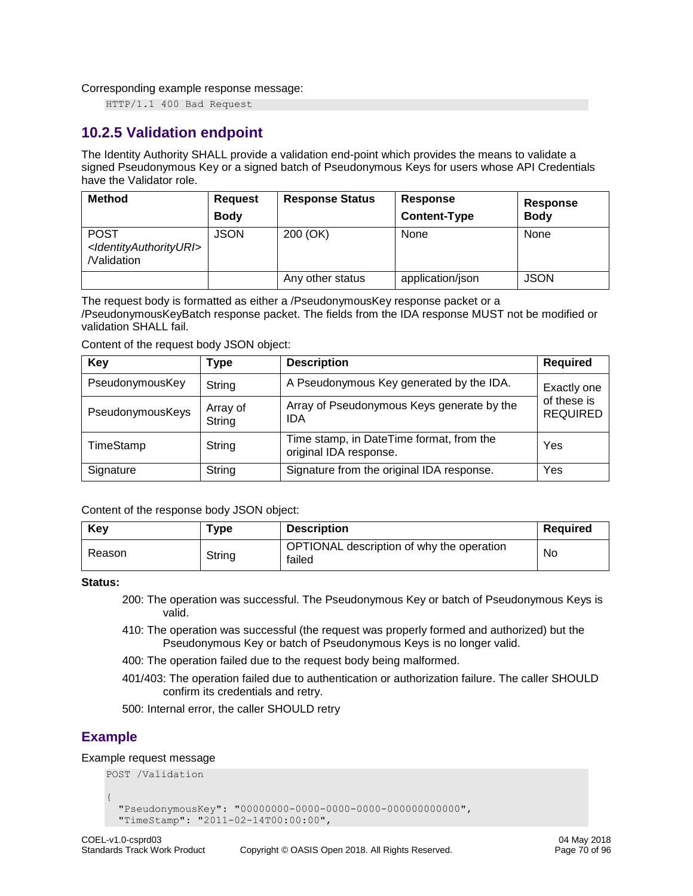Corresponding example response message:

HTTP/1.1 400 Bad Request

# **10.2.5 Validation endpoint**

The Identity Authority SHALL provide a validation end-point which provides the means to validate a signed Pseudonymous Key or a signed batch of Pseudonymous Keys for users whose API Credentials have the Validator role.

| <b>Method</b>                                                                | <b>Request</b><br><b>Body</b> | <b>Response Status</b> | Response<br><b>Content-Type</b> | Response<br><b>Body</b> |
|------------------------------------------------------------------------------|-------------------------------|------------------------|---------------------------------|-------------------------|
| <b>POST</b><br><ldentityauthorityuri><br/>/Validation</ldentityauthorityuri> | <b>JSON</b>                   | 200 (OK)               | None                            | None                    |
|                                                                              |                               | Any other status       | application/json                | <b>JSON</b>             |

The request body is formatted as either a /PseudonymousKey response packet or a /PseudonymousKeyBatch response packet. The fields from the IDA response MUST not be modified or validation SHALL fail.

Content of the request body JSON object:

| Key              | Type               | <b>Description</b>                                                 | <b>Required</b>                |  |
|------------------|--------------------|--------------------------------------------------------------------|--------------------------------|--|
| PseudonymousKey  | String             | A Pseudonymous Key generated by the IDA.                           | Exactly one                    |  |
| PseudonymousKeys | Array of<br>String | Array of Pseudonymous Keys generate by the<br>IDA                  | of these is<br><b>REQUIRED</b> |  |
| TimeStamp        | String             | Time stamp, in DateTime format, from the<br>original IDA response. | Yes                            |  |
| Signature        | String             | Signature from the original IDA response.                          | Yes                            |  |

Content of the response body JSON object:

| Key    | ${\sf \tau}$ ype | <b>Description</b>                                  | Required  |
|--------|------------------|-----------------------------------------------------|-----------|
| Reason | String           | OPTIONAL description of why the operation<br>failed | <b>No</b> |

#### **Status:**

- 200: The operation was successful. The Pseudonymous Key or batch of Pseudonymous Keys is valid.
- 410: The operation was successful (the request was properly formed and authorized) but the Pseudonymous Key or batch of Pseudonymous Keys is no longer valid.
- 400: The operation failed due to the request body being malformed.
- 401/403: The operation failed due to authentication or authorization failure. The caller SHOULD confirm its credentials and retry.
- 500: Internal error, the caller SHOULD retry

# **Example**

### Example request message POST /Validation

```
{
  "PseudonymousKey": "00000000-0000-0000-0000-000000000000",
  "TimeStamp": "2011-02-14T00:00:00",
```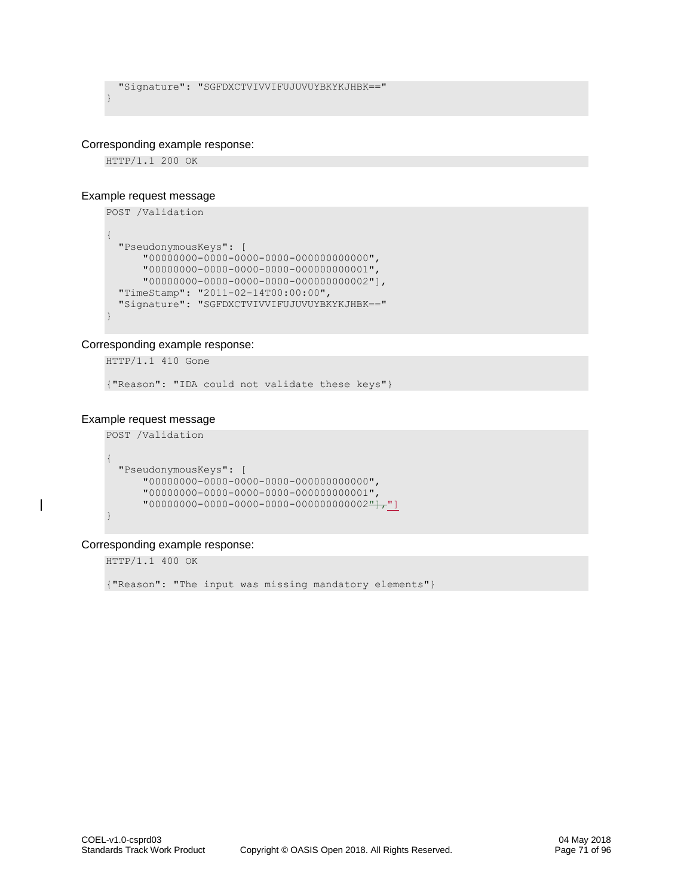```
 "Signature": "SGFDXCTVIVVIFUJUVUYBKYKJHBK=="
}
```
### Corresponding example response:

HTTP/1.1 200 OK

#### Example request message

```
POST /Validation
{
   "PseudonymousKeys": [
       "00000000-0000-0000-0000-000000000000",
       "00000000-0000-0000-0000-000000000001",
       "00000000-0000-0000-0000-000000000002"],
   "TimeStamp": "2011-02-14T00:00:00",
   "Signature": "SGFDXCTVIVVIFUJUVUYBKYKJHBK=="
}
```
### Corresponding example response:

HTTP/1.1 410 Gone

{"Reason": "IDA could not validate these keys"}

### Example request message

```
POST /Validation
{
  "PseudonymousKeys": [
      "00000000-0000-0000-0000-000000000000",
 "00000000-0000-0000-0000-000000000001",
"00000000-0000-0000-0000-0000-00000}
```
### Corresponding example response:

HTTP/1.1 400 OK

{"Reason": "The input was missing mandatory elements"}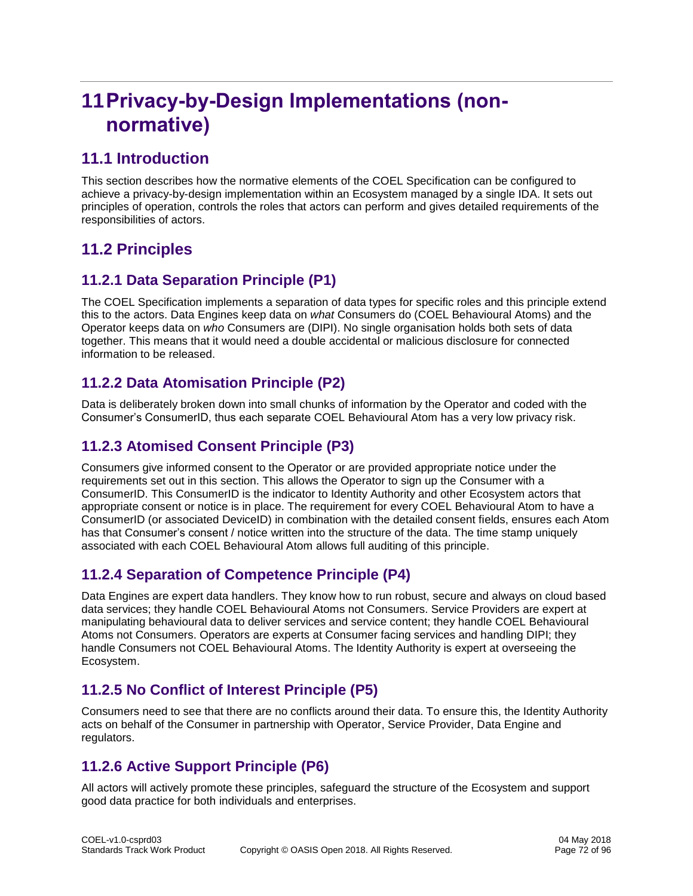# **11Privacy-by-Design Implementations (nonnormative)**

# **11.1 Introduction**

This section describes how the normative elements of the COEL Specification can be configured to achieve a privacy-by-design implementation within an Ecosystem managed by a single IDA. It sets out principles of operation, controls the roles that actors can perform and gives detailed requirements of the responsibilities of actors.

# **11.2 Principles**

# **11.2.1 Data Separation Principle (P1)**

The COEL Specification implements a separation of data types for specific roles and this principle extend this to the actors. Data Engines keep data on *what* Consumers do (COEL Behavioural Atoms) and the Operator keeps data on *who* Consumers are (DIPI). No single organisation holds both sets of data together. This means that it would need a double accidental or malicious disclosure for connected information to be released.

# **11.2.2 Data Atomisation Principle (P2)**

Data is deliberately broken down into small chunks of information by the Operator and coded with the Consumer's ConsumerID, thus each separate COEL Behavioural Atom has a very low privacy risk.

# **11.2.3 Atomised Consent Principle (P3)**

Consumers give informed consent to the Operator or are provided appropriate notice under the requirements set out in this section. This allows the Operator to sign up the Consumer with a ConsumerID. This ConsumerID is the indicator to Identity Authority and other Ecosystem actors that appropriate consent or notice is in place. The requirement for every COEL Behavioural Atom to have a ConsumerID (or associated DeviceID) in combination with the detailed consent fields, ensures each Atom has that Consumer's consent / notice written into the structure of the data. The time stamp uniquely associated with each COEL Behavioural Atom allows full auditing of this principle.

# **11.2.4 Separation of Competence Principle (P4)**

Data Engines are expert data handlers. They know how to run robust, secure and always on cloud based data services; they handle COEL Behavioural Atoms not Consumers. Service Providers are expert at manipulating behavioural data to deliver services and service content; they handle COEL Behavioural Atoms not Consumers. Operators are experts at Consumer facing services and handling DIPI; they handle Consumers not COEL Behavioural Atoms. The Identity Authority is expert at overseeing the Ecosystem.

# **11.2.5 No Conflict of Interest Principle (P5)**

Consumers need to see that there are no conflicts around their data. To ensure this, the Identity Authority acts on behalf of the Consumer in partnership with Operator, Service Provider, Data Engine and regulators.

# **11.2.6 Active Support Principle (P6)**

All actors will actively promote these principles, safeguard the structure of the Ecosystem and support good data practice for both individuals and enterprises.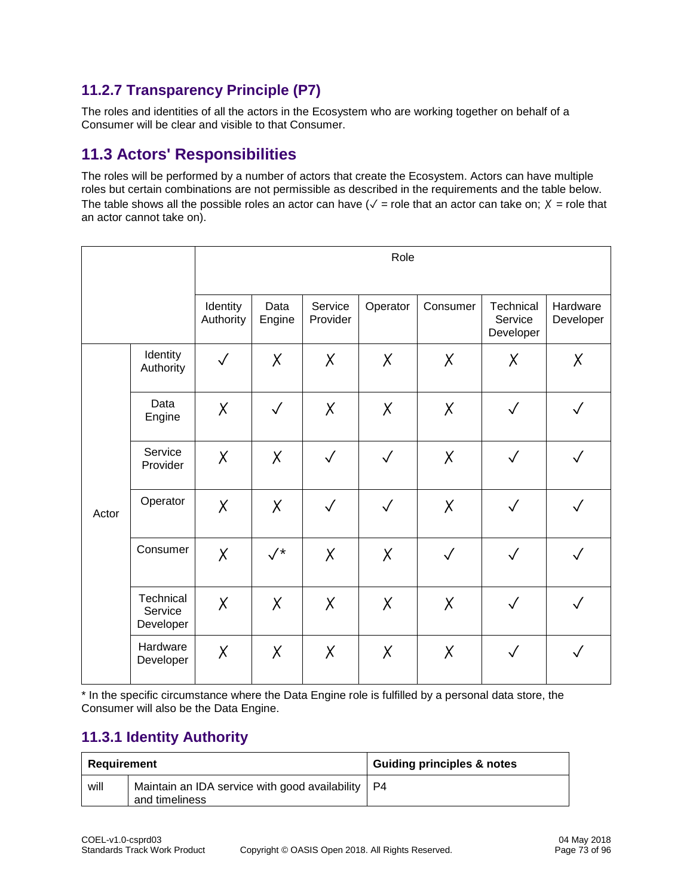### **11.2.7 Transparency Principle (P7)**

The roles and identities of all the actors in the Ecosystem who are working together on behalf of a Consumer will be clear and visible to that Consumer.

## **11.3 Actors' Responsibilities**

The roles will be performed by a number of actors that create the Ecosystem. Actors can have multiple roles but certain combinations are not permissible as described in the requirements and the table below. The table shows all the possible roles an actor can have ( $\sqrt{ }$  = role that an actor can take on;  $X =$  role that an actor cannot take on).

|       |                                   | Role                  |                |                     |              |              |                                   |                       |
|-------|-----------------------------------|-----------------------|----------------|---------------------|--------------|--------------|-----------------------------------|-----------------------|
|       |                                   | Identity<br>Authority | Data<br>Engine | Service<br>Provider | Operator     | Consumer     | Technical<br>Service<br>Developer | Hardware<br>Developer |
|       | Identity<br>Authority             | $\checkmark$          | X              | X                   | X            | X            | X                                 | Χ                     |
| Actor | Data<br>Engine                    | X                     | $\checkmark$   | X                   | X            | X            | $\checkmark$                      | $\checkmark$          |
|       | Service<br>Provider               | X                     | X              | $\checkmark$        | $\checkmark$ | X            | $\checkmark$                      | $\checkmark$          |
|       | Operator                          | X                     | X              | $\checkmark$        | $\checkmark$ | X            | $\sqrt{}$                         | $\checkmark$          |
|       | Consumer                          | X                     | $\sqrt{*}$     | X                   | X            | $\checkmark$ | $\sqrt{}$                         | $\checkmark$          |
|       | Technical<br>Service<br>Developer | X                     | X              | X                   | X            | X            | $\checkmark$                      | $\checkmark$          |
|       | Hardware<br>Developer             | X                     | X              | X                   | X            | X            | $\checkmark$                      | $\checkmark$          |

\* In the specific circumstance where the Data Engine role is fulfilled by a personal data store, the Consumer will also be the Data Engine.

#### **11.3.1 Identity Authority**

| Reauirement |                                                                             | <b>Guiding principles &amp; notes</b> |
|-------------|-----------------------------------------------------------------------------|---------------------------------------|
| will        | Maintain an IDA service with good availability $\vert$ P4<br>and timeliness |                                       |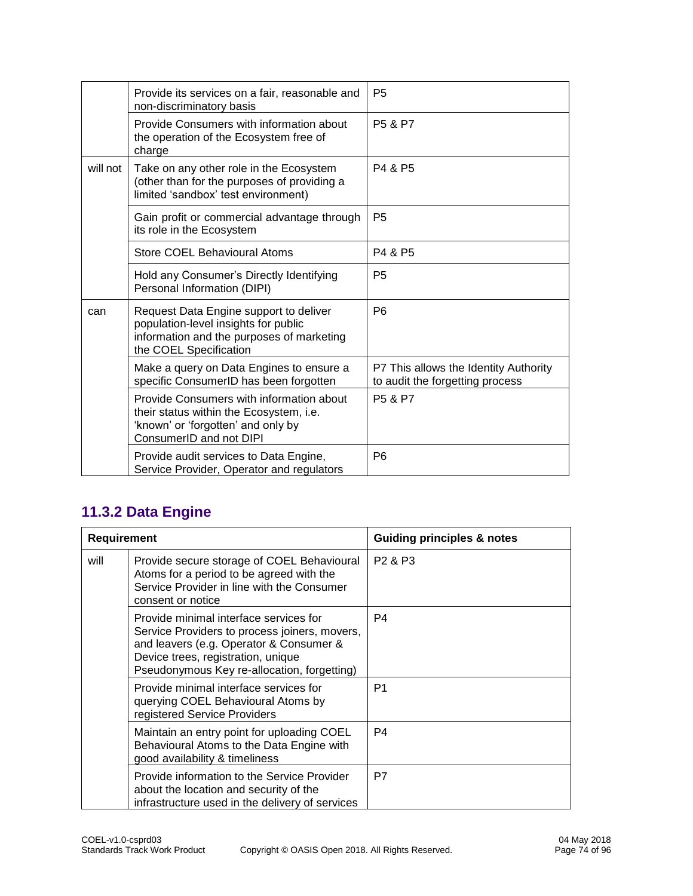|          | Provide its services on a fair, reasonable and<br>non-discriminatory basis                                                                            | P <sub>5</sub>                                                           |
|----------|-------------------------------------------------------------------------------------------------------------------------------------------------------|--------------------------------------------------------------------------|
|          | Provide Consumers with information about<br>the operation of the Ecosystem free of<br>charge                                                          | P <sub>5</sub> & P <sub>7</sub>                                          |
| will not | Take on any other role in the Ecosystem<br>(other than for the purposes of providing a<br>limited 'sandbox' test environment)                         | P4 & P5                                                                  |
|          | Gain profit or commercial advantage through<br>its role in the Ecosystem                                                                              | P <sub>5</sub>                                                           |
|          | Store COEL Behavioural Atoms                                                                                                                          | P4 & P5                                                                  |
|          | Hold any Consumer's Directly Identifying<br>Personal Information (DIPI)                                                                               | P <sub>5</sub>                                                           |
| can      | Request Data Engine support to deliver<br>population-level insights for public<br>information and the purposes of marketing<br>the COEL Specification | P <sub>6</sub>                                                           |
|          | Make a query on Data Engines to ensure a<br>specific ConsumerID has been forgotten                                                                    | P7 This allows the Identity Authority<br>to audit the forgetting process |
|          | Provide Consumers with information about<br>their status within the Ecosystem, i.e.<br>'known' or 'forgotten' and only by<br>ConsumerID and not DIPI  | <b>P5 &amp; P7</b>                                                       |
|          | Provide audit services to Data Engine,<br>Service Provider, Operator and regulators                                                                   | P <sub>6</sub>                                                           |

## **11.3.2 Data Engine**

| <b>Requirement</b> |                                                                                                                                                                                                                         | <b>Guiding principles &amp; notes</b> |
|--------------------|-------------------------------------------------------------------------------------------------------------------------------------------------------------------------------------------------------------------------|---------------------------------------|
| will               | Provide secure storage of COEL Behavioural<br>Atoms for a period to be agreed with the<br>Service Provider in line with the Consumer<br>consent or notice                                                               | P <sub>2</sub> & P <sub>3</sub>       |
|                    | Provide minimal interface services for<br>Service Providers to process joiners, movers,<br>and leavers (e.g. Operator & Consumer &<br>Device trees, registration, unique<br>Pseudonymous Key re-allocation, forgetting) | P4                                    |
|                    | Provide minimal interface services for<br>querying COEL Behavioural Atoms by<br>registered Service Providers                                                                                                            | P <sub>1</sub>                        |
|                    | Maintain an entry point for uploading COEL<br>Behavioural Atoms to the Data Engine with<br>good availability & timeliness                                                                                               | P4                                    |
|                    | Provide information to the Service Provider<br>about the location and security of the<br>infrastructure used in the delivery of services                                                                                | P7                                    |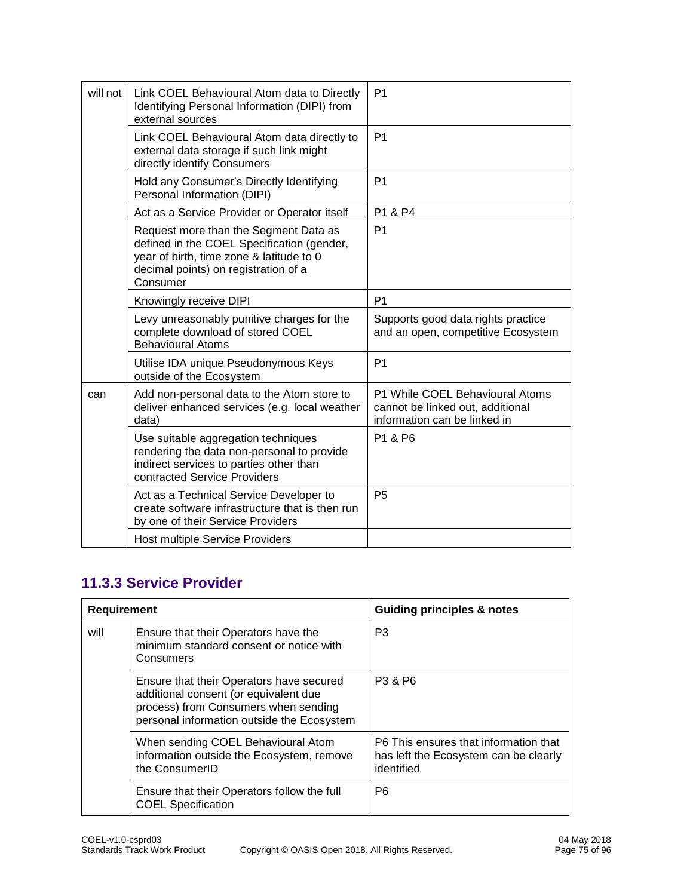| will not | Link COEL Behavioural Atom data to Directly<br>Identifying Personal Information (DIPI) from<br>external sources                                                                     | P <sub>1</sub>                                                                                      |
|----------|-------------------------------------------------------------------------------------------------------------------------------------------------------------------------------------|-----------------------------------------------------------------------------------------------------|
|          | Link COEL Behavioural Atom data directly to<br>external data storage if such link might<br>directly identify Consumers                                                              | P <sub>1</sub>                                                                                      |
|          | Hold any Consumer's Directly Identifying<br>Personal Information (DIPI)                                                                                                             | P <sub>1</sub>                                                                                      |
|          | Act as a Service Provider or Operator itself                                                                                                                                        | P1 & P4                                                                                             |
|          | Request more than the Segment Data as<br>defined in the COEL Specification (gender,<br>year of birth, time zone & latitude to 0<br>decimal points) on registration of a<br>Consumer | P <sub>1</sub>                                                                                      |
|          | Knowingly receive DIPI                                                                                                                                                              | P <sub>1</sub>                                                                                      |
|          | Levy unreasonably punitive charges for the<br>complete download of stored COEL<br><b>Behavioural Atoms</b>                                                                          | Supports good data rights practice<br>and an open, competitive Ecosystem                            |
|          | Utilise IDA unique Pseudonymous Keys<br>outside of the Ecosystem                                                                                                                    | P <sub>1</sub>                                                                                      |
| can      | Add non-personal data to the Atom store to<br>deliver enhanced services (e.g. local weather<br>data)                                                                                | P1 While COEL Behavioural Atoms<br>cannot be linked out, additional<br>information can be linked in |
|          | Use suitable aggregation techniques<br>rendering the data non-personal to provide<br>indirect services to parties other than<br>contracted Service Providers                        | P1 & P6                                                                                             |
|          | Act as a Technical Service Developer to<br>create software infrastructure that is then run<br>by one of their Service Providers                                                     | <b>P5</b>                                                                                           |
|          | Host multiple Service Providers                                                                                                                                                     |                                                                                                     |
|          |                                                                                                                                                                                     |                                                                                                     |

## **11.3.3 Service Provider**

| <b>Requirement</b> |                                                                                                                                                                         | <b>Guiding principles &amp; notes</b>                                                        |
|--------------------|-------------------------------------------------------------------------------------------------------------------------------------------------------------------------|----------------------------------------------------------------------------------------------|
| will               | Ensure that their Operators have the<br>minimum standard consent or notice with<br>Consumers                                                                            | P <sub>3</sub>                                                                               |
|                    | Ensure that their Operators have secured<br>additional consent (or equivalent due<br>process) from Consumers when sending<br>personal information outside the Ecosystem | P3 & P6                                                                                      |
|                    | When sending COEL Behavioural Atom<br>information outside the Ecosystem, remove<br>the ConsumerID                                                                       | P6 This ensures that information that<br>has left the Ecosystem can be clearly<br>identified |
|                    | Ensure that their Operators follow the full<br><b>COEL Specification</b>                                                                                                | P <sub>6</sub>                                                                               |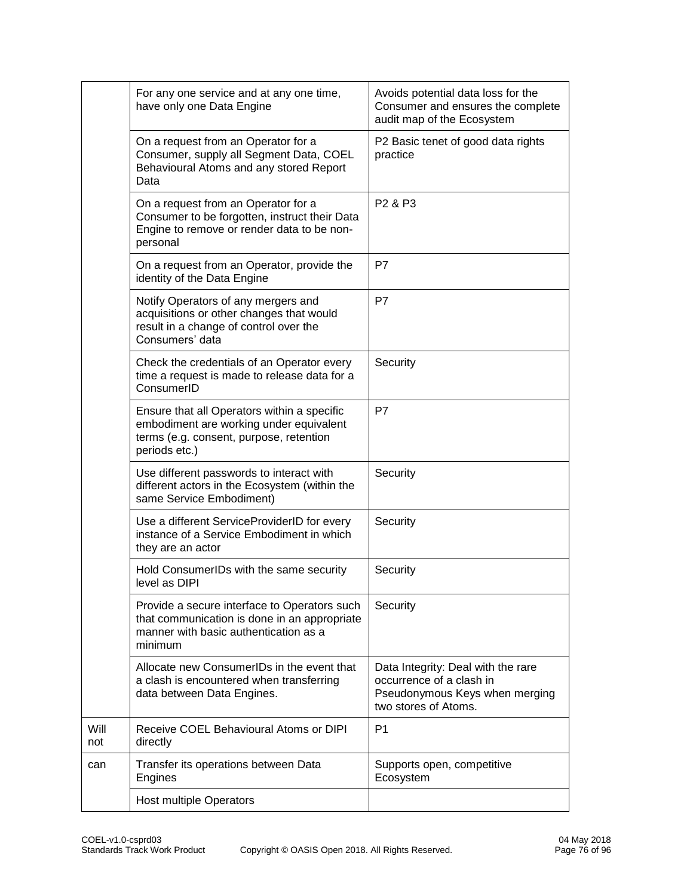|             | For any one service and at any one time,<br>have only one Data Engine                                                                              | Avoids potential data loss for the<br>Consumer and ensures the complete<br>audit map of the Ecosystem                    |
|-------------|----------------------------------------------------------------------------------------------------------------------------------------------------|--------------------------------------------------------------------------------------------------------------------------|
|             | On a request from an Operator for a<br>Consumer, supply all Segment Data, COEL<br>Behavioural Atoms and any stored Report<br>Data                  | P2 Basic tenet of good data rights<br>practice                                                                           |
|             | On a request from an Operator for a<br>Consumer to be forgotten, instruct their Data<br>Engine to remove or render data to be non-<br>personal     | P <sub>2</sub> & P <sub>3</sub>                                                                                          |
|             | On a request from an Operator, provide the<br>identity of the Data Engine                                                                          | P7                                                                                                                       |
|             | Notify Operators of any mergers and<br>acquisitions or other changes that would<br>result in a change of control over the<br>Consumers' data       | P7                                                                                                                       |
|             | Check the credentials of an Operator every<br>time a request is made to release data for a<br>ConsumerID                                           | Security                                                                                                                 |
|             | Ensure that all Operators within a specific<br>embodiment are working under equivalent<br>terms (e.g. consent, purpose, retention<br>periods etc.) | P7                                                                                                                       |
|             | Use different passwords to interact with<br>different actors in the Ecosystem (within the<br>same Service Embodiment)                              | Security                                                                                                                 |
|             | Use a different ServiceProviderID for every<br>instance of a Service Embodiment in which<br>they are an actor                                      | Security                                                                                                                 |
|             | Hold ConsumerIDs with the same security<br>level as DIPI                                                                                           | Security                                                                                                                 |
|             | Provide a secure interface to Operators such<br>that communication is done in an appropriate<br>manner with basic authentication as a<br>minimum   | Security                                                                                                                 |
|             | Allocate new ConsumerIDs in the event that<br>a clash is encountered when transferring<br>data between Data Engines.                               | Data Integrity: Deal with the rare<br>occurrence of a clash in<br>Pseudonymous Keys when merging<br>two stores of Atoms. |
| Will<br>not | Receive COEL Behavioural Atoms or DIPI<br>directly                                                                                                 | P <sub>1</sub>                                                                                                           |
| can         | Transfer its operations between Data<br>Engines                                                                                                    | Supports open, competitive<br>Ecosystem                                                                                  |
|             | <b>Host multiple Operators</b>                                                                                                                     |                                                                                                                          |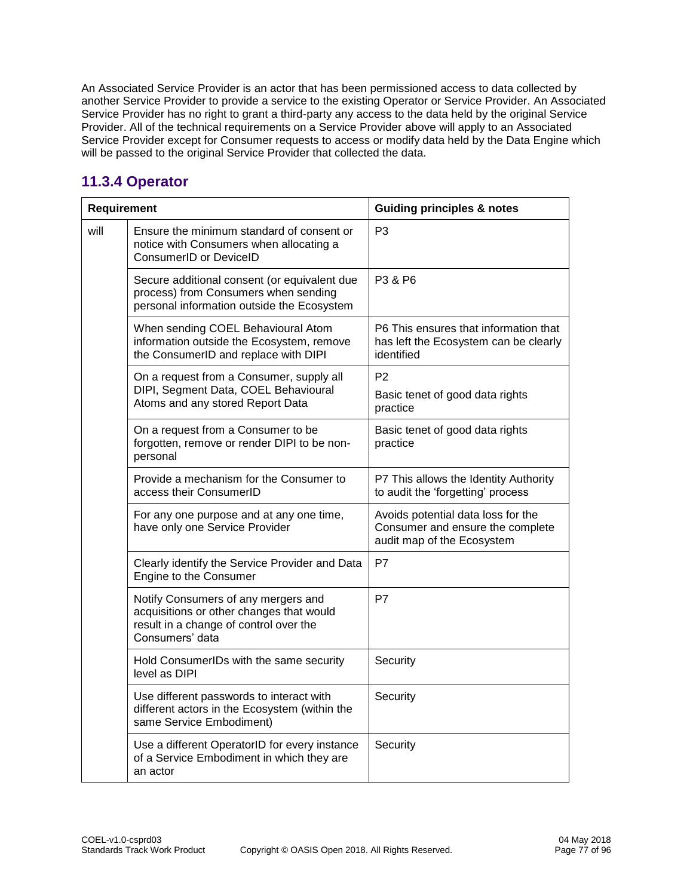An Associated Service Provider is an actor that has been permissioned access to data collected by another Service Provider to provide a service to the existing Operator or Service Provider. An Associated Service Provider has no right to grant a third-party any access to the data held by the original Service Provider. All of the technical requirements on a Service Provider above will apply to an Associated Service Provider except for Consumer requests to access or modify data held by the Data Engine which will be passed to the original Service Provider that collected the data.

#### **11.3.4 Operator**

| Requirement |                                                                                                                                              | <b>Guiding principles &amp; notes</b>                                                                |
|-------------|----------------------------------------------------------------------------------------------------------------------------------------------|------------------------------------------------------------------------------------------------------|
| will        | Ensure the minimum standard of consent or<br>notice with Consumers when allocating a<br>ConsumerID or DeviceID                               | P <sub>3</sub>                                                                                       |
|             | Secure additional consent (or equivalent due<br>process) from Consumers when sending<br>personal information outside the Ecosystem           | P3 & P6                                                                                              |
|             | When sending COEL Behavioural Atom<br>information outside the Ecosystem, remove<br>the ConsumerID and replace with DIPI                      | P6 This ensures that information that<br>has left the Ecosystem can be clearly<br>identified         |
|             | On a request from a Consumer, supply all<br>DIPI, Segment Data, COEL Behavioural<br>Atoms and any stored Report Data                         | P <sub>2</sub><br>Basic tenet of good data rights<br>practice                                        |
|             | On a request from a Consumer to be<br>forgotten, remove or render DIPI to be non-<br>personal                                                | Basic tenet of good data rights<br>practice                                                          |
|             | Provide a mechanism for the Consumer to<br>access their ConsumerID                                                                           | P7 This allows the Identity Authority<br>to audit the 'forgetting' process                           |
|             | For any one purpose and at any one time,<br>have only one Service Provider                                                                   | Avoids potential data loss for the<br>Consumer and ensure the complete<br>audit map of the Ecosystem |
|             | Clearly identify the Service Provider and Data<br>Engine to the Consumer                                                                     | P7                                                                                                   |
|             | Notify Consumers of any mergers and<br>acquisitions or other changes that would<br>result in a change of control over the<br>Consumers' data | P7                                                                                                   |
|             | Hold ConsumerIDs with the same security<br>level as DIPI                                                                                     | Security                                                                                             |
|             | Use different passwords to interact with<br>different actors in the Ecosystem (within the<br>same Service Embodiment)                        | Security                                                                                             |
|             | Use a different OperatorID for every instance<br>of a Service Embodiment in which they are<br>an actor                                       | Security                                                                                             |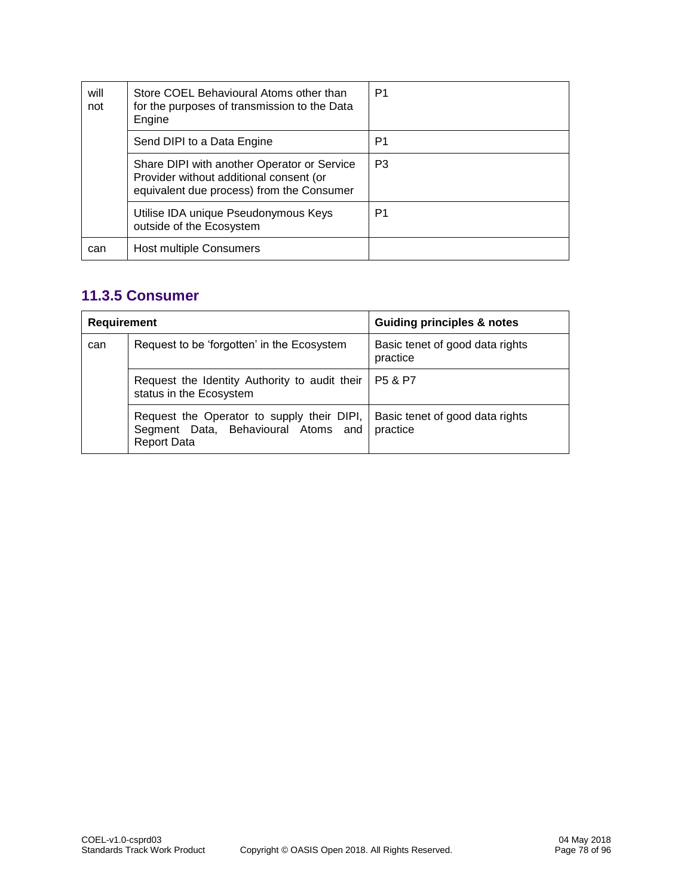| will<br>not | Store COEL Behavioural Atoms other than<br>for the purposes of transmission to the Data<br>Engine                                   | P1 |
|-------------|-------------------------------------------------------------------------------------------------------------------------------------|----|
|             | Send DIPI to a Data Engine                                                                                                          | P1 |
|             | Share DIPI with another Operator or Service<br>Provider without additional consent (or<br>equivalent due process) from the Consumer | P3 |
|             | Utilise IDA unique Pseudonymous Keys<br>outside of the Ecosystem                                                                    | P1 |
| can         | Host multiple Consumers                                                                                                             |    |

#### **11.3.5 Consumer**

| Requirement |                                                                                                         | <b>Guiding principles &amp; notes</b>       |
|-------------|---------------------------------------------------------------------------------------------------------|---------------------------------------------|
| can         | Request to be 'forgotten' in the Ecosystem                                                              | Basic tenet of good data rights<br>practice |
|             | Request the Identity Authority to audit their<br>status in the Ecosystem                                | <b>P5 &amp; P7</b>                          |
|             | Request the Operator to supply their DIPI,<br>Segment Data, Behavioural Atoms and<br><b>Report Data</b> | Basic tenet of good data rights<br>practice |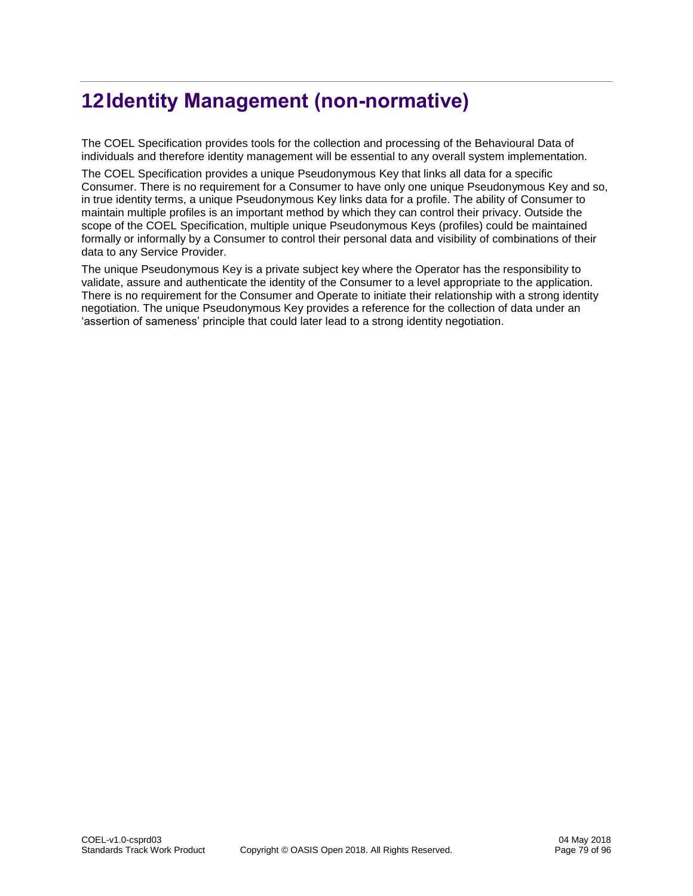## **12Identity Management (non-normative)**

The COEL Specification provides tools for the collection and processing of the Behavioural Data of individuals and therefore identity management will be essential to any overall system implementation.

The COEL Specification provides a unique Pseudonymous Key that links all data for a specific Consumer. There is no requirement for a Consumer to have only one unique Pseudonymous Key and so, in true identity terms, a unique Pseudonymous Key links data for a profile. The ability of Consumer to maintain multiple profiles is an important method by which they can control their privacy. Outside the scope of the COEL Specification, multiple unique Pseudonymous Keys (profiles) could be maintained formally or informally by a Consumer to control their personal data and visibility of combinations of their data to any Service Provider.

The unique Pseudonymous Key is a private subject key where the Operator has the responsibility to validate, assure and authenticate the identity of the Consumer to a level appropriate to the application. There is no requirement for the Consumer and Operate to initiate their relationship with a strong identity negotiation. The unique Pseudonymous Key provides a reference for the collection of data under an 'assertion of sameness' principle that could later lead to a strong identity negotiation.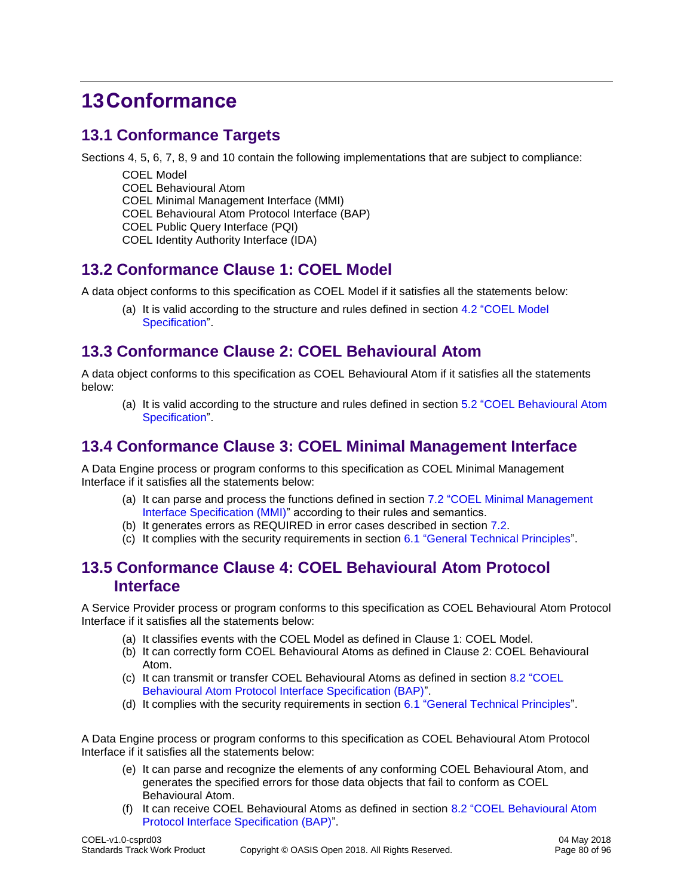## **13Conformance**

## **13.1 Conformance Targets**

Sections 4, 5, 6, 7, 8, 9 and 10 contain the following implementations that are subject to compliance:

- COEL Model
- COEL Behavioural Atom

COEL Minimal Management Interface (MMI)

- COEL Behavioural Atom Protocol Interface (BAP)
- COEL Public Query Interface (PQI)
- COEL Identity Authority Interface (IDA)

#### **13.2 Conformance Clause 1: COEL Model**

A data object conforms to this specification as COEL Model if it satisfies all the statements below:

(a) It is valid according to the structure and rules defined in section [4.2 "COEL Model](#page-24-0)  [Specification"](#page-24-0).

#### **13.3 Conformance Clause 2: COEL Behavioural Atom**

A data object conforms to this specification as COEL Behavioural Atom if it satisfies all the statements below:

(a) It is valid according to the structure and rules defined in section [5.2 "COEL Behavioural Atom](#page-29-0)  [Specification"](#page-29-0).

#### **13.4 Conformance Clause 3: COEL Minimal Management Interface**

A Data Engine process or program conforms to this specification as COEL Minimal Management Interface if it satisfies all the statements below:

- (a) It can parse and process the functions defined in section [7.2 "COEL Minimal Management](#page-37-0)  [Interface Specification \(MMI\)"](#page-37-0) according to their rules and semantics.
- (b) It generates errors as REQUIRED in error cases described in section [7.2.](#page-37-0)
- (c) It complies with the security requirements in section [6.1 "General Technical Principles"](#page-36-0).

#### **13.5 Conformance Clause 4: COEL Behavioural Atom Protocol Interface**

A Service Provider process or program conforms to this specification as COEL Behavioural Atom Protocol Interface if it satisfies all the statements below:

- (a) It classifies events with the COEL Model as defined in Clause 1: COEL Model.
- (b) It can correctly form COEL Behavioural Atoms as defined in Clause 2: COEL Behavioural Atom.
- (c) It can transmit or transfer COEL Behavioural Atoms as defined in section [8.2 "COEL](#page-52-0)  [Behavioural Atom Protocol Interface Specification \(BAP\)"](#page-52-0).
- (d) It complies with the security requirements in section [6.1 "General Technical Principles"](#page-36-0).

A Data Engine process or program conforms to this specification as COEL Behavioural Atom Protocol Interface if it satisfies all the statements below:

- (e) It can parse and recognize the elements of any conforming COEL Behavioural Atom, and generates the specified errors for those data objects that fail to conform as COEL Behavioural Atom.
- (f) It can receive COEL Behavioural Atoms as defined in section [8.2 "COEL Behavioural Atom](#page-52-0)  [Protocol Interface Specification \(BAP\)"](#page-52-0).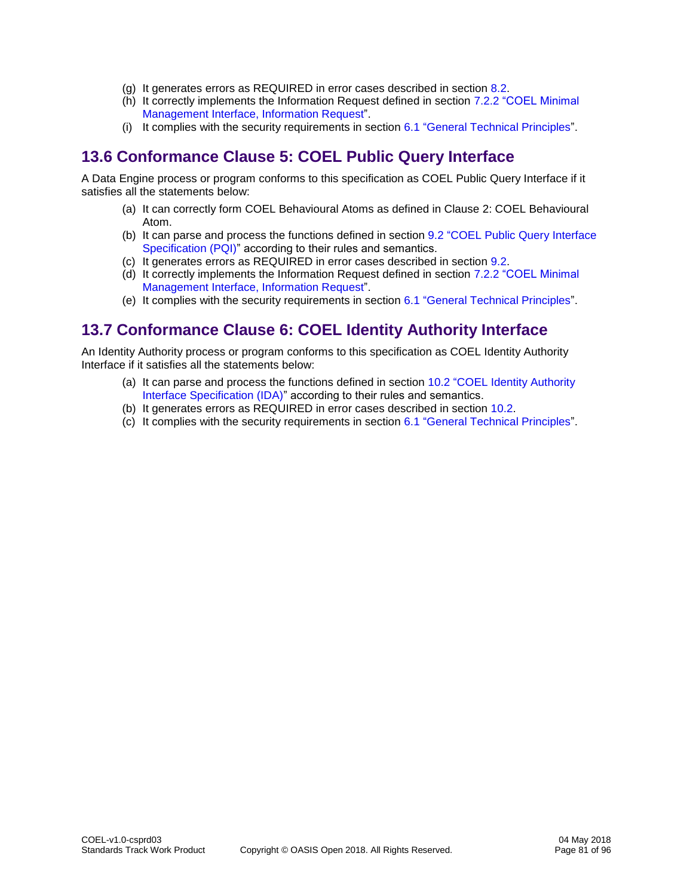- (g) It generates errors as REQUIRED in error cases described in section [8.2.](#page-52-0)
- (h) It correctly implements the Information Request defined in section [7.2.2 "COEL Minimal](#page-37-1)  [Management Interface, Information Request"](#page-37-1).
- (i) It complies with the security requirements in section [6.1 "General Technical Principles"](#page-36-0).

### **13.6 Conformance Clause 5: COEL Public Query Interface**

A Data Engine process or program conforms to this specification as COEL Public Query Interface if it satisfies all the statements below:

- (a) It can correctly form COEL Behavioural Atoms as defined in Clause 2: COEL Behavioural Atom.
- (b) It can parse and process the functions defined in section [9.2 "COEL Public Query Interface](#page-54-0)  [Specification \(PQI\)"](#page-54-0) according to their rules and semantics.
- (c) It generates errors as REQUIRED in error cases described in section [9.2.](#page-54-0)
- (d) It correctly implements the Information Request defined in section [7.2.2 "COEL Minimal](#page-37-1)  [Management Interface, Information Request"](#page-37-1).
- (e) It complies with the security requirements in section [6.1 "General Technical Principles"](#page-36-0).

## **13.7 Conformance Clause 6: COEL Identity Authority Interface**

An Identity Authority process or program conforms to this specification as COEL Identity Authority Interface if it satisfies all the statements below:

- (a) It can parse and process the functions defined in section [10.2 "COEL Identity Authority](#page-65-0)  [Interface Specification \(IDA\)"](#page-65-0) according to their rules and semantics.
- (b) It generates errors as REQUIRED in error cases described in section [10.2.](#page-65-0)
- (c) It complies with the security requirements in section [6.1 "General Technical Principles"](#page-36-0).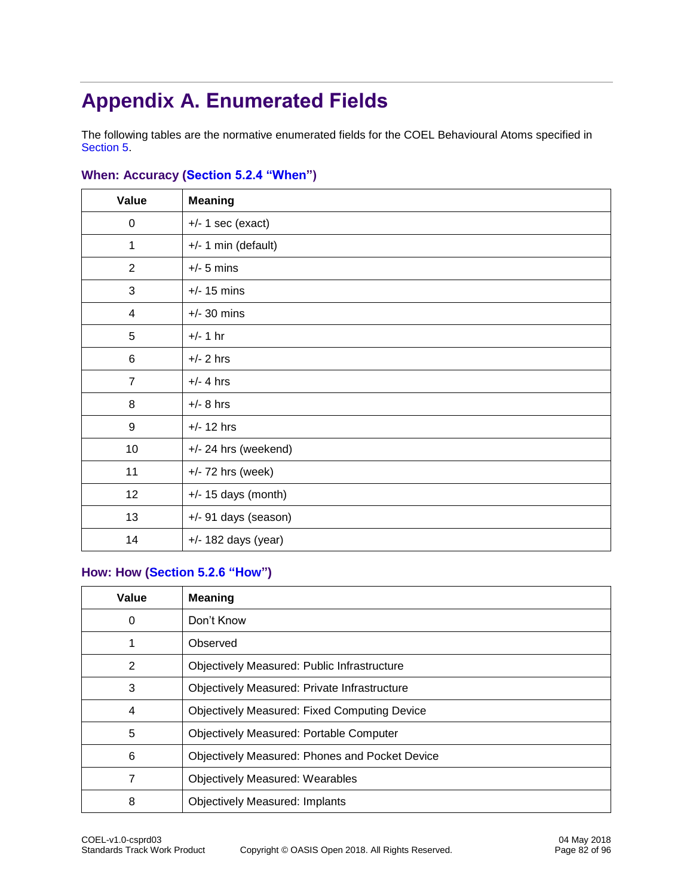# **Appendix A. Enumerated Fields**

The following tables are the normative enumerated fields for the COEL Behavioural Atoms specified in [Section 5.](#page-29-1)

| Value            | <b>Meaning</b>        |
|------------------|-----------------------|
| $\pmb{0}$        | $+/- 1$ sec (exact)   |
| 1                | $+/- 1$ min (default) |
| 2                | $+/-$ 5 mins          |
| $\sqrt{3}$       | $+/- 15$ mins         |
| 4                | $+/- 30$ mins         |
| 5                | $+/- 1 hr$            |
| 6                | $+/- 2$ hrs           |
| $\overline{7}$   | $+/- 4$ hrs           |
| 8                | $+/-$ 8 hrs           |
| $\boldsymbol{9}$ | $+/- 12$ hrs          |
| 10               | +/- 24 hrs (weekend)  |
| 11               | $+/- 72$ hrs (week)   |
| 12               | $+/- 15$ days (month) |
| 13               | +/- 91 days (season)  |
| 14               | $+/- 182$ days (year) |

#### **When: Accuracy [\(Section 5.2.4 "When"](#page-31-0))**

#### **How: How [\(Section 5.2.6 "How"](#page-32-0))**

| Value          | <b>Meaning</b>                                        |
|----------------|-------------------------------------------------------|
| 0              | Don't Know                                            |
|                | Observed                                              |
| 2              | Objectively Measured: Public Infrastructure           |
| 3              | Objectively Measured: Private Infrastructure          |
| $\overline{4}$ | <b>Objectively Measured: Fixed Computing Device</b>   |
| 5              | <b>Objectively Measured: Portable Computer</b>        |
| 6              | <b>Objectively Measured: Phones and Pocket Device</b> |
| 7              | <b>Objectively Measured: Wearables</b>                |
| 8              | <b>Objectively Measured: Implants</b>                 |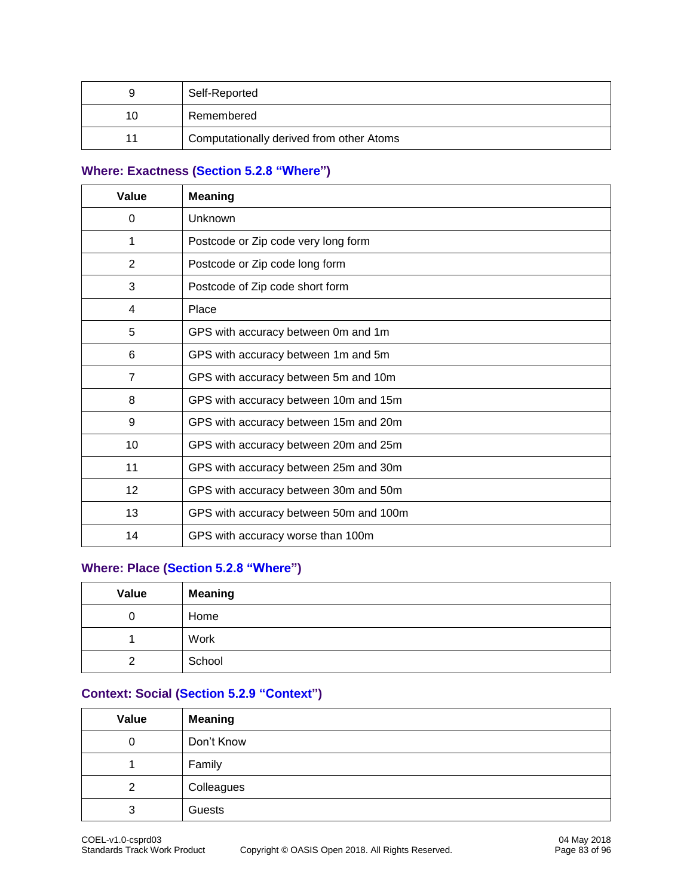| 9  | Self-Reported                            |
|----|------------------------------------------|
| 10 | Remembered                               |
| 11 | Computationally derived from other Atoms |

#### **Where: Exactness [\(Section 5.2.8 "Where"](#page-32-1))**

| Value          | <b>Meaning</b>                         |  |  |
|----------------|----------------------------------------|--|--|
| 0              | Unknown                                |  |  |
| 1              | Postcode or Zip code very long form    |  |  |
| 2              | Postcode or Zip code long form         |  |  |
| 3              | Postcode of Zip code short form        |  |  |
| 4              | Place                                  |  |  |
| 5              | GPS with accuracy between 0m and 1m    |  |  |
| 6              | GPS with accuracy between 1m and 5m    |  |  |
| $\overline{7}$ | GPS with accuracy between 5m and 10m   |  |  |
| 8              | GPS with accuracy between 10m and 15m  |  |  |
| 9              | GPS with accuracy between 15m and 20m  |  |  |
| 10             | GPS with accuracy between 20m and 25m  |  |  |
| 11             | GPS with accuracy between 25m and 30m  |  |  |
| 12             | GPS with accuracy between 30m and 50m  |  |  |
| 13             | GPS with accuracy between 50m and 100m |  |  |
| 14             | GPS with accuracy worse than 100m      |  |  |

#### **Where: Place [\(Section 5.2.8 "Where"](#page-32-1))**

| Value | <b>Meaning</b> |
|-------|----------------|
| 0     | Home           |
|       | Work           |
| ົ     | School         |

#### **Context: Social [\(Section 5.2.9 "Context"](#page-33-0))**

| Value | <b>Meaning</b> |
|-------|----------------|
| 0     | Don't Know     |
|       | Family         |
| 2     | Colleagues     |
| 3     | Guests         |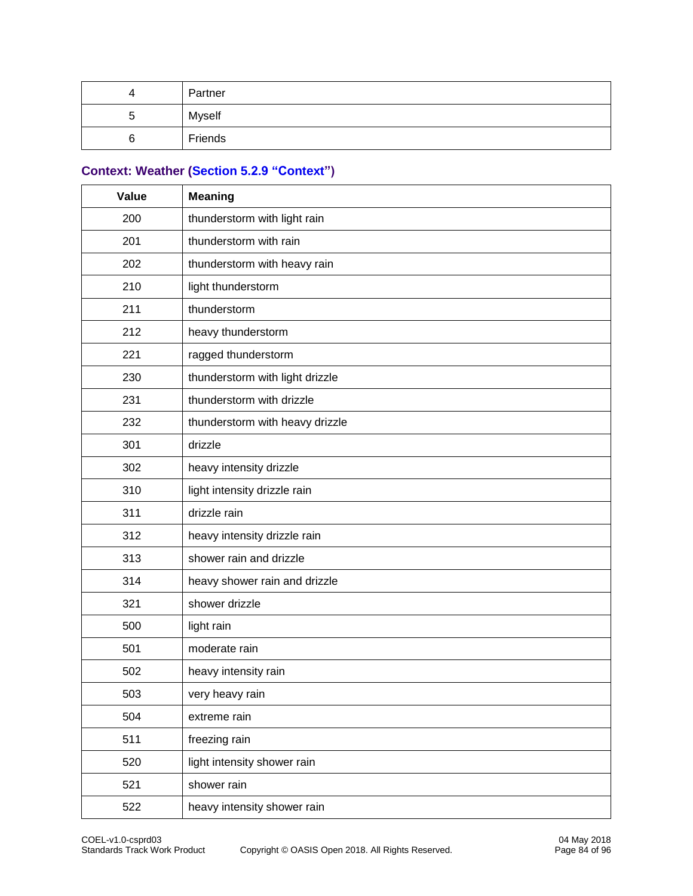| д      | Partner |
|--------|---------|
| ∽<br>ີ | Myself  |
|        | Friends |

## **Context: Weather [\(Section 5.2.9 "Context"](#page-33-0))**

| Value | <b>Meaning</b>                  |  |  |  |
|-------|---------------------------------|--|--|--|
| 200   | thunderstorm with light rain    |  |  |  |
| 201   | thunderstorm with rain          |  |  |  |
| 202   | thunderstorm with heavy rain    |  |  |  |
| 210   | light thunderstorm              |  |  |  |
| 211   | thunderstorm                    |  |  |  |
| 212   | heavy thunderstorm              |  |  |  |
| 221   | ragged thunderstorm             |  |  |  |
| 230   | thunderstorm with light drizzle |  |  |  |
| 231   | thunderstorm with drizzle       |  |  |  |
| 232   | thunderstorm with heavy drizzle |  |  |  |
| 301   | drizzle                         |  |  |  |
| 302   | heavy intensity drizzle         |  |  |  |
| 310   | light intensity drizzle rain    |  |  |  |
| 311   | drizzle rain                    |  |  |  |
| 312   | heavy intensity drizzle rain    |  |  |  |
| 313   | shower rain and drizzle         |  |  |  |
| 314   | heavy shower rain and drizzle   |  |  |  |
| 321   | shower drizzle                  |  |  |  |
| 500   | light rain                      |  |  |  |
| 501   | moderate rain                   |  |  |  |
| 502   | heavy intensity rain            |  |  |  |
| 503   | very heavy rain                 |  |  |  |
| 504   | extreme rain                    |  |  |  |
| 511   | freezing rain                   |  |  |  |
| 520   | light intensity shower rain     |  |  |  |
| 521   | shower rain                     |  |  |  |
| 522   | heavy intensity shower rain     |  |  |  |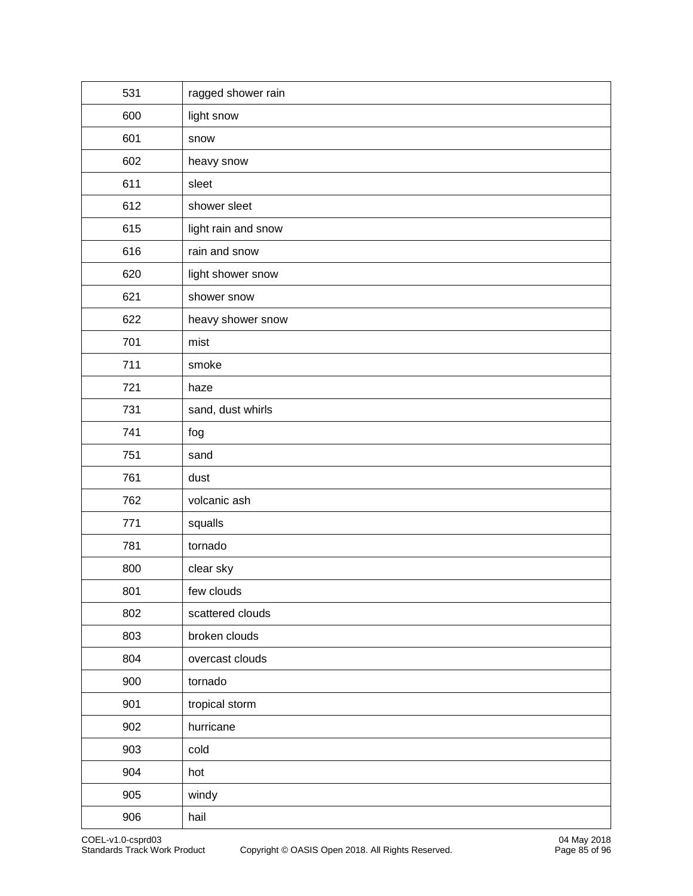| 531 | ragged shower rain  |  |  |  |
|-----|---------------------|--|--|--|
| 600 | light snow          |  |  |  |
| 601 | snow                |  |  |  |
| 602 | heavy snow          |  |  |  |
| 611 | sleet               |  |  |  |
| 612 | shower sleet        |  |  |  |
| 615 | light rain and snow |  |  |  |
| 616 | rain and snow       |  |  |  |
| 620 | light shower snow   |  |  |  |
| 621 | shower snow         |  |  |  |
| 622 | heavy shower snow   |  |  |  |
| 701 | mist                |  |  |  |
| 711 | smoke               |  |  |  |
| 721 | haze                |  |  |  |
| 731 | sand, dust whirls   |  |  |  |
| 741 | fog                 |  |  |  |
| 751 | sand                |  |  |  |
| 761 | dust                |  |  |  |
| 762 | volcanic ash        |  |  |  |
| 771 | squalls             |  |  |  |
| 781 | tornado             |  |  |  |
| 800 | clear sky           |  |  |  |
| 801 | few clouds          |  |  |  |
| 802 | scattered clouds    |  |  |  |
| 803 | broken clouds       |  |  |  |
| 804 | overcast clouds     |  |  |  |
| 900 | tornado             |  |  |  |
| 901 | tropical storm      |  |  |  |
| 902 | hurricane           |  |  |  |
| 903 | cold                |  |  |  |
| 904 | hot                 |  |  |  |
| 905 | windy               |  |  |  |
| 906 | hail                |  |  |  |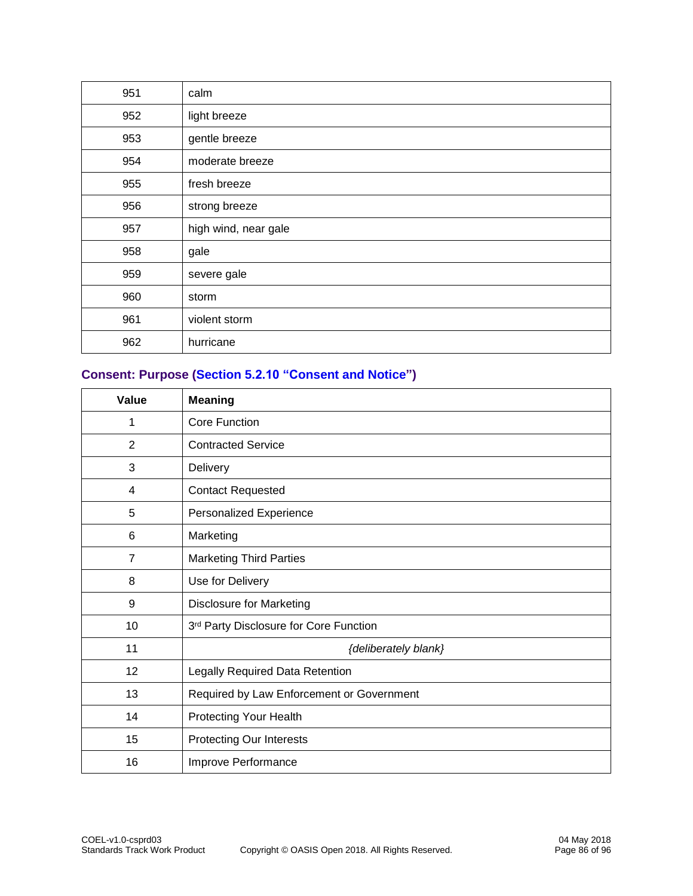| 951 | calm                 |  |  |
|-----|----------------------|--|--|
| 952 | light breeze         |  |  |
| 953 | gentle breeze        |  |  |
| 954 | moderate breeze      |  |  |
| 955 | fresh breeze         |  |  |
| 956 | strong breeze        |  |  |
| 957 | high wind, near gale |  |  |
| 958 | gale                 |  |  |
| 959 | severe gale          |  |  |
| 960 | storm                |  |  |
| 961 | violent storm        |  |  |
| 962 | hurricane            |  |  |

#### **Consent: Purpose [\(Section 5.2.10 "Consent and Notice"](#page-33-1))**

| Value          | <b>Meaning</b>                            |  |  |
|----------------|-------------------------------------------|--|--|
| 1              | Core Function                             |  |  |
| $\overline{2}$ | <b>Contracted Service</b>                 |  |  |
| 3              | Delivery                                  |  |  |
| 4              | <b>Contact Requested</b>                  |  |  |
| 5              | Personalized Experience                   |  |  |
| 6              | Marketing                                 |  |  |
| $\overline{7}$ | <b>Marketing Third Parties</b>            |  |  |
| 8              | Use for Delivery                          |  |  |
| 9              | <b>Disclosure for Marketing</b>           |  |  |
| 10             | 3rd Party Disclosure for Core Function    |  |  |
| 11             | {deliberately blank}                      |  |  |
| 12             | Legally Required Data Retention           |  |  |
| 13             | Required by Law Enforcement or Government |  |  |
| 14             | Protecting Your Health                    |  |  |
| 15             | Protecting Our Interests                  |  |  |
| 16             | Improve Performance                       |  |  |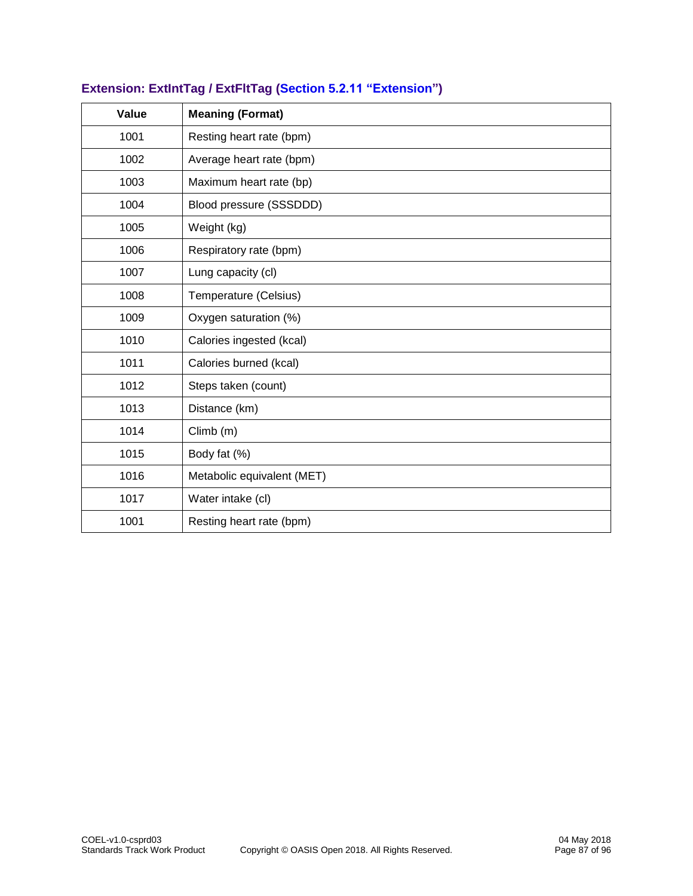| Value | <b>Meaning (Format)</b>    |  |  |  |
|-------|----------------------------|--|--|--|
| 1001  | Resting heart rate (bpm)   |  |  |  |
| 1002  | Average heart rate (bpm)   |  |  |  |
| 1003  | Maximum heart rate (bp)    |  |  |  |
| 1004  | Blood pressure (SSSDDD)    |  |  |  |
| 1005  | Weight (kg)                |  |  |  |
| 1006  | Respiratory rate (bpm)     |  |  |  |
| 1007  | Lung capacity (cl)         |  |  |  |
| 1008  | Temperature (Celsius)      |  |  |  |
| 1009  | Oxygen saturation (%)      |  |  |  |
| 1010  | Calories ingested (kcal)   |  |  |  |
| 1011  | Calories burned (kcal)     |  |  |  |
| 1012  | Steps taken (count)        |  |  |  |
| 1013  | Distance (km)              |  |  |  |
| 1014  | Climb (m)                  |  |  |  |
| 1015  | Body fat (%)               |  |  |  |
| 1016  | Metabolic equivalent (MET) |  |  |  |
| 1017  | Water intake (cl)          |  |  |  |
| 1001  | Resting heart rate (bpm)   |  |  |  |

#### **Extension: ExtIntTag / ExtFltTag [\(Section 5.2.11 "Extension"](#page-34-0))**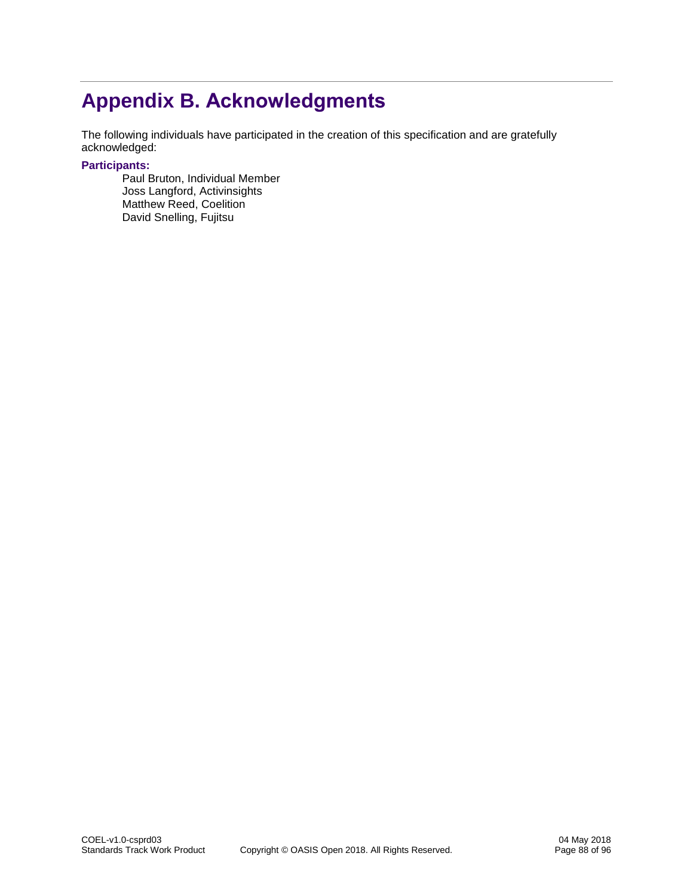# **Appendix B. Acknowledgments**

The following individuals have participated in the creation of this specification and are gratefully acknowledged:

#### **Participants:**

Paul Bruton, Individual Member Joss Langford, Activinsights Matthew Reed, Coelition David Snelling, Fujitsu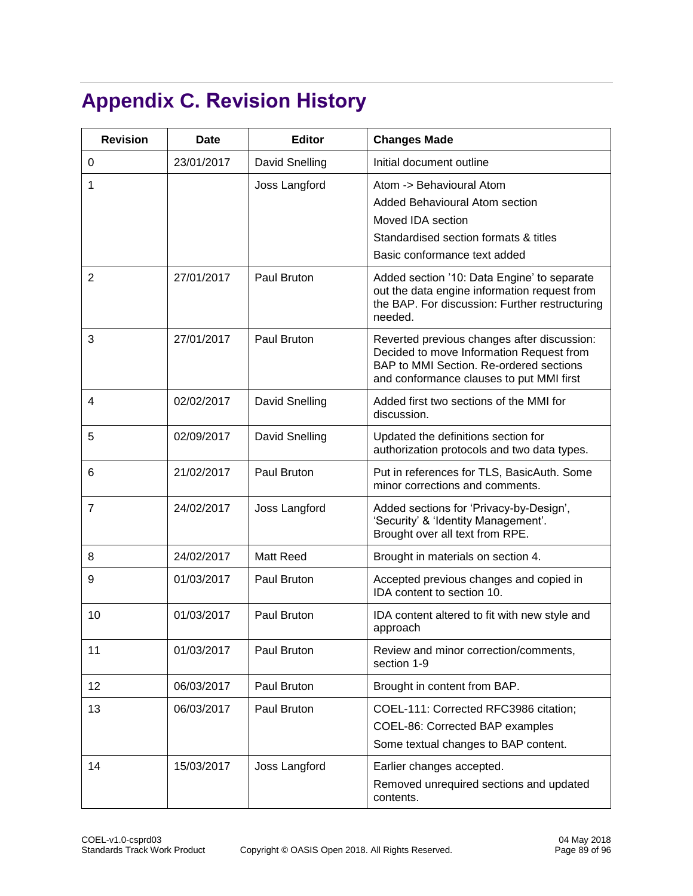# **Appendix C. Revision History**

| <b>Revision</b> | <b>Date</b> | <b>Editor</b>  | <b>Changes Made</b>                                                                                                                                                            |
|-----------------|-------------|----------------|--------------------------------------------------------------------------------------------------------------------------------------------------------------------------------|
| 0               | 23/01/2017  | David Snelling | Initial document outline                                                                                                                                                       |
| 1               |             | Joss Langford  | Atom -> Behavioural Atom<br>Added Behavioural Atom section<br>Moved IDA section<br>Standardised section formats & titles<br>Basic conformance text added                       |
| 2               | 27/01/2017  | Paul Bruton    | Added section '10: Data Engine' to separate<br>out the data engine information request from<br>the BAP. For discussion: Further restructuring<br>needed.                       |
| 3               | 27/01/2017  | Paul Bruton    | Reverted previous changes after discussion:<br>Decided to move Information Request from<br>BAP to MMI Section. Re-ordered sections<br>and conformance clauses to put MMI first |
| 4               | 02/02/2017  | David Snelling | Added first two sections of the MMI for<br>discussion.                                                                                                                         |
| 5               | 02/09/2017  | David Snelling | Updated the definitions section for<br>authorization protocols and two data types.                                                                                             |
| 6               | 21/02/2017  | Paul Bruton    | Put in references for TLS, BasicAuth. Some<br>minor corrections and comments.                                                                                                  |
| $\overline{7}$  | 24/02/2017  | Joss Langford  | Added sections for 'Privacy-by-Design',<br>'Security' & 'Identity Management'.<br>Brought over all text from RPE.                                                              |
| 8               | 24/02/2017  | Matt Reed      | Brought in materials on section 4.                                                                                                                                             |
| 9               | 01/03/2017  | Paul Bruton    | Accepted previous changes and copied in<br>IDA content to section 10.                                                                                                          |
| 10              | 01/03/2017  | Paul Bruton    | IDA content altered to fit with new style and<br>approach                                                                                                                      |
| 11              | 01/03/2017  | Paul Bruton    | Review and minor correction/comments,<br>section 1-9                                                                                                                           |
| 12              | 06/03/2017  | Paul Bruton    | Brought in content from BAP.                                                                                                                                                   |
| 13              | 06/03/2017  | Paul Bruton    | COEL-111: Corrected RFC3986 citation;<br>COEL-86: Corrected BAP examples<br>Some textual changes to BAP content.                                                               |
| 14              | 15/03/2017  | Joss Langford  | Earlier changes accepted.<br>Removed unrequired sections and updated<br>contents.                                                                                              |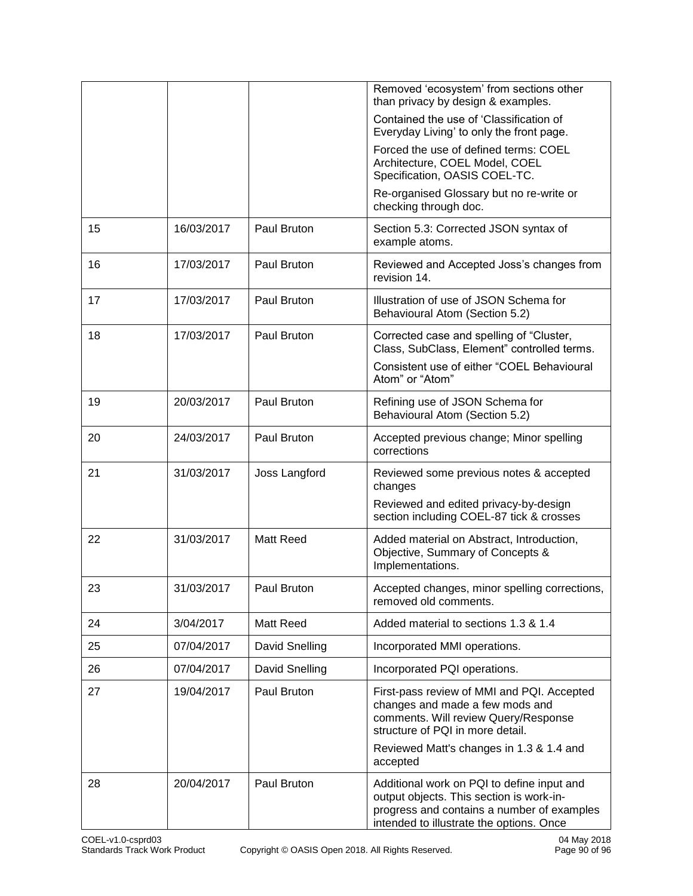|    |            |                  | Removed 'ecosystem' from sections other<br>than privacy by design & examples.                                                                                                    |
|----|------------|------------------|----------------------------------------------------------------------------------------------------------------------------------------------------------------------------------|
|    |            |                  | Contained the use of 'Classification of<br>Everyday Living' to only the front page.                                                                                              |
|    |            |                  | Forced the use of defined terms: COEL<br>Architecture, COEL Model, COEL<br>Specification, OASIS COEL-TC.                                                                         |
|    |            |                  | Re-organised Glossary but no re-write or<br>checking through doc.                                                                                                                |
| 15 | 16/03/2017 | Paul Bruton      | Section 5.3: Corrected JSON syntax of<br>example atoms.                                                                                                                          |
| 16 | 17/03/2017 | Paul Bruton      | Reviewed and Accepted Joss's changes from<br>revision 14.                                                                                                                        |
| 17 | 17/03/2017 | Paul Bruton      | Illustration of use of JSON Schema for<br>Behavioural Atom (Section 5.2)                                                                                                         |
| 18 | 17/03/2017 | Paul Bruton      | Corrected case and spelling of "Cluster,<br>Class, SubClass, Element" controlled terms.<br>Consistent use of either "COEL Behavioural<br>Atom" or "Atom"                         |
| 19 | 20/03/2017 | Paul Bruton      | Refining use of JSON Schema for<br>Behavioural Atom (Section 5.2)                                                                                                                |
| 20 | 24/03/2017 | Paul Bruton      | Accepted previous change; Minor spelling<br>corrections                                                                                                                          |
| 21 | 31/03/2017 | Joss Langford    | Reviewed some previous notes & accepted<br>changes<br>Reviewed and edited privacy-by-design                                                                                      |
|    |            |                  | section including COEL-87 tick & crosses                                                                                                                                         |
| 22 | 31/03/2017 | <b>Matt Reed</b> | Added material on Abstract, Introduction,<br>Objective, Summary of Concepts &<br>Implementations.                                                                                |
| 23 | 31/03/2017 | Paul Bruton      | Accepted changes, minor spelling corrections,<br>removed old comments.                                                                                                           |
| 24 | 3/04/2017  | Matt Reed        | Added material to sections 1.3 & 1.4                                                                                                                                             |
| 25 | 07/04/2017 | David Snelling   | Incorporated MMI operations.                                                                                                                                                     |
| 26 | 07/04/2017 | David Snelling   | Incorporated PQI operations.                                                                                                                                                     |
| 27 | 19/04/2017 | Paul Bruton      | First-pass review of MMI and PQI. Accepted<br>changes and made a few mods and<br>comments. Will review Query/Response<br>structure of PQI in more detail.                        |
|    |            |                  | Reviewed Matt's changes in 1.3 & 1.4 and<br>accepted                                                                                                                             |
| 28 | 20/04/2017 | Paul Bruton      | Additional work on PQI to define input and<br>output objects. This section is work-in-<br>progress and contains a number of examples<br>intended to illustrate the options. Once |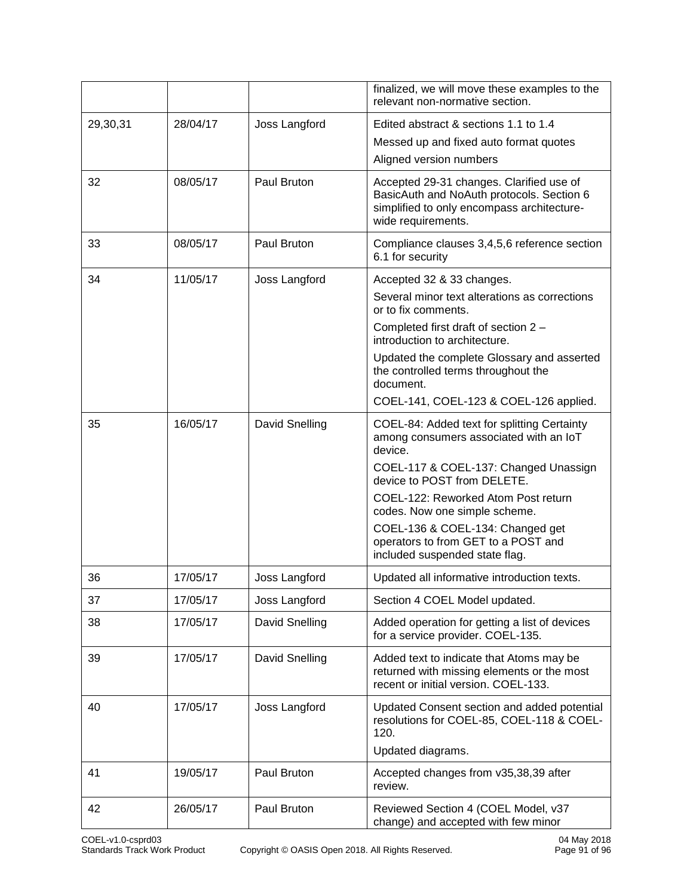|          |          |                | finalized, we will move these examples to the<br>relevant non-normative section.                                                                          |
|----------|----------|----------------|-----------------------------------------------------------------------------------------------------------------------------------------------------------|
| 29,30,31 | 28/04/17 | Joss Langford  | Edited abstract & sections 1.1 to 1.4                                                                                                                     |
|          |          |                | Messed up and fixed auto format quotes                                                                                                                    |
|          |          |                | Aligned version numbers                                                                                                                                   |
| 32       | 08/05/17 | Paul Bruton    | Accepted 29-31 changes. Clarified use of<br>BasicAuth and NoAuth protocols. Section 6<br>simplified to only encompass architecture-<br>wide requirements. |
| 33       | 08/05/17 | Paul Bruton    | Compliance clauses 3,4,5,6 reference section<br>6.1 for security                                                                                          |
| 34       | 11/05/17 | Joss Langford  | Accepted 32 & 33 changes.                                                                                                                                 |
|          |          |                | Several minor text alterations as corrections<br>or to fix comments.                                                                                      |
|          |          |                | Completed first draft of section 2 -<br>introduction to architecture.                                                                                     |
|          |          |                | Updated the complete Glossary and asserted<br>the controlled terms throughout the<br>document.                                                            |
|          |          |                | COEL-141, COEL-123 & COEL-126 applied.                                                                                                                    |
| 35       | 16/05/17 | David Snelling | COEL-84: Added text for splitting Certainty<br>among consumers associated with an IoT<br>device.                                                          |
|          |          |                | COEL-117 & COEL-137: Changed Unassign<br>device to POST from DELETE.                                                                                      |
|          |          |                | COEL-122: Reworked Atom Post return<br>codes. Now one simple scheme.                                                                                      |
|          |          |                | COEL-136 & COEL-134: Changed get<br>operators to from GET to a POST and<br>included suspended state flag.                                                 |
| 36       | 17/05/17 | Joss Langford  | Updated all informative introduction texts.                                                                                                               |
| 37       | 17/05/17 | Joss Langford  | Section 4 COEL Model updated.                                                                                                                             |
| 38       | 17/05/17 | David Snelling | Added operation for getting a list of devices<br>for a service provider. COEL-135.                                                                        |
| 39       | 17/05/17 | David Snelling | Added text to indicate that Atoms may be<br>returned with missing elements or the most<br>recent or initial version. COEL-133.                            |
| 40       | 17/05/17 | Joss Langford  | Updated Consent section and added potential<br>resolutions for COEL-85, COEL-118 & COEL-<br>120.                                                          |
|          |          |                | Updated diagrams.                                                                                                                                         |
| 41       | 19/05/17 | Paul Bruton    | Accepted changes from v35,38,39 after<br>review.                                                                                                          |
| 42       | 26/05/17 | Paul Bruton    | Reviewed Section 4 (COEL Model, v37<br>change) and accepted with few minor                                                                                |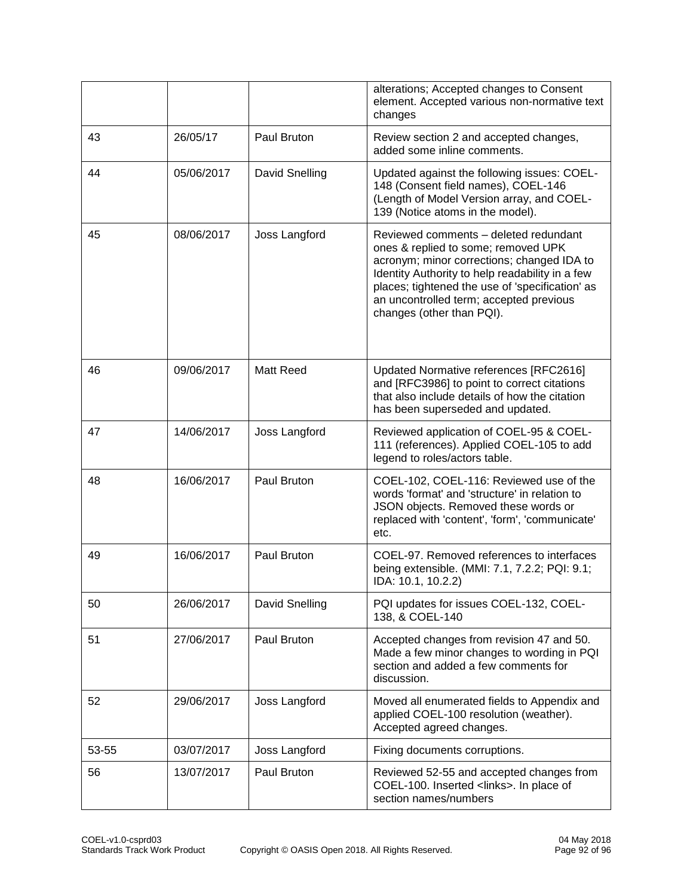|       |            |                | alterations; Accepted changes to Consent<br>element. Accepted various non-normative text<br>changes                                                                                                                                                                                                      |
|-------|------------|----------------|----------------------------------------------------------------------------------------------------------------------------------------------------------------------------------------------------------------------------------------------------------------------------------------------------------|
| 43    | 26/05/17   | Paul Bruton    | Review section 2 and accepted changes,<br>added some inline comments.                                                                                                                                                                                                                                    |
| 44    | 05/06/2017 | David Snelling | Updated against the following issues: COEL-<br>148 (Consent field names), COEL-146<br>(Length of Model Version array, and COEL-<br>139 (Notice atoms in the model).                                                                                                                                      |
| 45    | 08/06/2017 | Joss Langford  | Reviewed comments - deleted redundant<br>ones & replied to some; removed UPK<br>acronym; minor corrections; changed IDA to<br>Identity Authority to help readability in a few<br>places; tightened the use of 'specification' as<br>an uncontrolled term; accepted previous<br>changes (other than PQI). |
| 46    | 09/06/2017 | Matt Reed      | Updated Normative references [RFC2616]<br>and [RFC3986] to point to correct citations<br>that also include details of how the citation<br>has been superseded and updated.                                                                                                                               |
| 47    | 14/06/2017 | Joss Langford  | Reviewed application of COEL-95 & COEL-<br>111 (references). Applied COEL-105 to add<br>legend to roles/actors table.                                                                                                                                                                                    |
| 48    | 16/06/2017 | Paul Bruton    | COEL-102, COEL-116: Reviewed use of the<br>words 'format' and 'structure' in relation to<br>JSON objects. Removed these words or<br>replaced with 'content', 'form', 'communicate'<br>etc.                                                                                                               |
| 49    | 16/06/2017 | Paul Bruton    | COEL-97. Removed references to interfaces<br>being extensible. (MMI: 7.1, 7.2.2; PQI: 9.1;<br>IDA: 10.1, 10.2.2)                                                                                                                                                                                         |
| 50    | 26/06/2017 | David Snelling | PQI updates for issues COEL-132, COEL-<br>138, & COEL-140                                                                                                                                                                                                                                                |
| 51    | 27/06/2017 | Paul Bruton    | Accepted changes from revision 47 and 50.<br>Made a few minor changes to wording in PQI<br>section and added a few comments for<br>discussion.                                                                                                                                                           |
| 52    | 29/06/2017 | Joss Langford  | Moved all enumerated fields to Appendix and<br>applied COEL-100 resolution (weather).<br>Accepted agreed changes.                                                                                                                                                                                        |
| 53-55 | 03/07/2017 | Joss Langford  | Fixing documents corruptions.                                                                                                                                                                                                                                                                            |
| 56    | 13/07/2017 | Paul Bruton    | Reviewed 52-55 and accepted changes from<br>COEL-100. Inserted <links>. In place of<br/>section names/numbers</links>                                                                                                                                                                                    |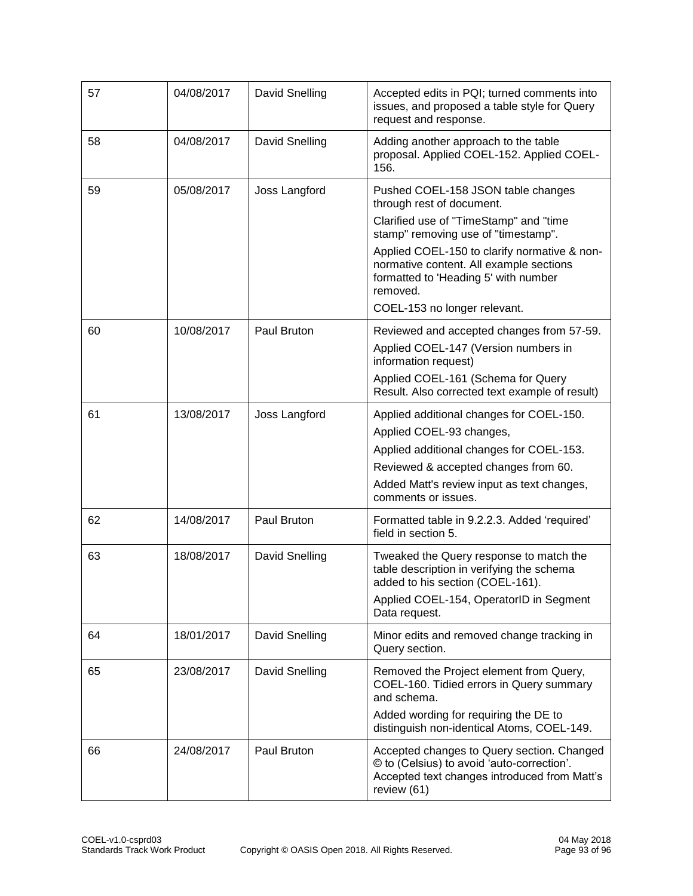| 57 | 04/08/2017 | David Snelling | Accepted edits in PQI; turned comments into<br>issues, and proposed a table style for Query<br>request and response.                                                                                                                                                                                                            |
|----|------------|----------------|---------------------------------------------------------------------------------------------------------------------------------------------------------------------------------------------------------------------------------------------------------------------------------------------------------------------------------|
| 58 | 04/08/2017 | David Snelling | Adding another approach to the table<br>proposal. Applied COEL-152. Applied COEL-<br>156.                                                                                                                                                                                                                                       |
| 59 | 05/08/2017 | Joss Langford  | Pushed COEL-158 JSON table changes<br>through rest of document.<br>Clarified use of "TimeStamp" and "time<br>stamp" removing use of "timestamp".<br>Applied COEL-150 to clarify normative & non-<br>normative content. All example sections<br>formatted to 'Heading 5' with number<br>removed.<br>COEL-153 no longer relevant. |
| 60 | 10/08/2017 | Paul Bruton    | Reviewed and accepted changes from 57-59.<br>Applied COEL-147 (Version numbers in<br>information request)<br>Applied COEL-161 (Schema for Query<br>Result. Also corrected text example of result)                                                                                                                               |
| 61 | 13/08/2017 | Joss Langford  | Applied additional changes for COEL-150.<br>Applied COEL-93 changes,<br>Applied additional changes for COEL-153.<br>Reviewed & accepted changes from 60.<br>Added Matt's review input as text changes,<br>comments or issues.                                                                                                   |
| 62 | 14/08/2017 | Paul Bruton    | Formatted table in 9.2.2.3. Added 'required'<br>field in section 5.                                                                                                                                                                                                                                                             |
| 63 | 18/08/2017 | David Snelling | Tweaked the Query response to match the<br>table description in verifying the schema<br>added to his section (COEL-161).<br>Applied COEL-154, OperatorID in Segment<br>Data request.                                                                                                                                            |
| 64 | 18/01/2017 | David Snelling | Minor edits and removed change tracking in<br>Query section.                                                                                                                                                                                                                                                                    |
| 65 | 23/08/2017 | David Snelling | Removed the Project element from Query,<br>COEL-160. Tidied errors in Query summary<br>and schema.<br>Added wording for requiring the DE to<br>distinguish non-identical Atoms, COEL-149.                                                                                                                                       |
| 66 | 24/08/2017 | Paul Bruton    | Accepted changes to Query section. Changed<br>© to (Celsius) to avoid 'auto-correction'.<br>Accepted text changes introduced from Matt's<br>review (61)                                                                                                                                                                         |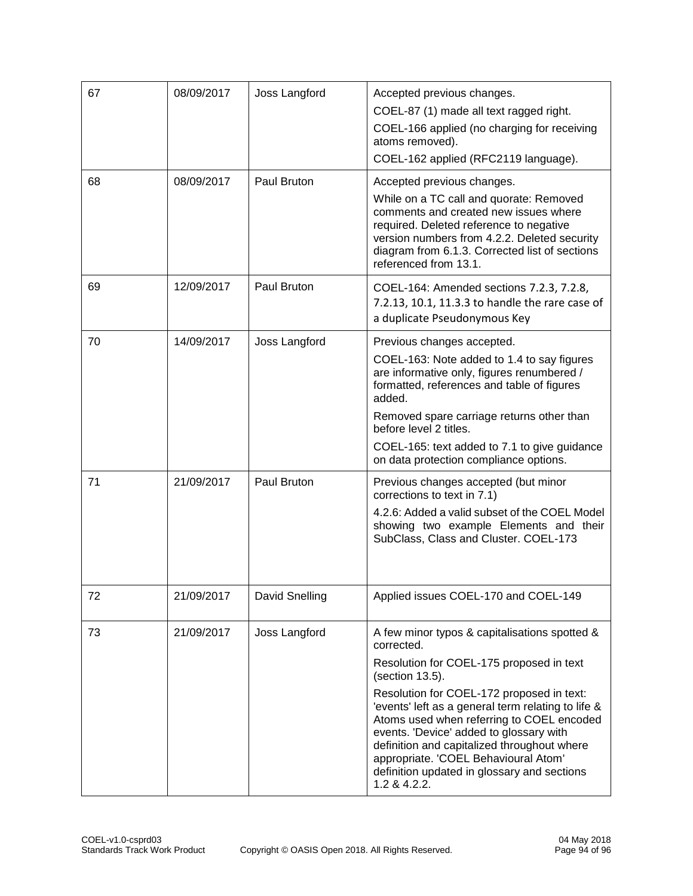| 67 | 08/09/2017 | Joss Langford  | Accepted previous changes.<br>COEL-87 (1) made all text ragged right.<br>COEL-166 applied (no charging for receiving<br>atoms removed).<br>COEL-162 applied (RFC2119 language).                                                                                                                                                                                                                                                                                             |
|----|------------|----------------|-----------------------------------------------------------------------------------------------------------------------------------------------------------------------------------------------------------------------------------------------------------------------------------------------------------------------------------------------------------------------------------------------------------------------------------------------------------------------------|
| 68 | 08/09/2017 | Paul Bruton    | Accepted previous changes.<br>While on a TC call and quorate: Removed<br>comments and created new issues where<br>required. Deleted reference to negative<br>version numbers from 4.2.2. Deleted security<br>diagram from 6.1.3. Corrected list of sections<br>referenced from 13.1.                                                                                                                                                                                        |
| 69 | 12/09/2017 | Paul Bruton    | COEL-164: Amended sections 7.2.3, 7.2.8,<br>7.2.13, 10.1, 11.3.3 to handle the rare case of<br>a duplicate Pseudonymous Key                                                                                                                                                                                                                                                                                                                                                 |
| 70 | 14/09/2017 | Joss Langford  | Previous changes accepted.<br>COEL-163: Note added to 1.4 to say figures<br>are informative only, figures renumbered /<br>formatted, references and table of figures<br>added.<br>Removed spare carriage returns other than<br>before level 2 titles.<br>COEL-165: text added to 7.1 to give guidance<br>on data protection compliance options.                                                                                                                             |
| 71 | 21/09/2017 | Paul Bruton    | Previous changes accepted (but minor<br>corrections to text in 7.1)<br>4.2.6: Added a valid subset of the COEL Model<br>showing two example Elements and their<br>SubClass, Class and Cluster. COEL-173                                                                                                                                                                                                                                                                     |
| 72 | 21/09/2017 | David Snelling | Applied issues COEL-170 and COEL-149                                                                                                                                                                                                                                                                                                                                                                                                                                        |
| 73 | 21/09/2017 | Joss Langford  | A few minor typos & capitalisations spotted &<br>corrected.<br>Resolution for COEL-175 proposed in text<br>(section 13.5).<br>Resolution for COEL-172 proposed in text:<br>'events' left as a general term relating to life &<br>Atoms used when referring to COEL encoded<br>events. 'Device' added to glossary with<br>definition and capitalized throughout where<br>appropriate. 'COEL Behavioural Atom'<br>definition updated in glossary and sections<br>1.2 & 4.2.2. |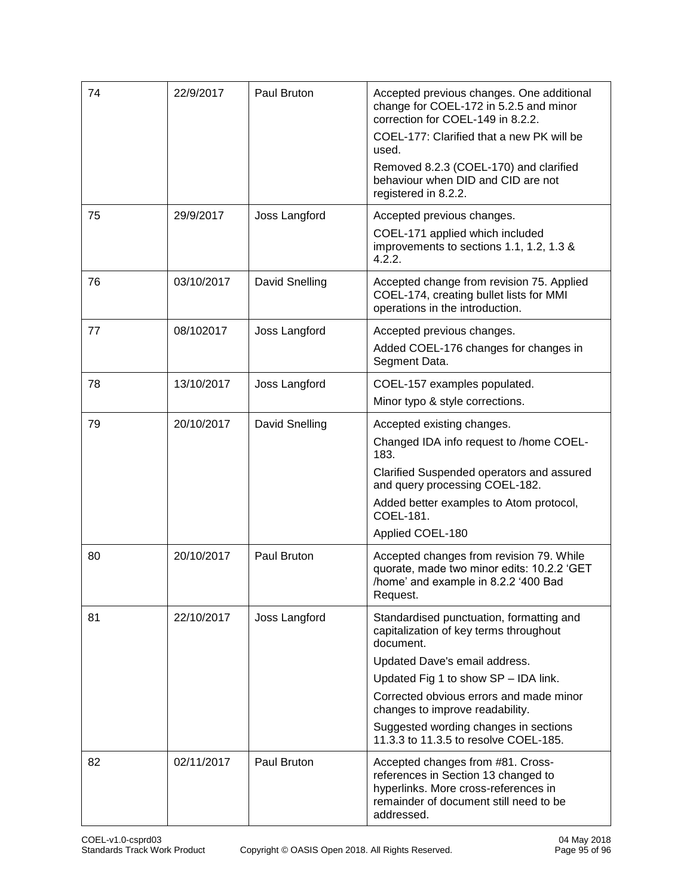| 74 | 22/9/2017  | Paul Bruton    | Accepted previous changes. One additional<br>change for COEL-172 in 5.2.5 and minor<br>correction for COEL-149 in 8.2.2.<br>COEL-177: Clarified that a new PK will be<br>used.<br>Removed 8.2.3 (COEL-170) and clarified<br>behaviour when DID and CID are not<br>registered in 8.2.2.                                                   |
|----|------------|----------------|------------------------------------------------------------------------------------------------------------------------------------------------------------------------------------------------------------------------------------------------------------------------------------------------------------------------------------------|
| 75 | 29/9/2017  | Joss Langford  | Accepted previous changes.<br>COEL-171 applied which included<br>improvements to sections 1.1, 1.2, 1.3 &<br>4.2.2.                                                                                                                                                                                                                      |
| 76 | 03/10/2017 | David Snelling | Accepted change from revision 75. Applied<br>COEL-174, creating bullet lists for MMI<br>operations in the introduction.                                                                                                                                                                                                                  |
| 77 | 08/102017  | Joss Langford  | Accepted previous changes.<br>Added COEL-176 changes for changes in<br>Segment Data.                                                                                                                                                                                                                                                     |
| 78 | 13/10/2017 | Joss Langford  | COEL-157 examples populated.<br>Minor typo & style corrections.                                                                                                                                                                                                                                                                          |
| 79 | 20/10/2017 | David Snelling | Accepted existing changes.<br>Changed IDA info request to /home COEL-<br>183.<br>Clarified Suspended operators and assured<br>and query processing COEL-182.<br>Added better examples to Atom protocol,<br>COEL-181.<br>Applied COEL-180                                                                                                 |
| 80 | 20/10/2017 | Paul Bruton    | Accepted changes from revision 79. While<br>quorate, made two minor edits: 10.2.2 'GET<br>/home' and example in 8.2.2 '400 Bad<br>Request.                                                                                                                                                                                               |
| 81 | 22/10/2017 | Joss Langford  | Standardised punctuation, formatting and<br>capitalization of key terms throughout<br>document.<br>Updated Dave's email address.<br>Updated Fig 1 to show SP - IDA link.<br>Corrected obvious errors and made minor<br>changes to improve readability.<br>Suggested wording changes in sections<br>11.3.3 to 11.3.5 to resolve COEL-185. |
| 82 | 02/11/2017 | Paul Bruton    | Accepted changes from #81. Cross-<br>references in Section 13 changed to<br>hyperlinks. More cross-references in<br>remainder of document still need to be<br>addressed.                                                                                                                                                                 |